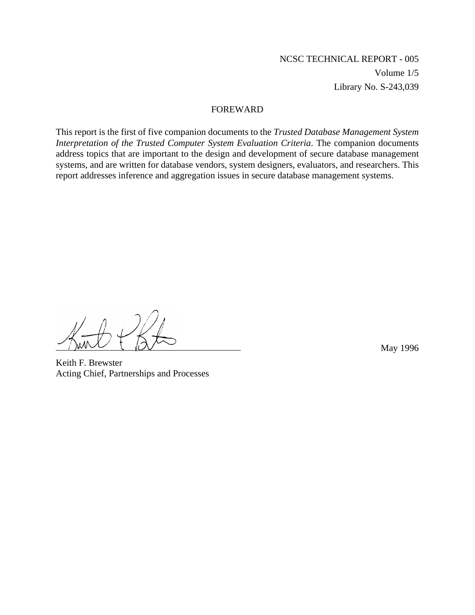# NCSC TECHNICAL REPORT - 005 Volume 1/5 Library No. S-243,039

#### FOREWARD

This report is the first of five companion documents to the *Trusted Database Management System Interpretation of the Trusted Computer System Evaluation Criteria*. The companion documents address topics that are important to the design and development of secure database management systems, and are written for database vendors, system designers, evaluators, and researchers. This report addresses inference and aggregation issues in secure database management systems.

May 1996

Keith F. Brewster Acting Chief, Partnerships and Processes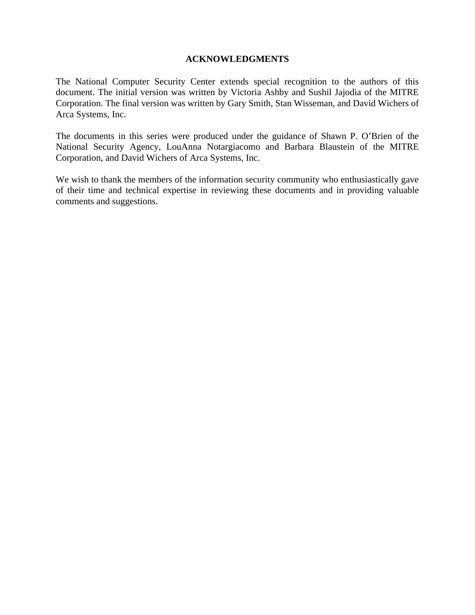#### **ACKNOWLEDGMENTS**

The National Computer Security Center extends special recognition to the authors of this document. The initial version was written by Victoria Ashby and Sushil Jajodia of the MITRE Corporation. The final version was written by Gary Smith, Stan Wisseman, and David Wichers of Arca Systems, Inc.

The documents in this series were produced under the guidance of Shawn P. O'Brien of the National Security Agency, LouAnna Notargiacomo and Barbara Blaustein of the MITRE Corporation, and David Wichers of Arca Systems, Inc.

We wish to thank the members of the information security community who enthusiastically gave of their time and technical expertise in reviewing these documents and in providing valuable comments and suggestions.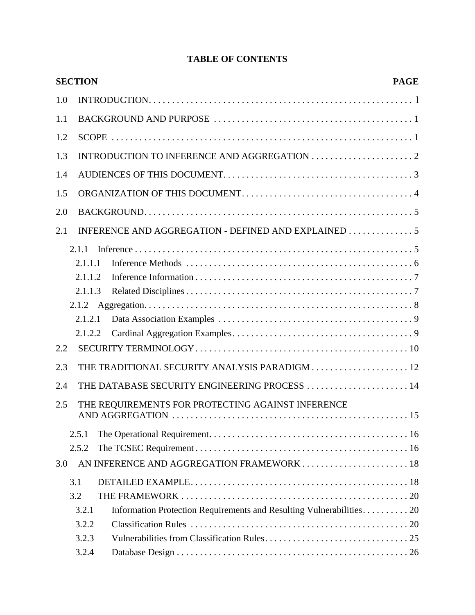| 1.5<br>2.0<br>2.1<br>2.1.1<br>2.1.1.1<br>2.1.1.2<br>2.1.1.3<br>2.1.2.1<br>2.1.2.2<br>THE DATABASE SECURITY ENGINEERING PROCESS  14<br>THE REQUIREMENTS FOR PROTECTING AGAINST INFERENCE<br>2.5.1<br>2.5.2<br>3.1<br>3.2<br>Information Protection Requirements and Resulting Vulnerabilities 20<br>3.2.1<br>3.2.2<br>3.2.3 |     | <b>SECTION</b> | <b>PAGE</b> |
|----------------------------------------------------------------------------------------------------------------------------------------------------------------------------------------------------------------------------------------------------------------------------------------------------------------------------|-----|----------------|-------------|
|                                                                                                                                                                                                                                                                                                                            | 1.0 |                |             |
|                                                                                                                                                                                                                                                                                                                            | 1.1 |                |             |
|                                                                                                                                                                                                                                                                                                                            | 1.2 |                |             |
|                                                                                                                                                                                                                                                                                                                            | 1.3 |                |             |
|                                                                                                                                                                                                                                                                                                                            | 1.4 |                |             |
|                                                                                                                                                                                                                                                                                                                            |     |                |             |
|                                                                                                                                                                                                                                                                                                                            |     |                |             |
|                                                                                                                                                                                                                                                                                                                            |     |                |             |
|                                                                                                                                                                                                                                                                                                                            |     |                |             |
|                                                                                                                                                                                                                                                                                                                            |     |                |             |
|                                                                                                                                                                                                                                                                                                                            |     |                |             |
|                                                                                                                                                                                                                                                                                                                            |     |                |             |
|                                                                                                                                                                                                                                                                                                                            |     |                |             |
|                                                                                                                                                                                                                                                                                                                            |     |                |             |
|                                                                                                                                                                                                                                                                                                                            |     |                |             |
|                                                                                                                                                                                                                                                                                                                            |     |                |             |
|                                                                                                                                                                                                                                                                                                                            | 2.2 |                |             |
|                                                                                                                                                                                                                                                                                                                            | 2.3 |                |             |
|                                                                                                                                                                                                                                                                                                                            | 2.4 |                |             |
|                                                                                                                                                                                                                                                                                                                            | 2.5 |                |             |
|                                                                                                                                                                                                                                                                                                                            |     |                |             |
|                                                                                                                                                                                                                                                                                                                            |     |                |             |
|                                                                                                                                                                                                                                                                                                                            | 3.0 |                |             |
|                                                                                                                                                                                                                                                                                                                            |     |                |             |
|                                                                                                                                                                                                                                                                                                                            |     |                |             |
|                                                                                                                                                                                                                                                                                                                            |     |                |             |
|                                                                                                                                                                                                                                                                                                                            |     |                |             |
|                                                                                                                                                                                                                                                                                                                            |     |                |             |
| 3.2.4                                                                                                                                                                                                                                                                                                                      |     |                |             |

# **TABLE OF CONTENTS**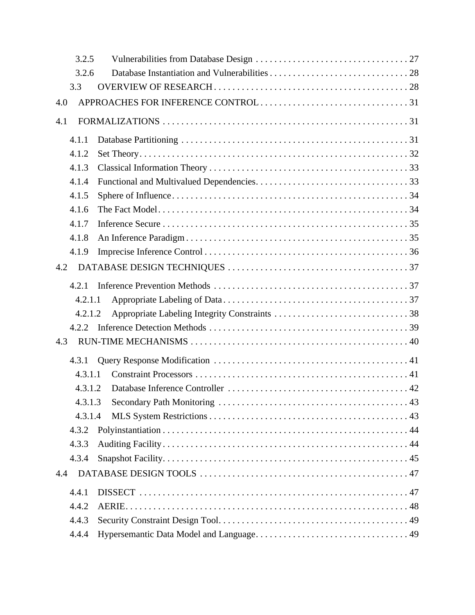|     | 3.2.5   |  |
|-----|---------|--|
|     | 3.2.6   |  |
|     | 3.3     |  |
| 4.0 |         |  |
| 4.1 |         |  |
|     | 4.1.1   |  |
|     | 4.1.2   |  |
|     | 4.1.3   |  |
|     | 4.1.4   |  |
|     | 4.1.5   |  |
|     | 4.1.6   |  |
|     | 4.1.7   |  |
|     | 4.1.8   |  |
|     | 4.1.9   |  |
| 4.2 |         |  |
|     | 4.2.1   |  |
|     | 4.2.1.1 |  |
|     | 4.2.1.2 |  |
|     | 4.2.2   |  |
| 4.3 |         |  |
|     | 4.3.1   |  |
|     | 4.3.1.1 |  |
|     | 4.3.1.2 |  |
|     |         |  |
|     | 4.3.1.4 |  |
|     | 4.3.2   |  |
|     | 4.3.3   |  |
|     | 4.3.4   |  |
| 4.4 |         |  |
|     | 4.4.1   |  |
|     | 4.4.2   |  |
|     | 4.4.3   |  |
|     | 4.4.4   |  |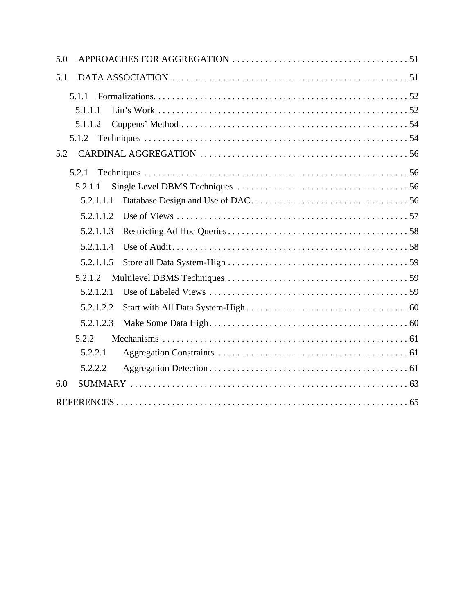| 5.0       |  |
|-----------|--|
| 5.1       |  |
| 5.1.1     |  |
| 5.1.1.1   |  |
| 5.1.1.2   |  |
| 5.1.2     |  |
| 5.2       |  |
| 5.2.1     |  |
| 5.2.1.1   |  |
| 5.2.1.1.1 |  |
| 5.2.1.1.2 |  |
| 5.2.1.1.3 |  |
| 5.2.1.1.4 |  |
| 5.2.1.1.5 |  |
| 5.2.1.2   |  |
| 5.2.1.2.1 |  |
| 5.2.1.2.2 |  |
| 5.2.1.2.3 |  |
| 5.2.2     |  |
| 5.2.2.1   |  |
| 5.2.2.2   |  |
| 6.0       |  |
|           |  |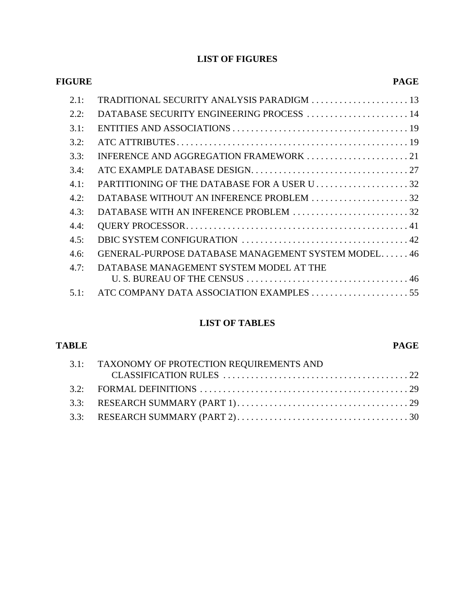# **LIST OF FIGURES**

| <b>PAGE</b>                                         | FIGURE |
|-----------------------------------------------------|--------|
| TRADITIONAL SECURITY ANALYSIS PARADIGM  13          | 2.1:   |
| DATABASE SECURITY ENGINEERING PROCESS  14           | 2.2:   |
|                                                     | 3.1:   |
|                                                     | 3.2:   |
|                                                     | 3.3:   |
|                                                     | 3.4:   |
|                                                     | 4.1:   |
| DATABASE WITHOUT AN INFERENCE PROBLEM 32            | 4.2:   |
| DATABASE WITH AN INFERENCE PROBLEM 32               | 4.3:   |
|                                                     | 4.4:   |
|                                                     | 4.5:   |
| GENERAL-PURPOSE DATABASE MANAGEMENT SYSTEM MODEL 46 | 4.6:   |
|                                                     | 4.7:   |
|                                                     | 5.1:   |
|                                                     |        |

# **LIST OF TABLES**

| <b>TABLE</b> |                                              | <b>PAGE</b> |
|--------------|----------------------------------------------|-------------|
|              | 3.1: TAXONOMY OF PROTECTION REQUIREMENTS AND |             |
|              |                                              |             |
|              |                                              |             |
|              |                                              |             |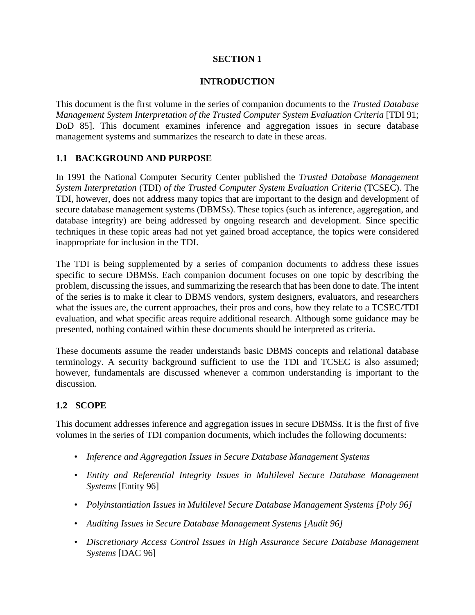### **SECTION 1**

#### **INTRODUCTION**

This document is the first volume in the series of companion documents to the *Trusted Database Management System Interpretation of the Trusted Computer System Evaluation Criteria* [TDI 91; DoD 85]. This document examines inference and aggregation issues in secure database management systems and summarizes the research to date in these areas.

### **1.1 BACKGROUND AND PURPOSE**

In 1991 the National Computer Security Center published the *Trusted Database Management System Interpretation* (TDI) *of the Trusted Computer System Evaluation Criteria* (TCSEC). The TDI, however, does not address many topics that are important to the design and development of secure database management systems (DBMSs). These topics (such as inference, aggregation, and database integrity) are being addressed by ongoing research and development. Since specific techniques in these topic areas had not yet gained broad acceptance, the topics were considered inappropriate for inclusion in the TDI.

The TDI is being supplemented by a series of companion documents to address these issues specific to secure DBMSs. Each companion document focuses on one topic by describing the problem, discussing the issues, and summarizing the research that has been done to date. The intent of the series is to make it clear to DBMS vendors, system designers, evaluators, and researchers what the issues are, the current approaches, their pros and cons, how they relate to a TCSEC/TDI evaluation, and what specific areas require additional research. Although some guidance may be presented, nothing contained within these documents should be interpreted as criteria.

These documents assume the reader understands basic DBMS concepts and relational database terminology. A security background sufficient to use the TDI and TCSEC is also assumed; however, fundamentals are discussed whenever a common understanding is important to the discussion.

### **1.2 SCOPE**

This document addresses inference and aggregation issues in secure DBMSs. It is the first of five volumes in the series of TDI companion documents, which includes the following documents:

- *Inference and Aggregation Issues in Secure Database Management Systems*
- *Entity and Referential Integrity Issues in Multilevel Secure Database Management Systems* [Entity 96]
- *Polyinstantiation Issues in Multilevel Secure Database Management Systems [Poly 96]*
- *Auditing Issues in Secure Database Management Systems [Audit 96]*
- *Discretionary Access Control Issues in High Assurance Secure Database Management Systems* [DAC 96]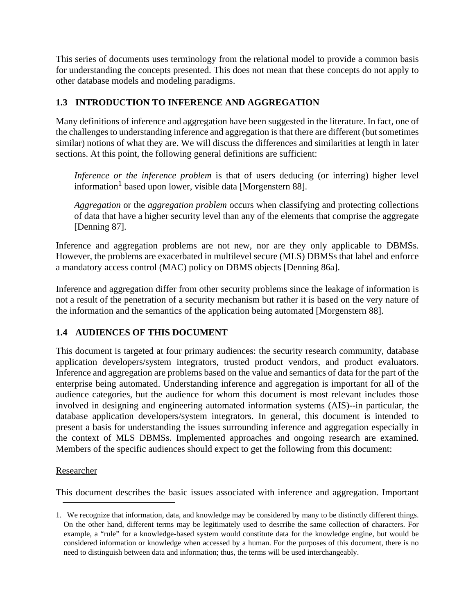This series of documents uses terminology from the relational model to provide a common basis for understanding the concepts presented. This does not mean that these concepts do not apply to other database models and modeling paradigms.

## **1.3 INTRODUCTION TO INFERENCE AND AGGREGATION**

Many definitions of inference and aggregation have been suggested in the literature. In fact, one of the challenges to understanding inference and aggregation is that there are different (but sometimes similar) notions of what they are. We will discuss the differences and similarities at length in later sections. At this point, the following general definitions are sufficient:

*Inference or the inference problem* is that of users deducing (or inferring) higher level information<sup>1</sup> based upon lower, visible data [Morgenstern 88].

*Aggregation* or the *aggregation problem* occurs when classifying and protecting collections of data that have a higher security level than any of the elements that comprise the aggregate [Denning 87].

Inference and aggregation problems are not new, nor are they only applicable to DBMSs. However, the problems are exacerbated in multilevel secure (MLS) DBMSs that label and enforce a mandatory access control (MAC) policy on DBMS objects [Denning 86a].

Inference and aggregation differ from other security problems since the leakage of information is not a result of the penetration of a security mechanism but rather it is based on the very nature of the information and the semantics of the application being automated [Morgenstern 88].

### **1.4 AUDIENCES OF THIS DOCUMENT**

This document is targeted at four primary audiences: the security research community, database application developers/system integrators, trusted product vendors, and product evaluators. Inference and aggregation are problems based on the value and semantics of data for the part of the enterprise being automated. Understanding inference and aggregation is important for all of the audience categories, but the audience for whom this document is most relevant includes those involved in designing and engineering automated information systems (AIS)--in particular, the database application developers/system integrators. In general, this document is intended to present a basis for understanding the issues surrounding inference and aggregation especially in the context of MLS DBMSs. Implemented approaches and ongoing research are examined. Members of the specific audiences should expect to get the following from this document:

### Researcher

This document describes the basic issues associated with inference and aggregation. Important

<sup>1.</sup> We recognize that information, data, and knowledge may be considered by many to be distinctly different things. On the other hand, different terms may be legitimately used to describe the same collection of characters. For example, a "rule" for a knowledge-based system would constitute data for the knowledge engine, but would be considered information or knowledge when accessed by a human. For the purposes of this document, there is no need to distinguish between data and information; thus, the terms will be used interchangeably.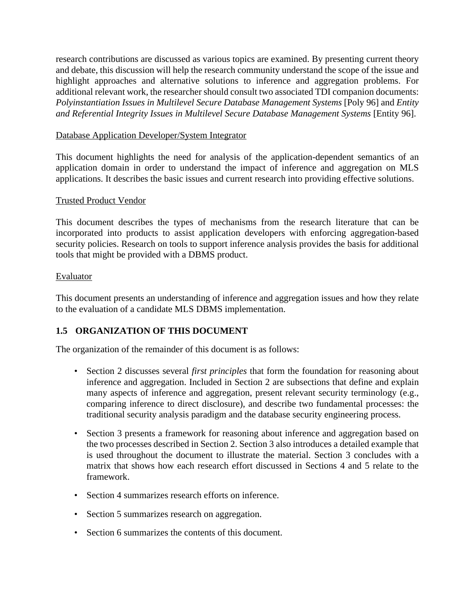research contributions are discussed as various topics are examined. By presenting current theory and debate, this discussion will help the research community understand the scope of the issue and highlight approaches and alternative solutions to inference and aggregation problems. For additional relevant work, the researcher should consult two associated TDI companion documents: *Polyinstantiation Issues in Multilevel Secure Database Management Systems* [Poly 96] and *Entity and Referential Integrity Issues in Multilevel Secure Database Management Systems* [Entity 96].

#### Database Application Developer/System Integrator

This document highlights the need for analysis of the application-dependent semantics of an application domain in order to understand the impact of inference and aggregation on MLS applications. It describes the basic issues and current research into providing effective solutions.

#### Trusted Product Vendor

This document describes the types of mechanisms from the research literature that can be incorporated into products to assist application developers with enforcing aggregation-based security policies. Research on tools to support inference analysis provides the basis for additional tools that might be provided with a DBMS product.

#### Evaluator

This document presents an understanding of inference and aggregation issues and how they relate to the evaluation of a candidate MLS DBMS implementation.

### **1.5 ORGANIZATION OF THIS DOCUMENT**

The organization of the remainder of this document is as follows:

- Section 2 discusses several *first principles* that form the foundation for reasoning about inference and aggregation. Included in Section 2 are subsections that define and explain many aspects of inference and aggregation, present relevant security terminology (e.g., comparing inference to direct disclosure), and describe two fundamental processes: the traditional security analysis paradigm and the database security engineering process.
- Section 3 presents a framework for reasoning about inference and aggregation based on the two processes described in Section 2. Section 3 also introduces a detailed example that is used throughout the document to illustrate the material. Section 3 concludes with a matrix that shows how each research effort discussed in Sections 4 and 5 relate to the framework.
- Section 4 summarizes research efforts on inference.
- Section 5 summarizes research on aggregation.
- Section 6 summarizes the contents of this document.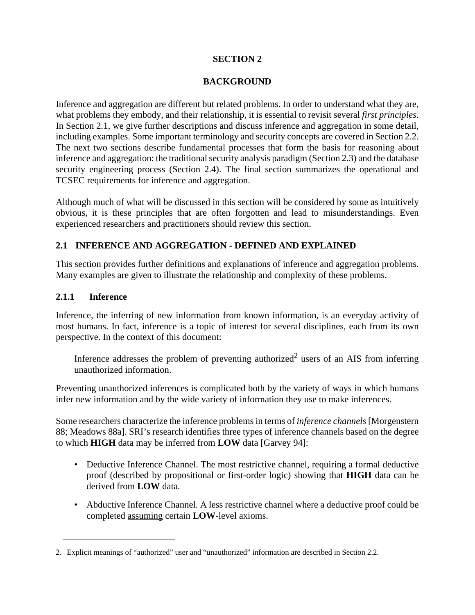### **SECTION 2**

#### **BACKGROUND**

Inference and aggregation are different but related problems. In order to understand what they are, what problems they embody, and their relationship, it is essential to revisit several *first principles*. In Section 2.1, we give further descriptions and discuss inference and aggregation in some detail, including examples. Some important terminology and security concepts are covered in Section 2.2. The next two sections describe fundamental processes that form the basis for reasoning about inference and aggregation: the traditional security analysis paradigm (Section 2.3) and the database security engineering process (Section 2.4). The final section summarizes the operational and TCSEC requirements for inference and aggregation.

Although much of what will be discussed in this section will be considered by some as intuitively obvious, it is these principles that are often forgotten and lead to misunderstandings. Even experienced researchers and practitioners should review this section.

### **2.1 INFERENCE AND AGGREGATION - DEFINED AND EXPLAINED**

This section provides further definitions and explanations of inference and aggregation problems. Many examples are given to illustrate the relationship and complexity of these problems.

#### **2.1.1 Inference**

Inference, the inferring of new information from known information, is an everyday activity of most humans. In fact, inference is a topic of interest for several disciplines, each from its own perspective. In the context of this document:

Inference addresses the problem of preventing authorized<sup>2</sup> users of an AIS from inferring unauthorized information.

Preventing unauthorized inferences is complicated both by the variety of ways in which humans infer new information and by the wide variety of information they use to make inferences.

Some researchers characterize the inference problems in terms of *inference channels* [Morgenstern 88; Meadows 88a]. SRI's research identifies three types of inference channels based on the degree to which **HIGH** data may be inferred from **LOW** data [Garvey 94]:

- Deductive Inference Channel. The most restrictive channel, requiring a formal deductive proof (described by propositional or first-order logic) showing that **HIGH** data can be derived from **LOW** data.
- Abductive Inference Channel. A less restrictive channel where a deductive proof could be completed assuming certain **LOW**-level axioms.

<sup>2.</sup> Explicit meanings of "authorized" user and "unauthorized" information are described in Section 2.2.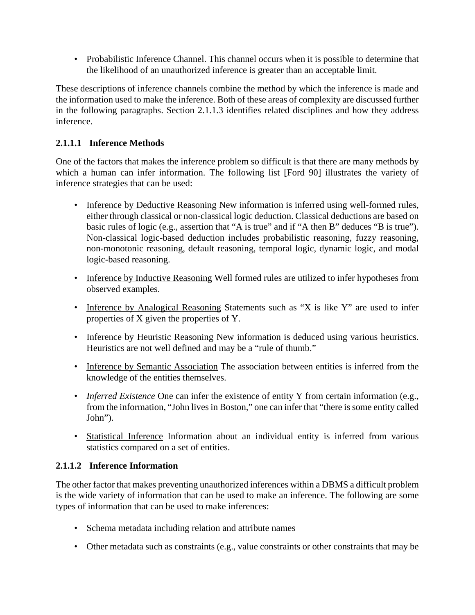• Probabilistic Inference Channel. This channel occurs when it is possible to determine that the likelihood of an unauthorized inference is greater than an acceptable limit.

These descriptions of inference channels combine the method by which the inference is made and the information used to make the inference. Both of these areas of complexity are discussed further in the following paragraphs. Section 2.1.1.3 identifies related disciplines and how they address inference.

# **2.1.1.1 Inference Methods**

One of the factors that makes the inference problem so difficult is that there are many methods by which a human can infer information. The following list [Ford 90] illustrates the variety of inference strategies that can be used:

- Inference by Deductive Reasoning New information is inferred using well-formed rules, either through classical or non-classical logic deduction. Classical deductions are based on basic rules of logic (e.g., assertion that "A is true" and if "A then B" deduces "B is true"). Non-classical logic-based deduction includes probabilistic reasoning, fuzzy reasoning, non-monotonic reasoning, default reasoning, temporal logic, dynamic logic, and modal logic-based reasoning.
- Inference by Inductive Reasoning Well formed rules are utilized to infer hypotheses from observed examples.
- Inference by Analogical Reasoning Statements such as "X is like Y" are used to infer properties of X given the properties of Y.
- Inference by Heuristic Reasoning New information is deduced using various heuristics. Heuristics are not well defined and may be a "rule of thumb."
- Inference by Semantic Association The association between entities is inferred from the knowledge of the entities themselves.
- *Inferred Existence* One can infer the existence of entity Y from certain information (e.g., from the information, "John lives in Boston," one can infer that "there is some entity called John").
- Statistical Inference Information about an individual entity is inferred from various statistics compared on a set of entities.

# **2.1.1.2 Inference Information**

The other factor that makes preventing unauthorized inferences within a DBMS a difficult problem is the wide variety of information that can be used to make an inference. The following are some types of information that can be used to make inferences:

- Schema metadata including relation and attribute names
- Other metadata such as constraints (e.g., value constraints or other constraints that may be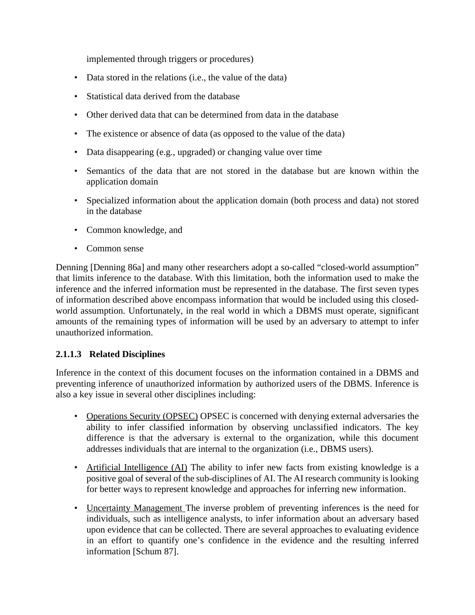implemented through triggers or procedures)

- Data stored in the relations (i.e., the value of the data)
- Statistical data derived from the database
- Other derived data that can be determined from data in the database
- The existence or absence of data (as opposed to the value of the data)
- Data disappearing (e.g., upgraded) or changing value over time
- Semantics of the data that are not stored in the database but are known within the application domain
- Specialized information about the application domain (both process and data) not stored in the database
- Common knowledge, and
- Common sense

Denning [Denning 86a] and many other researchers adopt a so-called "closed-world assumption" that limits inference to the database. With this limitation, both the information used to make the inference and the inferred information must be represented in the database. The first seven types of information described above encompass information that would be included using this closedworld assumption. Unfortunately, in the real world in which a DBMS must operate, significant amounts of the remaining types of information will be used by an adversary to attempt to infer unauthorized information.

# **2.1.1.3 Related Disciplines**

Inference in the context of this document focuses on the information contained in a DBMS and preventing inference of unauthorized information by authorized users of the DBMS. Inference is also a key issue in several other disciplines including:

- Operations Security (OPSEC) OPSEC is concerned with denying external adversaries the ability to infer classified information by observing unclassified indicators. The key difference is that the adversary is external to the organization, while this document addresses individuals that are internal to the organization (i.e., DBMS users).
- Artificial Intelligence (AI) The ability to infer new facts from existing knowledge is a positive goal of several of the sub-disciplines of AI. The AI research community is looking for better ways to represent knowledge and approaches for inferring new information.
- Uncertainty Management The inverse problem of preventing inferences is the need for individuals, such as intelligence analysts, to infer information about an adversary based upon evidence that can be collected. There are several approaches to evaluating evidence in an effort to quantify one's confidence in the evidence and the resulting inferred information [Schum 87].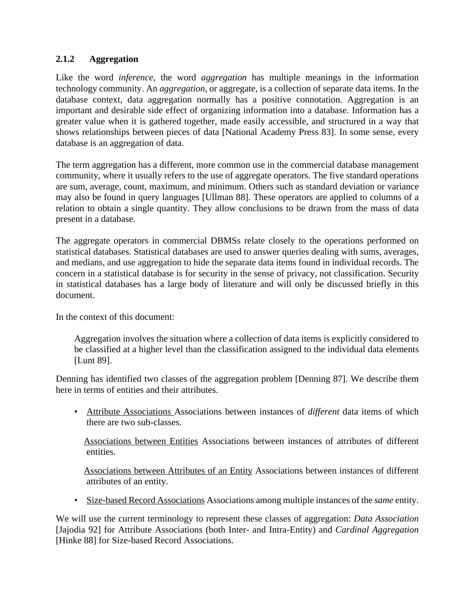### **2.1.2 Aggregation**

Like the word *inference*, the word *aggregation* has multiple meanings in the information technology community. An *aggregation*, or aggregate, is a collection of separate data items. In the database context, data aggregation normally has a positive connotation. Aggregation is an important and desirable side effect of organizing information into a database. Information has a greater value when it is gathered together, made easily accessible, and structured in a way that shows relationships between pieces of data [National Academy Press 83]. In some sense, every database is an aggregation of data.

The term aggregation has a different, more common use in the commercial database management community, where it usually refers to the use of aggregate operators. The five standard operations are sum, average, count, maximum, and minimum. Others such as standard deviation or variance may also be found in query languages [Ullman 88]. These operators are applied to columns of a relation to obtain a single quantity. They allow conclusions to be drawn from the mass of data present in a database.

The aggregate operators in commercial DBMSs relate closely to the operations performed on statistical databases. Statistical databases are used to answer queries dealing with sums, averages, and medians, and use aggregation to hide the separate data items found in individual records. The concern in a statistical database is for security in the sense of privacy, not classification. Security in statistical databases has a large body of literature and will only be discussed briefly in this document.

In the context of this document:

Aggregation involves the situation where a collection of data items is explicitly considered to be classified at a higher level than the classification assigned to the individual data elements [Lunt 89].

Denning has identified two classes of the aggregation problem [Denning 87]. We describe them here in terms of entities and their attributes.

• Attribute Associations Associations between instances of *different* data items of which there are two sub-classes.

Associations between Entities Associations between instances of attributes of different entities.

Associations between Attributes of an Entity Associations between instances of different attributes of an entity.

• Size-based Record Associations Associations among multiple instances of the *same* entity.

We will use the current terminology to represent these classes of aggregation: *Data Association* [Jajodia 92] for Attribute Associations (both Inter- and Intra-Entity) and *Cardinal Aggregation* [Hinke 88] for Size-based Record Associations.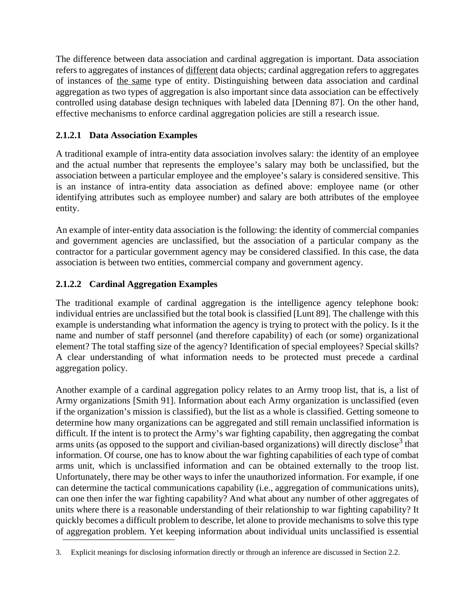The difference between data association and cardinal aggregation is important. Data association refers to aggregates of instances of different data objects; cardinal aggregation refers to aggregates of instances of the same type of entity. Distinguishing between data association and cardinal aggregation as two types of aggregation is also important since data association can be effectively controlled using database design techniques with labeled data [Denning 87]. On the other hand, effective mechanisms to enforce cardinal aggregation policies are still a research issue.

# **2.1.2.1 Data Association Examples**

A traditional example of intra-entity data association involves salary: the identity of an employee and the actual number that represents the employee's salary may both be unclassified, but the association between a particular employee and the employee's salary is considered sensitive. This is an instance of intra-entity data association as defined above: employee name (or other identifying attributes such as employee number) and salary are both attributes of the employee entity.

An example of inter-entity data association is the following: the identity of commercial companies and government agencies are unclassified, but the association of a particular company as the contractor for a particular government agency may be considered classified. In this case, the data association is between two entities, commercial company and government agency.

## **2.1.2.2 Cardinal Aggregation Examples**

The traditional example of cardinal aggregation is the intelligence agency telephone book: individual entries are unclassified but the total book is classified [Lunt 89]. The challenge with this example is understanding what information the agency is trying to protect with the policy. Is it the name and number of staff personnel (and therefore capability) of each (or some) organizational element? The total staffing size of the agency? Identification of special employees? Special skills? A clear understanding of what information needs to be protected must precede a cardinal aggregation policy.

Another example of a cardinal aggregation policy relates to an Army troop list, that is, a list of Army organizations [Smith 91]. Information about each Army organization is unclassified (even if the organization's mission is classified), but the list as a whole is classified. Getting someone to determine how many organizations can be aggregated and still remain unclassified information is difficult. If the intent is to protect the Army's war fighting capability, then aggregating the combat arms units (as opposed to the support and civilian-based organizations) will directly disclose<sup>3</sup> that information. Of course, one has to know about the war fighting capabilities of each type of combat arms unit, which is unclassified information and can be obtained externally to the troop list. Unfortunately, there may be other ways to infer the unauthorized information. For example, if one can determine the tactical communications capability (i.e., aggregation of communications units), can one then infer the war fighting capability? And what about any number of other aggregates of units where there is a reasonable understanding of their relationship to war fighting capability? It quickly becomes a difficult problem to describe, let alone to provide mechanisms to solve this type of aggregation problem. Yet keeping information about individual units unclassified is essential

<sup>3.</sup> Explicit meanings for disclosing information directly or through an inference are discussed in Section 2.2.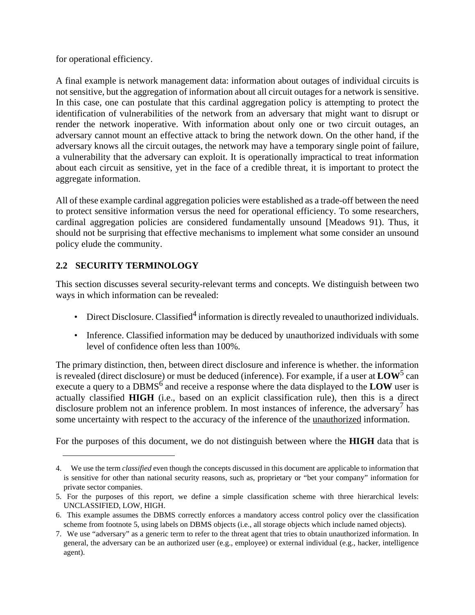for operational efficiency.

A final example is network management data: information about outages of individual circuits is not sensitive, but the aggregation of information about all circuit outages for a network is sensitive. In this case, one can postulate that this cardinal aggregation policy is attempting to protect the identification of vulnerabilities of the network from an adversary that might want to disrupt or render the network inoperative. With information about only one or two circuit outages, an adversary cannot mount an effective attack to bring the network down. On the other hand, if the adversary knows all the circuit outages, the network may have a temporary single point of failure, a vulnerability that the adversary can exploit. It is operationally impractical to treat information about each circuit as sensitive, yet in the face of a credible threat, it is important to protect the aggregate information.

All of these example cardinal aggregation policies were established as a trade-off between the need to protect sensitive information versus the need for operational efficiency. To some researchers, cardinal aggregation policies are considered fundamentally unsound [Meadows 91). Thus, it should not be surprising that effective mechanisms to implement what some consider an unsound policy elude the community.

# **2.2 SECURITY TERMINOLOGY**

This section discusses several security-relevant terms and concepts. We distinguish between two ways in which information can be revealed:

- Direct Disclosure. Classified<sup>4</sup> information is directly revealed to unauthorized individuals.
- Inference. Classified information may be deduced by unauthorized individuals with some level of confidence often less than 100%.

The primary distinction, then, between direct disclosure and inference is whether. the information is revealed (direct disclosure) or must be deduced (inference). For example, if a user at  $LOW^5$  can execute a query to a DBMS<sup>6</sup> and receive a response where the data displayed to the LOW user is actually classified **HIGH** (i.e., based on an explicit classification rule), then this is a direct disclosure problem not an inference problem. In most instances of inference, the adversary<sup>7</sup> has some uncertainty with respect to the accuracy of the inference of the unauthorized information.

For the purposes of this document, we do not distinguish between where the **HIGH** data that is

<sup>4.</sup> We use the term *classified* even though the concepts discussed in this document are applicable to information that is sensitive for other than national security reasons, such as, proprietary or "bet your company" information for private sector companies.

<sup>5.</sup> For the purposes of this report, we define a simple classification scheme with three hierarchical levels: UNCLASSIFIED, LOW, HIGH.

<sup>6.</sup> This example assumes the DBMS correctly enforces a mandatory access control policy over the classification scheme from footnote 5, using labels on DBMS objects (i.e., all storage objects which include named objects).

<sup>7.</sup> We use "adversary" as a generic term to refer to the threat agent that tries to obtain unauthorized information. In general, the adversary can be an authorized user (e.g., employee) or external individual (e.g., hacker, intelligence agent).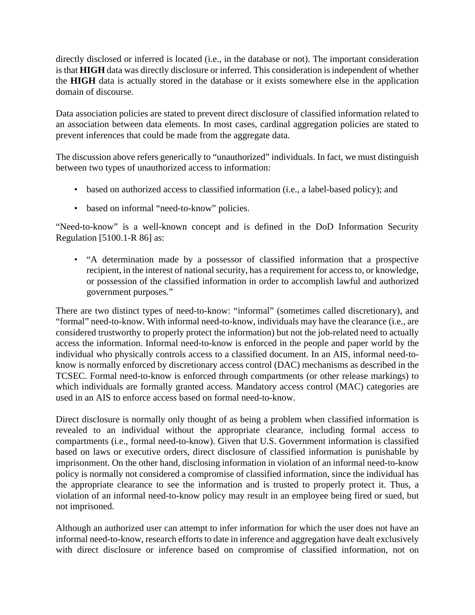directly disclosed or inferred is located (i.e., in the database or not). The important consideration is that **HIGH** data was directly disclosure or inferred. This consideration is independent of whether the **HIGH** data is actually stored in the database or it exists somewhere else in the application domain of discourse.

Data association policies are stated to prevent direct disclosure of classified information related to an association between data elements. In most cases, cardinal aggregation policies are stated to prevent inferences that could be made from the aggregate data.

The discussion above refers generically to "unauthorized" individuals. In fact, we must distinguish between two types of unauthorized access to information:

- based on authorized access to classified information (i.e., a label-based policy); and
- based on informal "need-to-know" policies.

"Need-to-know" is a well-known concept and is defined in the DoD Information Security Regulation [5100.1-R 86] as:

• "A determination made by a possessor of classified information that a prospective recipient, in the interest of national security, has a requirement for access to, or knowledge, or possession of the classified information in order to accomplish lawful and authorized government purposes."

There are two distinct types of need-to-know: "informal" (sometimes called discretionary), and "formal" need-to-know. With informal need-to-know, individuals may have the clearance (i.e., are considered trustworthy to properly protect the information) but not the job-related need to actually access the information. Informal need-to-know is enforced in the people and paper world by the individual who physically controls access to a classified document. In an AIS, informal need-toknow is normally enforced by discretionary access control (DAC) mechanisms as described in the TCSEC. Formal need-to-know is enforced through compartments (or other release markings) to which individuals are formally granted access. Mandatory access control (MAC) categories are used in an AIS to enforce access based on formal need-to-know.

Direct disclosure is normally only thought of as being a problem when classified information is revealed to an individual without the appropriate clearance, including formal access to compartments (i.e., formal need-to-know). Given that U.S. Government information is classified based on laws or executive orders, direct disclosure of classified information is punishable by imprisonment. On the other hand, disclosing information in violation of an informal need-to-know policy is normally not considered a compromise of classified information, since the individual has the appropriate clearance to see the information and is trusted to properly protect it. Thus, a violation of an informal need-to-know policy may result in an employee being fired or sued, but not imprisoned.

Although an authorized user can attempt to infer information for which the user does not have an informal need-to-know, research efforts to date in inference and aggregation have dealt exclusively with direct disclosure or inference based on compromise of classified information, not on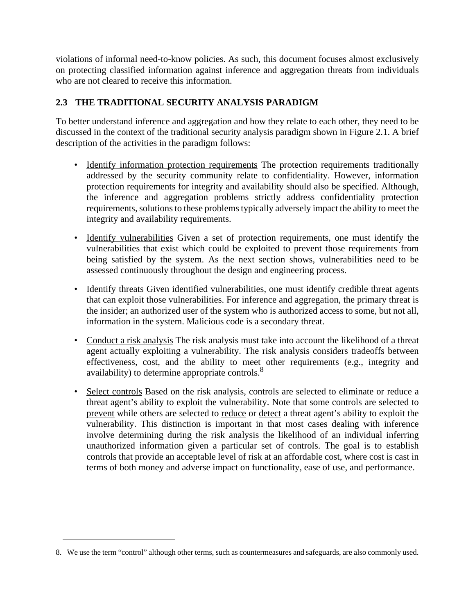violations of informal need-to-know policies. As such, this document focuses almost exclusively on protecting classified information against inference and aggregation threats from individuals who are not cleared to receive this information.

# **2.3 THE TRADITIONAL SECURITY ANALYSIS PARADIGM**

To better understand inference and aggregation and how they relate to each other, they need to be discussed in the context of the traditional security analysis paradigm shown in Figure 2.1. A brief description of the activities in the paradigm follows:

- Identify information protection requirements The protection requirements traditionally addressed by the security community relate to confidentiality. However, information protection requirements for integrity and availability should also be specified. Although, the inference and aggregation problems strictly address confidentiality protection requirements, solutions to these problems typically adversely impact the ability to meet the integrity and availability requirements.
- Identify vulnerabilities Given a set of protection requirements, one must identify the vulnerabilities that exist which could be exploited to prevent those requirements from being satisfied by the system. As the next section shows, vulnerabilities need to be assessed continuously throughout the design and engineering process.
- Identify threats Given identified vulnerabilities, one must identify credible threat agents that can exploit those vulnerabilities. For inference and aggregation, the primary threat is the insider; an authorized user of the system who is authorized access to some, but not all, information in the system. Malicious code is a secondary threat.
- Conduct a risk analysis The risk analysis must take into account the likelihood of a threat agent actually exploiting a vulnerability. The risk analysis considers tradeoffs between effectiveness, cost, and the ability to meet other requirements (e.g., integrity and availability) to determine appropriate controls.<sup>8</sup>
- Select controls Based on the risk analysis, controls are selected to eliminate or reduce a threat agent's ability to exploit the vulnerability. Note that some controls are selected to prevent while others are selected to reduce or detect a threat agent's ability to exploit the vulnerability. This distinction is important in that most cases dealing with inference involve determining during the risk analysis the likelihood of an individual inferring unauthorized information given a particular set of controls. The goal is to establish controls that provide an acceptable level of risk at an affordable cost, where cost is cast in terms of both money and adverse impact on functionality, ease of use, and performance.

<sup>8.</sup> We use the term "control" although other terms, such as countermeasures and safeguards, are also commonly used.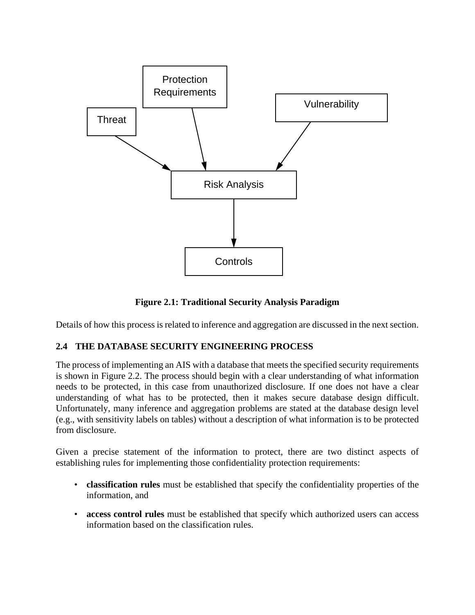

**Figure 2.1: Traditional Security Analysis Paradigm**

Details of how this process is related to inference and aggregation are discussed in the next section.

### **2.4 THE DATABASE SECURITY ENGINEERING PROCESS**

The process of implementing an AIS with a database that meets the specified security requirements is shown in Figure 2.2. The process should begin with a clear understanding of what information needs to be protected, in this case from unauthorized disclosure. If one does not have a clear understanding of what has to be protected, then it makes secure database design difficult. Unfortunately, many inference and aggregation problems are stated at the database design level (e.g., with sensitivity labels on tables) without a description of what information is to be protected from disclosure.

Given a precise statement of the information to protect, there are two distinct aspects of establishing rules for implementing those confidentiality protection requirements:

- **classification rules** must be established that specify the confidentiality properties of the information, and
- **access control rules** must be established that specify which authorized users can access information based on the classification rules.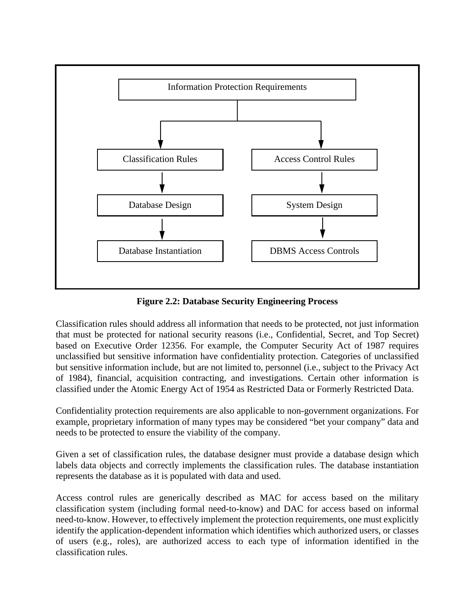

**Figure 2.2: Database Security Engineering Process**

Classification rules should address all information that needs to be protected, not just information that must be protected for national security reasons (i.e., Confidential, Secret, and Top Secret) based on Executive Order 12356. For example, the Computer Security Act of 1987 requires unclassified but sensitive information have confidentiality protection. Categories of unclassified but sensitive information include, but are not limited to, personnel (i.e., subject to the Privacy Act of 1984), financial, acquisition contracting, and investigations. Certain other information is classified under the Atomic Energy Act of 1954 as Restricted Data or Formerly Restricted Data.

Confidentiality protection requirements are also applicable to non-government organizations. For example, proprietary information of many types may be considered "bet your company" data and needs to be protected to ensure the viability of the company.

Given a set of classification rules, the database designer must provide a database design which labels data objects and correctly implements the classification rules. The database instantiation represents the database as it is populated with data and used.

Access control rules are generically described as MAC for access based on the military classification system (including formal need-to-know) and DAC for access based on informal need-to-know. However, to effectively implement the protection requirements, one must explicitly identify the application-dependent information which identifies which authorized users, or classes of users (e.g., roles), are authorized access to each type of information identified in the classification rules.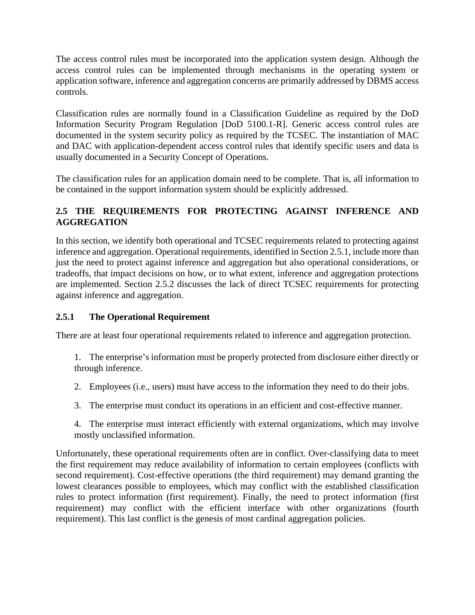The access control rules must be incorporated into the application system design. Although the access control rules can be implemented through mechanisms in the operating system or application software, inference and aggregation concerns are primarily addressed by DBMS access controls.

Classification rules are normally found in a Classification Guideline as required by the DoD Information Security Program Regulation [DoD 5100.1-R]. Generic access control rules are documented in the system security policy as required by the TCSEC. The instantiation of MAC and DAC with application-dependent access control rules that identify specific users and data is usually documented in a Security Concept of Operations.

The classification rules for an application domain need to be complete. That is, all information to be contained in the support information system should be explicitly addressed.

# **2.5 THE REQUIREMENTS FOR PROTECTING AGAINST INFERENCE AND AGGREGATION**

In this section, we identify both operational and TCSEC requirements related to protecting against inference and aggregation. Operational requirements, identified in Section 2.5.1, include more than just the need to protect against inference and aggregation but also operational considerations, or tradeoffs, that impact decisions on how, or to what extent, inference and aggregation protections are implemented. Section 2.5.2 discusses the lack of direct TCSEC requirements for protecting against inference and aggregation.

# **2.5.1 The Operational Requirement**

There are at least four operational requirements related to inference and aggregation protection.

- 1. The enterprise's information must be properly protected from disclosure either directly or through inference.
- 2. Employees (i.e., users) must have access to the information they need to do their jobs.
- 3. The enterprise must conduct its operations in an efficient and cost-effective manner.
- 4. The enterprise must interact efficiently with external organizations, which may involve mostly unclassified information.

Unfortunately, these operational requirements often are in conflict. Over-classifying data to meet the first requirement may reduce availability of information to certain employees (conflicts with second requirement). Cost-effective operations (the third requirement) may demand granting the lowest clearances possible to employees, which may conflict with the established classification rules to protect information (first requirement). Finally, the need to protect information (first requirement) may conflict with the efficient interface with other organizations (fourth requirement). This last conflict is the genesis of most cardinal aggregation policies.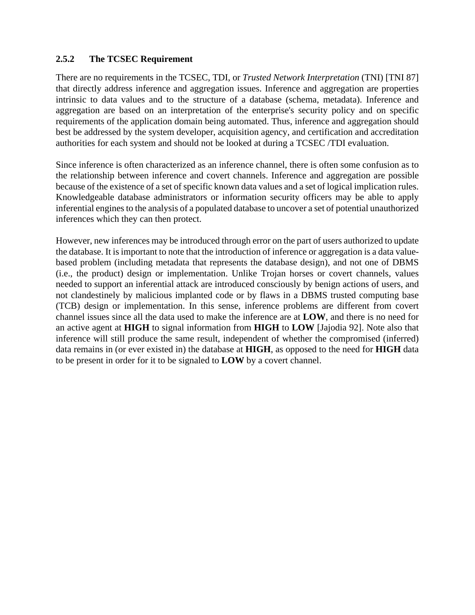#### **2.5.2 The TCSEC Requirement**

There are no requirements in the TCSEC, TDI, or *Trusted Network Interpretation* (TNI) [TNI 87] that directly address inference and aggregation issues. Inference and aggregation are properties intrinsic to data values and to the structure of a database (schema, metadata). Inference and aggregation are based on an interpretation of the enterprise's security policy and on specific requirements of the application domain being automated. Thus, inference and aggregation should best be addressed by the system developer, acquisition agency, and certification and accreditation authorities for each system and should not be looked at during a TCSEC /TDI evaluation.

Since inference is often characterized as an inference channel, there is often some confusion as to the relationship between inference and covert channels. Inference and aggregation are possible because of the existence of a set of specific known data values and a set of logical implication rules. Knowledgeable database administrators or information security officers may be able to apply inferential engines to the analysis of a populated database to uncover a set of potential unauthorized inferences which they can then protect.

However, new inferences may be introduced through error on the part of users authorized to update the database. It is important to note that the introduction of inference or aggregation is a data valuebased problem (including metadata that represents the database design), and not one of DBMS (i.e., the product) design or implementation. Unlike Trojan horses or covert channels, values needed to support an inferential attack are introduced consciously by benign actions of users, and not clandestinely by malicious implanted code or by flaws in a DBMS trusted computing base (TCB) design or implementation. In this sense, inference problems are different from covert channel issues since all the data used to make the inference are at **LOW**, and there is no need for an active agent at **HIGH** to signal information from **HIGH** to **LOW** [Jajodia 92]. Note also that inference will still produce the same result, independent of whether the compromised (inferred) data remains in (or ever existed in) the database at **HIGH**, as opposed to the need for **HIGH** data to be present in order for it to be signaled to **LOW** by a covert channel.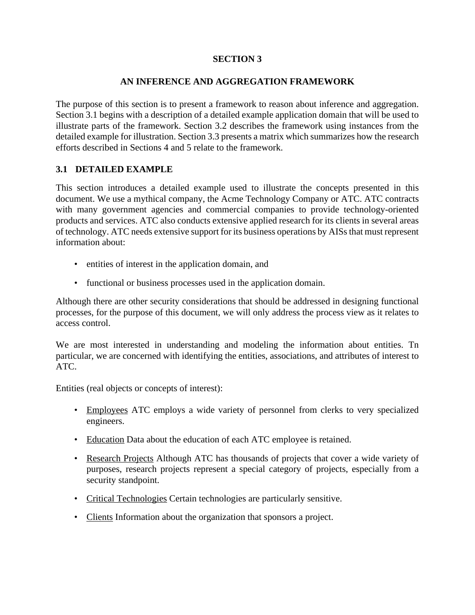### **SECTION 3**

#### **AN INFERENCE AND AGGREGATION FRAMEWORK**

The purpose of this section is to present a framework to reason about inference and aggregation. Section 3.1 begins with a description of a detailed example application domain that will be used to illustrate parts of the framework. Section 3.2 describes the framework using instances from the detailed example for illustration. Section 3.3 presents a matrix which summarizes how the research efforts described in Sections 4 and 5 relate to the framework.

#### **3.1 DETAILED EXAMPLE**

This section introduces a detailed example used to illustrate the concepts presented in this document. We use a mythical company, the Acme Technology Company or ATC. ATC contracts with many government agencies and commercial companies to provide technology-oriented products and services. ATC also conducts extensive applied research for its clients in several areas of technology. ATC needs extensive support for its business operations by AISs that must represent information about:

- entities of interest in the application domain, and
- functional or business processes used in the application domain.

Although there are other security considerations that should be addressed in designing functional processes, for the purpose of this document, we will only address the process view as it relates to access control.

We are most interested in understanding and modeling the information about entities. Tn particular, we are concerned with identifying the entities, associations, and attributes of interest to ATC.

Entities (real objects or concepts of interest):

- Employees ATC employs a wide variety of personnel from clerks to very specialized engineers.
- Education Data about the education of each ATC employee is retained.
- Research Projects Although ATC has thousands of projects that cover a wide variety of purposes, research projects represent a special category of projects, especially from a security standpoint.
- Critical Technologies Certain technologies are particularly sensitive.
- Clients Information about the organization that sponsors a project.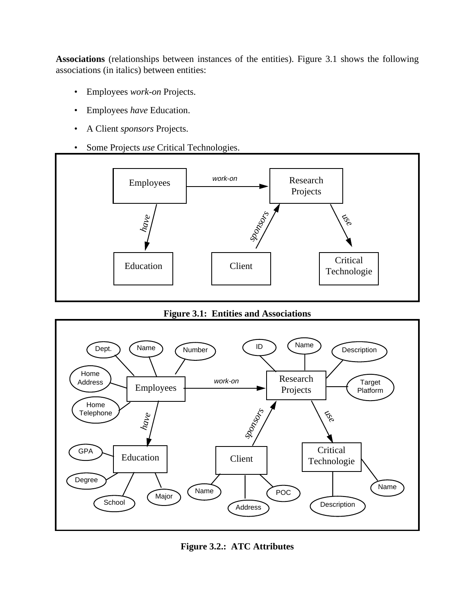**Associations** (relationships between instances of the entities). Figure 3.1 shows the following associations (in italics) between entities:

- Employees *work-on* Projects.
- Employees *have* Education.
- A Client *sponsors* Projects.
- Some Projects *use* Critical Technologies.





**Figure 3.2.: ATC Attributes**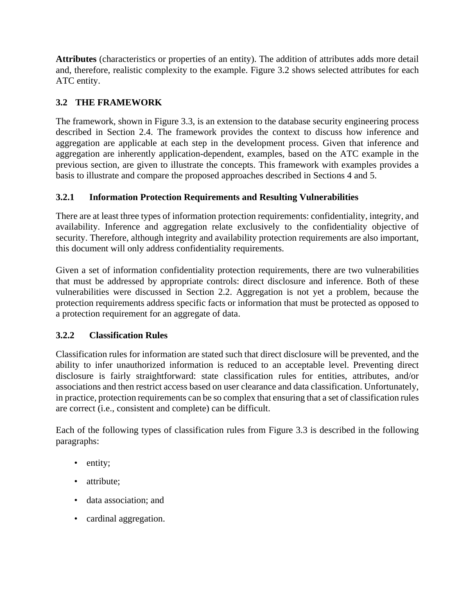**Attributes** (characteristics or properties of an entity). The addition of attributes adds more detail and, therefore, realistic complexity to the example. Figure 3.2 shows selected attributes for each ATC entity.

# **3.2 THE FRAMEWORK**

The framework, shown in Figure 3.3, is an extension to the database security engineering process described in Section 2.4. The framework provides the context to discuss how inference and aggregation are applicable at each step in the development process. Given that inference and aggregation are inherently application-dependent, examples, based on the ATC example in the previous section, are given to illustrate the concepts. This framework with examples provides a basis to illustrate and compare the proposed approaches described in Sections 4 and 5.

## **3.2.1 Information Protection Requirements and Resulting Vulnerabilities**

There are at least three types of information protection requirements: confidentiality, integrity, and availability. Inference and aggregation relate exclusively to the confidentiality objective of security. Therefore, although integrity and availability protection requirements are also important, this document will only address confidentiality requirements.

Given a set of information confidentiality protection requirements, there are two vulnerabilities that must be addressed by appropriate controls: direct disclosure and inference. Both of these vulnerabilities were discussed in Section 2.2. Aggregation is not yet a problem, because the protection requirements address specific facts or information that must be protected as opposed to a protection requirement for an aggregate of data.

### **3.2.2 Classification Rules**

Classification rules for information are stated such that direct disclosure will be prevented, and the ability to infer unauthorized information is reduced to an acceptable level. Preventing direct disclosure is fairly straightforward: state classification rules for entities, attributes, and/or associations and then restrict access based on user clearance and data classification. Unfortunately, in practice, protection requirements can be so complex that ensuring that a set of classification rules are correct (i.e., consistent and complete) can be difficult.

Each of the following types of classification rules from Figure 3.3 is described in the following paragraphs:

- entity;
- attribute:
- data association; and
- cardinal aggregation.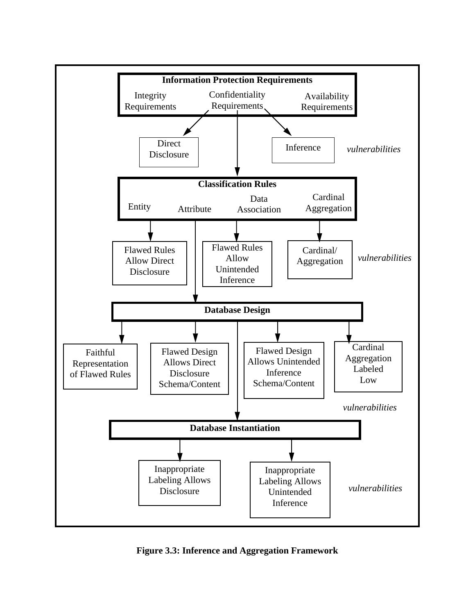

**Figure 3.3: Inference and Aggregation Framework**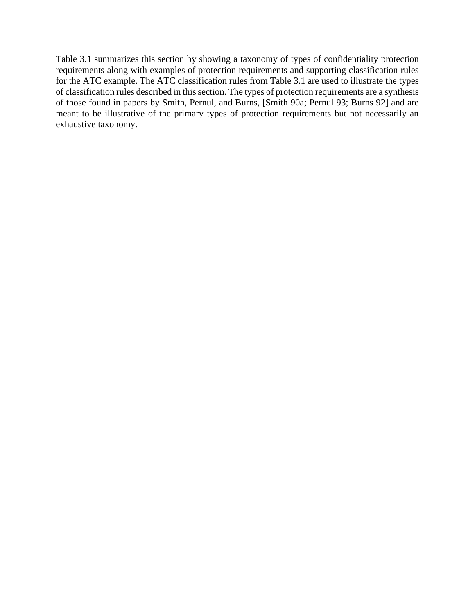Table 3.1 summarizes this section by showing a taxonomy of types of confidentiality protection requirements along with examples of protection requirements and supporting classification rules for the ATC example. The ATC classification rules from Table 3.1 are used to illustrate the types of classification rules described in this section. The types of protection requirements are a synthesis of those found in papers by Smith, Pernul, and Burns, [Smith 90a; Pernul 93; Burns 92] and are meant to be illustrative of the primary types of protection requirements but not necessarily an exhaustive taxonomy.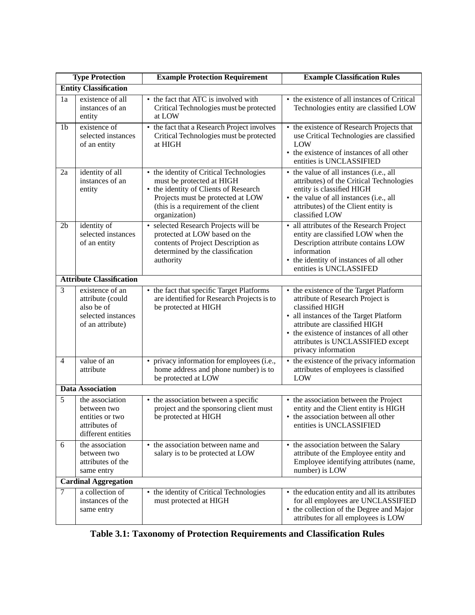|                | <b>Type Protection</b>                                                                      | <b>Example Protection Requirement</b><br><b>Example Classification Rules</b>                                                                                                                                |                                                                                                                                                                                                                                                                                   |  |  |  |
|----------------|---------------------------------------------------------------------------------------------|-------------------------------------------------------------------------------------------------------------------------------------------------------------------------------------------------------------|-----------------------------------------------------------------------------------------------------------------------------------------------------------------------------------------------------------------------------------------------------------------------------------|--|--|--|
|                | <b>Entity Classification</b>                                                                |                                                                                                                                                                                                             |                                                                                                                                                                                                                                                                                   |  |  |  |
| 1a             | existence of all<br>instances of an<br>entity                                               | • the fact that ATC is involved with<br>Critical Technologies must be protected<br>at LOW                                                                                                                   | • the existence of all instances of Critical<br>Technologies entity are classified LOW                                                                                                                                                                                            |  |  |  |
| 1 <sub>b</sub> | existence of<br>selected instances<br>of an entity                                          | • the fact that a Research Project involves<br>Critical Technologies must be protected<br>at HIGH                                                                                                           | • the existence of Research Projects that<br>use Critical Technologies are classified<br>LOW<br>• the existence of instances of all other<br>entities is UNCLASSIFIED                                                                                                             |  |  |  |
| 2a             | identity of all<br>instances of an<br>entity                                                | • the identity of Critical Technologies<br>must be protected at HIGH<br>• the identity of Clients of Research<br>Projects must be protected at LOW<br>(this is a requirement of the client<br>organization) | • the value of all instances (i.e., all<br>attributes) of the Critical Technologies<br>entity is classified HIGH<br>• the value of all instances (i.e., all<br>attributes) of the Client entity is<br>classified LOW                                                              |  |  |  |
| 2 <sub>b</sub> | identity of<br>selected instances<br>of an entity                                           | · selected Research Projects will be<br>protected at LOW based on the<br>contents of Project Description as<br>determined by the classification<br>authority                                                | • all attributes of the Research Project<br>entity are classified LOW when the<br>Description attribute contains LOW<br>information<br>• the identity of instances of all other<br>entities is UNCLASSIFED                                                                        |  |  |  |
|                | <b>Attribute Classification</b>                                                             |                                                                                                                                                                                                             |                                                                                                                                                                                                                                                                                   |  |  |  |
| $\overline{3}$ | existence of an<br>attribute (could<br>also be of<br>selected instances<br>of an attribute) | • the fact that specific Target Platforms<br>are identified for Research Projects is to<br>be protected at HIGH                                                                                             | • the existence of the Target Platform<br>attribute of Research Project is<br>classified HIGH<br>• all instances of the Target Platform<br>attribute are classified HIGH<br>• the existence of instances of all other<br>attributes is UNCLASSIFIED except<br>privacy information |  |  |  |
| $\overline{4}$ | value of an<br>attribute                                                                    | • privacy information for employees (i.e.,<br>home address and phone number) is to<br>be protected at LOW                                                                                                   | • the existence of the privacy information<br>attributes of employees is classified<br>LOW                                                                                                                                                                                        |  |  |  |
|                | <b>Data Association</b>                                                                     |                                                                                                                                                                                                             |                                                                                                                                                                                                                                                                                   |  |  |  |
| 5              | the association<br>between two<br>entities or two<br>attributes of<br>different entities    | • the association between a specific<br>project and the sponsoring client must<br>be protected at HIGH                                                                                                      | • the association between the Project<br>entity and the Client entity is HIGH<br>• the association between all other<br>entities is UNCLASSIFIED                                                                                                                                  |  |  |  |
| 6              | the association<br>between two<br>attributes of the<br>same entry                           | • the association between name and<br>salary is to be protected at LOW                                                                                                                                      | • the association between the Salary<br>attribute of the Employee entity and<br>Employee identifying attributes (name,<br>number) is LOW                                                                                                                                          |  |  |  |
|                | <b>Cardinal Aggregation</b>                                                                 |                                                                                                                                                                                                             |                                                                                                                                                                                                                                                                                   |  |  |  |
| $\overline{7}$ | a collection of<br>instances of the<br>same entry                                           | • the identity of Critical Technologies<br>must protected at HIGH                                                                                                                                           | • the education entity and all its attributes<br>for all employees are UNCLASSIFIED<br>• the collection of the Degree and Major<br>attributes for all employees is LOW                                                                                                            |  |  |  |

**Table 3.1: Taxonomy of Protection Requirements and Classification Rules**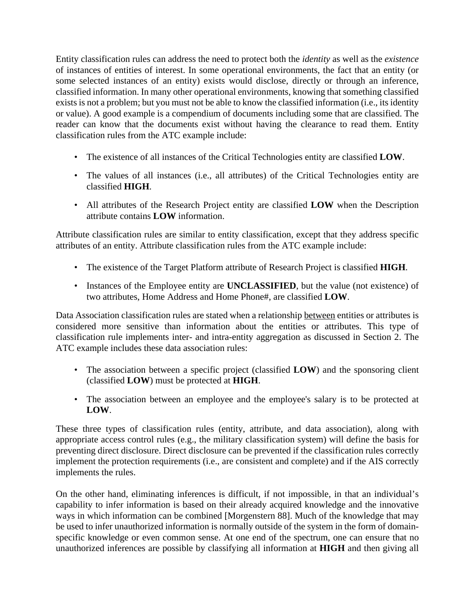Entity classification rules can address the need to protect both the *identity* as well as the *existence* of instances of entities of interest. In some operational environments, the fact that an entity (or some selected instances of an entity) exists would disclose, directly or through an inference, classified information. In many other operational environments, knowing that something classified exists is not a problem; but you must not be able to know the classified information (i.e., its identity or value). A good example is a compendium of documents including some that are classified. The reader can know that the documents exist without having the clearance to read them. Entity classification rules from the ATC example include:

- The existence of all instances of the Critical Technologies entity are classified **LOW**.
- The values of all instances (i.e., all attributes) of the Critical Technologies entity are classified **HIGH**.
- All attributes of the Research Project entity are classified **LOW** when the Description attribute contains **LOW** information.

Attribute classification rules are similar to entity classification, except that they address specific attributes of an entity. Attribute classification rules from the ATC example include:

- The existence of the Target Platform attribute of Research Project is classified **HIGH**.
- Instances of the Employee entity are **UNCLASSIFIED**, but the value (not existence) of two attributes, Home Address and Home Phone#, are classified **LOW**.

Data Association classification rules are stated when a relationship between entities or attributes is considered more sensitive than information about the entities or attributes. This type of classification rule implements inter- and intra-entity aggregation as discussed in Section 2. The ATC example includes these data association rules:

- The association between a specific project (classified **LOW**) and the sponsoring client (classified **LOW**) must be protected at **HIGH**.
- The association between an employee and the employee's salary is to be protected at **LOW**.

These three types of classification rules (entity, attribute, and data association), along with appropriate access control rules (e.g., the military classification system) will define the basis for preventing direct disclosure. Direct disclosure can be prevented if the classification rules correctly implement the protection requirements (i.e., are consistent and complete) and if the AIS correctly implements the rules.

On the other hand, eliminating inferences is difficult, if not impossible, in that an individual's capability to infer information is based on their already acquired knowledge and the innovative ways in which information can be combined [Morgenstern 88]. Much of the knowledge that may be used to infer unauthorized information is normally outside of the system in the form of domainspecific knowledge or even common sense. At one end of the spectrum, one can ensure that no unauthorized inferences are possible by classifying all information at **HIGH** and then giving all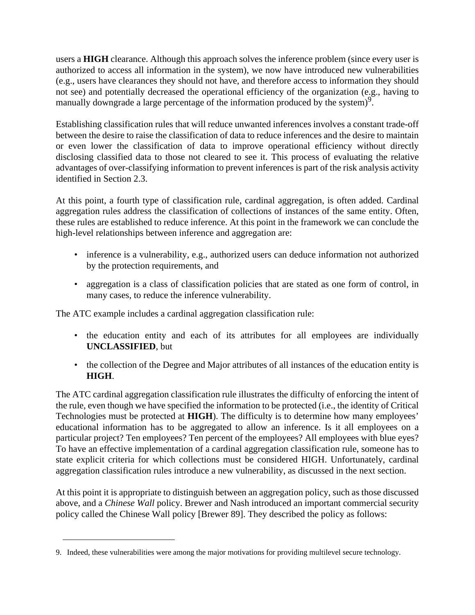users a **HIGH** clearance. Although this approach solves the inference problem (since every user is authorized to access all information in the system), we now have introduced new vulnerabilities (e.g., users have clearances they should not have, and therefore access to information they should not see) and potentially decreased the operational efficiency of the organization (e.g., having to manually downgrade a large percentage of the information produced by the system)<sup>9</sup>.

Establishing classification rules that will reduce unwanted inferences involves a constant trade-off between the desire to raise the classification of data to reduce inferences and the desire to maintain or even lower the classification of data to improve operational efficiency without directly disclosing classified data to those not cleared to see it. This process of evaluating the relative advantages of over-classifying information to prevent inferences is part of the risk analysis activity identified in Section 2.3.

At this point, a fourth type of classification rule, cardinal aggregation, is often added. Cardinal aggregation rules address the classification of collections of instances of the same entity. Often, these rules are established to reduce inference. At this point in the framework we can conclude the high-level relationships between inference and aggregation are:

- inference is a vulnerability, e.g., authorized users can deduce information not authorized by the protection requirements, and
- aggregation is a class of classification policies that are stated as one form of control, in many cases, to reduce the inference vulnerability.

The ATC example includes a cardinal aggregation classification rule:

- the education entity and each of its attributes for all employees are individually **UNCLASSIFIED**, but
- the collection of the Degree and Major attributes of all instances of the education entity is **HIGH**.

The ATC cardinal aggregation classification rule illustrates the difficulty of enforcing the intent of the rule, even though we have specified the information to be protected (i.e., the identity of Critical Technologies must be protected at **HIGH**). The difficulty is to determine how many employees' educational information has to be aggregated to allow an inference. Is it all employees on a particular project? Ten employees? Ten percent of the employees? All employees with blue eyes? To have an effective implementation of a cardinal aggregation classification rule, someone has to state explicit criteria for which collections must be considered HIGH. Unfortunately, cardinal aggregation classification rules introduce a new vulnerability, as discussed in the next section.

At this point it is appropriate to distinguish between an aggregation policy, such as those discussed above, and a *Chinese Wall* policy. Brewer and Nash introduced an important commercial security policy called the Chinese Wall policy [Brewer 89]. They described the policy as follows:

<sup>9.</sup> Indeed, these vulnerabilities were among the major motivations for providing multilevel secure technology.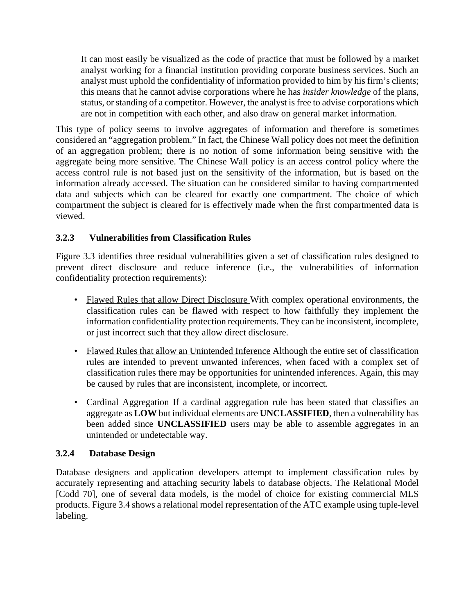It can most easily be visualized as the code of practice that must be followed by a market analyst working for a financial institution providing corporate business services. Such an analyst must uphold the confidentiality of information provided to him by his firm's clients; this means that he cannot advise corporations where he has *insider knowledge* of the plans, status, or standing of a competitor. However, the analyst is free to advise corporations which are not in competition with each other, and also draw on general market information.

This type of policy seems to involve aggregates of information and therefore is sometimes considered an "aggregation problem." In fact, the Chinese Wall policy does not meet the definition of an aggregation problem; there is no notion of some information being sensitive with the aggregate being more sensitive. The Chinese Wall policy is an access control policy where the access control rule is not based just on the sensitivity of the information, but is based on the information already accessed. The situation can be considered similar to having compartmented data and subjects which can be cleared for exactly one compartment. The choice of which compartment the subject is cleared for is effectively made when the first compartmented data is viewed.

## **3.2.3 Vulnerabilities from Classification Rules**

Figure 3.3 identifies three residual vulnerabilities given a set of classification rules designed to prevent direct disclosure and reduce inference (i.e., the vulnerabilities of information confidentiality protection requirements):

- Flawed Rules that allow Direct Disclosure With complex operational environments, the classification rules can be flawed with respect to how faithfully they implement the information confidentiality protection requirements. They can be inconsistent, incomplete, or just incorrect such that they allow direct disclosure.
- Flawed Rules that allow an Unintended Inference Although the entire set of classification rules are intended to prevent unwanted inferences, when faced with a complex set of classification rules there may be opportunities for unintended inferences. Again, this may be caused by rules that are inconsistent, incomplete, or incorrect.
- Cardinal Aggregation If a cardinal aggregation rule has been stated that classifies an aggregate as **LOW** but individual elements are **UNCLASSIFIED**, then a vulnerability has been added since **UNCLASSIFIED** users may be able to assemble aggregates in an unintended or undetectable way.

### **3.2.4 Database Design**

Database designers and application developers attempt to implement classification rules by accurately representing and attaching security labels to database objects. The Relational Model [Codd 70], one of several data models, is the model of choice for existing commercial MLS products. Figure 3.4 shows a relational model representation of the ATC example using tuple-level labeling.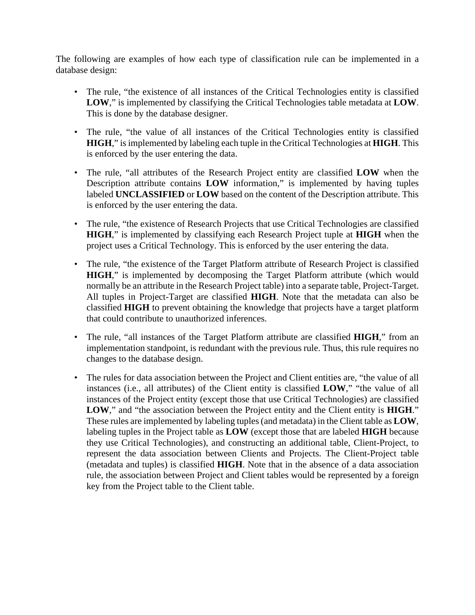The following are examples of how each type of classification rule can be implemented in a database design:

- The rule, "the existence of all instances of the Critical Technologies entity is classified **LOW**," is implemented by classifying the Critical Technologies table metadata at **LOW**. This is done by the database designer.
- The rule, "the value of all instances of the Critical Technologies entity is classified **HIGH**," is implemented by labeling each tuple in the Critical Technologies at **HIGH**. This is enforced by the user entering the data.
- The rule, "all attributes of the Research Project entity are classified **LOW** when the Description attribute contains **LOW** information," is implemented by having tuples labeled **UNCLASSIFIED** or **LOW** based on the content of the Description attribute. This is enforced by the user entering the data.
- The rule, "the existence of Research Projects that use Critical Technologies are classified **HIGH**," is implemented by classifying each Research Project tuple at **HIGH** when the project uses a Critical Technology. This is enforced by the user entering the data.
- The rule, "the existence of the Target Platform attribute of Research Project is classified **HIGH**," is implemented by decomposing the Target Platform attribute (which would normally be an attribute in the Research Project table) into a separate table, Project-Target. All tuples in Project-Target are classified **HIGH**. Note that the metadata can also be classified **HIGH** to prevent obtaining the knowledge that projects have a target platform that could contribute to unauthorized inferences.
- The rule, "all instances of the Target Platform attribute are classified **HIGH**," from an implementation standpoint, is redundant with the previous rule. Thus, this rule requires no changes to the database design.
- The rules for data association between the Project and Client entities are, "the value of all instances (i.e., all attributes) of the Client entity is classified **LOW**," "the value of all instances of the Project entity (except those that use Critical Technologies) are classified **LOW**," and "the association between the Project entity and the Client entity is **HIGH**." These rules are implemented by labeling tuples (and metadata) in the Client table as **LOW**, labeling tuples in the Project table as **LOW** (except those that are labeled **HIGH** because they use Critical Technologies), and constructing an additional table, Client-Project, to represent the data association between Clients and Projects. The Client-Project table (metadata and tuples) is classified **HIGH**. Note that in the absence of a data association rule, the association between Project and Client tables would be represented by a foreign key from the Project table to the Client table.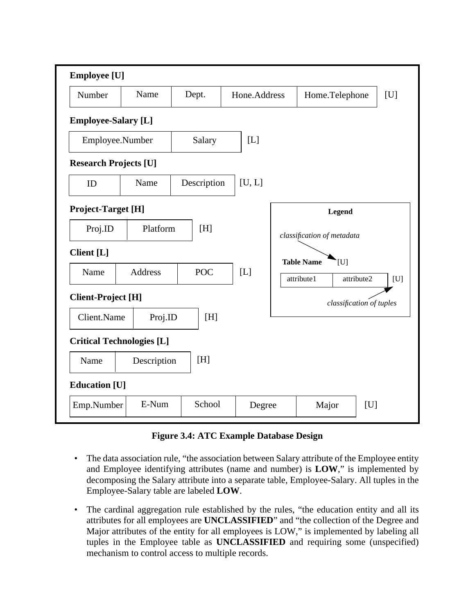

**Figure 3.4: ATC Example Database Design**

- The data association rule, "the association between Salary attribute of the Employee entity and Employee identifying attributes (name and number) is **LOW**," is implemented by decomposing the Salary attribute into a separate table, Employee-Salary. All tuples in the Employee-Salary table are labeled **LOW**.
- The cardinal aggregation rule established by the rules, "the education entity and all its attributes for all employees are **UNCLASSIFIED**" and "the collection of the Degree and Major attributes of the entity for all employees is LOW," is implemented by labeling all tuples in the Employee table as **UNCLASSIFIED** and requiring some (unspecified) mechanism to control access to multiple records.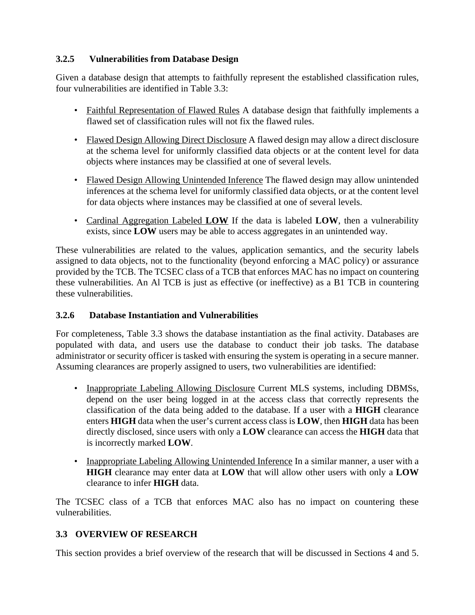# **3.2.5 Vulnerabilities from Database Design**

Given a database design that attempts to faithfully represent the established classification rules, four vulnerabilities are identified in Table 3.3:

- Faithful Representation of Flawed Rules A database design that faithfully implements a flawed set of classification rules will not fix the flawed rules.
- Flawed Design Allowing Direct Disclosure A flawed design may allow a direct disclosure at the schema level for uniformly classified data objects or at the content level for data objects where instances may be classified at one of several levels.
- Flawed Design Allowing Unintended Inference The flawed design may allow unintended inferences at the schema level for uniformly classified data objects, or at the content level for data objects where instances may be classified at one of several levels.
- Cardinal Aggregation Labeled **LOW** If the data is labeled **LOW**, then a vulnerability exists, since **LOW** users may be able to access aggregates in an unintended way.

These vulnerabilities are related to the values, application semantics, and the security labels assigned to data objects, not to the functionality (beyond enforcing a MAC policy) or assurance provided by the TCB. The TCSEC class of a TCB that enforces MAC has no impact on countering these vulnerabilities. An Al TCB is just as effective (or ineffective) as a B1 TCB in countering these vulnerabilities.

### **3.2.6 Database Instantiation and Vulnerabilities**

For completeness, Table 3.3 shows the database instantiation as the final activity. Databases are populated with data, and users use the database to conduct their job tasks. The database administrator or security officer is tasked with ensuring the system is operating in a secure manner. Assuming clearances are properly assigned to users, two vulnerabilities are identified:

- Inappropriate Labeling Allowing Disclosure Current MLS systems, including DBMSs, depend on the user being logged in at the access class that correctly represents the classification of the data being added to the database. If a user with a **HIGH** clearance enters **HIGH** data when the user's current access class is **LOW**, then **HIGH** data has been directly disclosed, since users with only a **LOW** clearance can access the **HIGH** data that is incorrectly marked **LOW**.
- Inappropriate Labeling Allowing Unintended Inference In a similar manner, a user with a **HIGH** clearance may enter data at **LOW** that will allow other users with only a **LOW** clearance to infer **HIGH** data.

The TCSEC class of a TCB that enforces MAC also has no impact on countering these vulnerabilities.

# **3.3 OVERVIEW OF RESEARCH**

This section provides a brief overview of the research that will be discussed in Sections 4 and 5.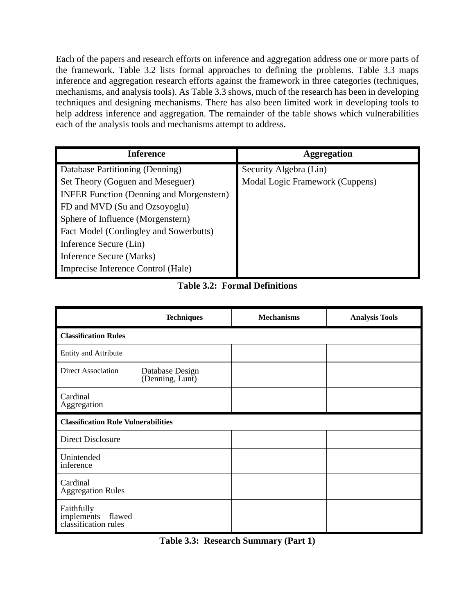Each of the papers and research efforts on inference and aggregation address one or more parts of the framework. Table 3.2 lists formal approaches to defining the problems. Table 3.3 maps inference and aggregation research efforts against the framework in three categories (techniques, mechanisms, and analysis tools). As Table 3.3 shows, much of the research has been in developing techniques and designing mechanisms. There has also been limited work in developing tools to help address inference and aggregation. The remainder of the table shows which vulnerabilities each of the analysis tools and mechanisms attempt to address.

| <b>Inference</b>                                | <b>Aggregation</b>              |
|-------------------------------------------------|---------------------------------|
| Database Partitioning (Denning)                 | Security Algebra (Lin)          |
| Set Theory (Goguen and Meseguer)                | Modal Logic Framework (Cuppens) |
| <b>INFER Function (Denning and Morgenstern)</b> |                                 |
| FD and MVD (Su and Ozsoyoglu)                   |                                 |
| Sphere of Influence (Morgenstern)               |                                 |
| Fact Model (Cordingley and Sowerbutts)          |                                 |
| Inference Secure (Lin)                          |                                 |
| Inference Secure (Marks)                        |                                 |
| Imprecise Inference Control (Hale)              |                                 |

# **Table 3.2: Formal Definitions**

|                                                                 | <b>Techniques</b>                          | <b>Mechanisms</b> | <b>Analysis Tools</b> |  |
|-----------------------------------------------------------------|--------------------------------------------|-------------------|-----------------------|--|
| <b>Classification Rules</b>                                     |                                            |                   |                       |  |
| <b>Entity and Attribute</b>                                     |                                            |                   |                       |  |
| <b>Direct Association</b>                                       | Database Design<br>(Denning, Lunt)         |                   |                       |  |
| Cardinal<br>Aggregation                                         |                                            |                   |                       |  |
|                                                                 | <b>Classification Rule Vulnerabilities</b> |                   |                       |  |
| <b>Direct Disclosure</b>                                        |                                            |                   |                       |  |
| Unintended<br>inference                                         |                                            |                   |                       |  |
| Cardinal<br><b>Aggregation Rules</b>                            |                                            |                   |                       |  |
| Faithfully<br>implements flaw<br>classification rules<br>flawed |                                            |                   |                       |  |

**Table 3.3: Research Summary (Part 1)**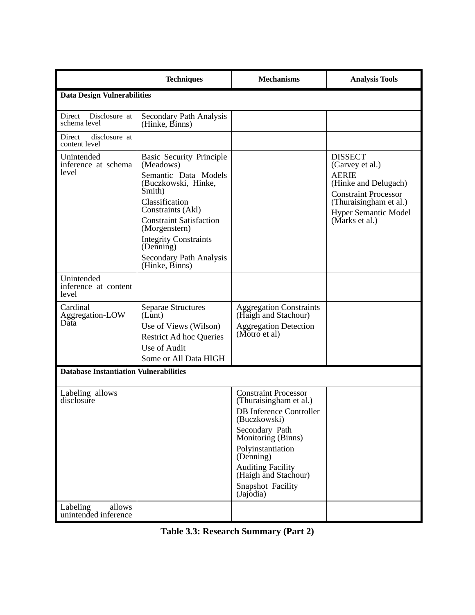|                                               | <b>Techniques</b>                                                                                                                                                                                                                                                                         | <b>Mechanisms</b>                                                                                                                                                                                                                                                       | <b>Analysis Tools</b>                                                                                                                                                               |  |
|-----------------------------------------------|-------------------------------------------------------------------------------------------------------------------------------------------------------------------------------------------------------------------------------------------------------------------------------------------|-------------------------------------------------------------------------------------------------------------------------------------------------------------------------------------------------------------------------------------------------------------------------|-------------------------------------------------------------------------------------------------------------------------------------------------------------------------------------|--|
| <b>Data Design Vulnerabilities</b>            |                                                                                                                                                                                                                                                                                           |                                                                                                                                                                                                                                                                         |                                                                                                                                                                                     |  |
| Direct<br>Disclosure at<br>schema level       | Secondary Path Analysis<br>(Hinke, Binns)                                                                                                                                                                                                                                                 |                                                                                                                                                                                                                                                                         |                                                                                                                                                                                     |  |
| Direct<br>disclosure at<br>content level      |                                                                                                                                                                                                                                                                                           |                                                                                                                                                                                                                                                                         |                                                                                                                                                                                     |  |
| Unintended<br>inference at schema<br>level    | <b>Basic Security Principle</b><br>(Meadows)<br>Semantic Data Models<br>(Buczkowski, Hinke,<br>Smith)<br>Classification<br>Constraints (Akl)<br><b>Constraint Satisfaction</b><br>(Morgenstern)<br><b>Integrity Constraints</b><br>(Denning)<br>Secondary Path Analysis<br>(Hinke, Binns) |                                                                                                                                                                                                                                                                         | <b>DISSECT</b><br>(Garvey et al.)<br><b>AERIE</b><br>(Hinke and Delugach)<br><b>Constraint Processor</b><br>(Thuraisingham et al.)<br><b>Hyper Semantic Model</b><br>(Marks et al.) |  |
| Unintended<br>inference at content<br>level   |                                                                                                                                                                                                                                                                                           |                                                                                                                                                                                                                                                                         |                                                                                                                                                                                     |  |
| Cardinal<br>Aggregation-LOW<br>Data           | <b>Separae Structures</b><br>(Lunt)<br>Use of Views (Wilson)<br><b>Restrict Ad hoc Queries</b><br>Use of Audit<br>Some or All Data HIGH                                                                                                                                                   | <b>Aggregation Constraints</b><br>(Haigh and Stachour)<br><b>Aggregation Detection</b><br>(Motro et al)                                                                                                                                                                 |                                                                                                                                                                                     |  |
| <b>Database Instantiation Vulnerabilities</b> |                                                                                                                                                                                                                                                                                           |                                                                                                                                                                                                                                                                         |                                                                                                                                                                                     |  |
| Labeling allows<br>disclosure                 |                                                                                                                                                                                                                                                                                           | <b>Constraint Processor</b><br>(Thuraisingham et al.)<br><b>DB</b> Inference Controller<br>(Buczkowski)<br>Secondary Path<br>Monitoring (Binns)<br>Polyinstantiation<br>(Denning)<br><b>Auditing Facility</b><br>(Haigh and Stachour)<br>Snapshot Facility<br>(Jajodia) |                                                                                                                                                                                     |  |
| allows<br>Labeling<br>unintended inference    |                                                                                                                                                                                                                                                                                           |                                                                                                                                                                                                                                                                         |                                                                                                                                                                                     |  |

|  |  | <b>Table 3.3: Research Summary (Part 2)</b> |  |
|--|--|---------------------------------------------|--|
|--|--|---------------------------------------------|--|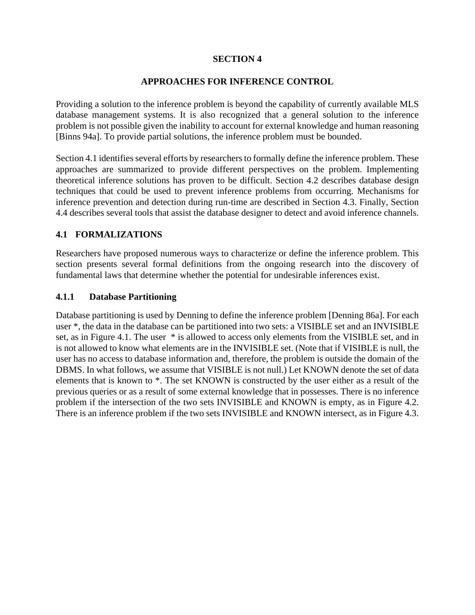#### **SECTION 4**

#### **APPROACHES FOR INFERENCE CONTROL**

Providing a solution to the inference problem is beyond the capability of currently available MLS database management systems. It is also recognized that a general solution to the inference problem is not possible given the inability to account for external knowledge and human reasoning [Binns 94a]. To provide partial solutions, the inference problem must be bounded.

Section 4.1 identifies several efforts by researchers to formally define the inference problem. These approaches are summarized to provide different perspectives on the problem. Implementing theoretical inference solutions has proven to be difficult. Section 4.2 describes database design techniques that could be used to prevent inference problems from occurring. Mechanisms for inference prevention and detection during run-time are described in Section 4.3. Finally, Section 4.4 describes several tools that assist the database designer to detect and avoid inference channels.

#### **4.1 FORMALIZATIONS**

Researchers have proposed numerous ways to characterize or define the inference problem. This section presents several formal definitions from the ongoing research into the discovery of fundamental laws that determine whether the potential for undesirable inferences exist.

#### **4.1.1 Database Partitioning**

Database partitioning is used by Denning to define the inference problem [Denning 86a]. For each user \*, the data in the database can be partitioned into two sets: a VISIBLE set and an INVISIBLE set, as in Figure 4.1. The user  $*$  is allowed to access only elements from the VISIBLE set, and in is not allowed to know what elements are in the INVISIBLE set. (Note that if VISIBLE is null, the user has no access to database information and, therefore, the problem is outside the domain of the DBMS. In what follows, we assume that VISIBLE is not null.) Let KNOWN denote the set of data elements that is known to \*. The set KNOWN is constructed by the user either as a result of the previous queries or as a result of some external knowledge that in possesses. There is no inference problem if the intersection of the two sets INVISIBLE and KNOWN is empty, as in Figure 4.2. There is an inference problem if the two sets INVISIBLE and KNOWN intersect, as in Figure 4.3.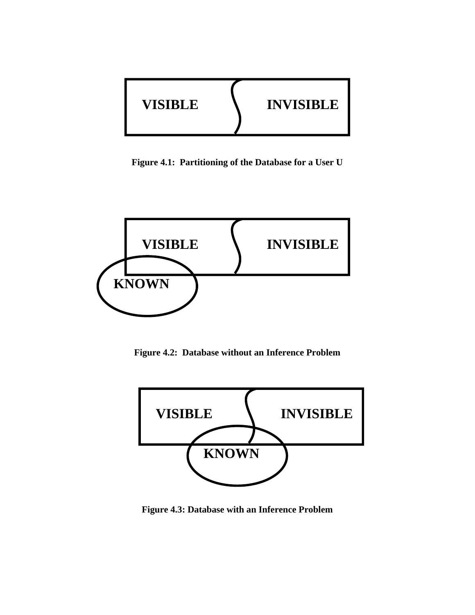

**Figure 4.1: Partitioning of the Database for a User U**



**Figure 4.2: Database without an Inference Problem**



**Figure 4.3: Database with an Inference Problem**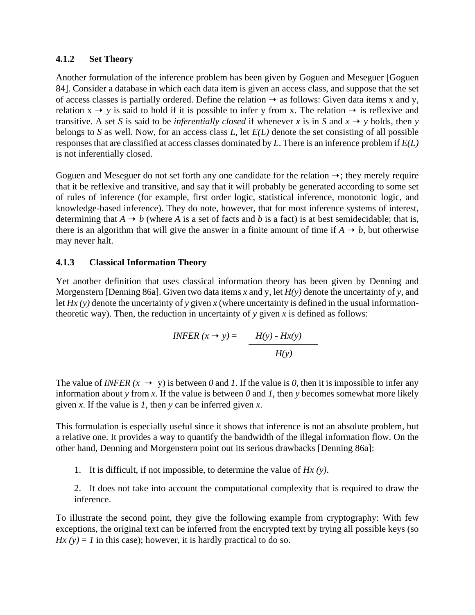#### **4.1.2 Set Theory**

Another formulation of the inference problem has been given by Goguen and Meseguer [Goguen 84]. Consider a database in which each data item is given an access class, and suppose that the set of access classes is partially ordered. Define the relation  $\rightarrow$  as follows: Given data items x and y, relation  $x \rightarrow y$  is said to hold if it is possible to infer y from x. The relation  $\rightarrow$  is reflexive and transitive. A set *S* is said to be *inferentially closed* if whenever *x* is in *S* and  $x \rightarrow y$  holds, then *y* belongs to *S* as well. Now, for an access class *L*, let *E(L)* denote the set consisting of all possible responses that are classified at access classes dominated by *L*. There is an inference problem if *E(L)* is not inferentially closed.

Goguen and Meseguer do not set forth any one candidate for the relation  $\rightarrow$ ; they merely require that it be reflexive and transitive, and say that it will probably be generated according to some set of rules of inference (for example, first order logic, statistical inference, monotonic logic, and knowledge-based inference). They do note, however, that for most inference systems of interest, determining that  $A \rightarrow b$  (where A is a set of facts and b is a fact) is at best semidecidable; that is, there is an algorithm that will give the answer in a finite amount of time if  $A \rightarrow b$ , but otherwise may never halt.

#### **4.1.3 Classical Information Theory**

Yet another definition that uses classical information theory has been given by Denning and Morgenstern [Denning 86a]. Given two data items *x* and y, let *H(y)* denote the uncertainty of *y*, and let *Hx (y)* denote the uncertainty of *y* given *x* (where uncertainty is defined in the usual informationtheoretic way). Then, the reduction in uncertainty of  $y$  given  $x$  is defined as follows:

$$
INFER(x \to y) = \frac{H(y) - Hx(y)}{H(y)}
$$

The value of *INFER*  $(x \rightarrow y)$  is between *0* and *1*. If the value is *0*, then it is impossible to infer any information about *y* from *x*. If the value is between 0 and 1, then *y* becomes somewhat more likely given *x*. If the value is *1*, then *y* can be inferred given *x*.

This formulation is especially useful since it shows that inference is not an absolute problem, but a relative one. It provides a way to quantify the bandwidth of the illegal information flow. On the other hand, Denning and Morgenstern point out its serious drawbacks [Denning 86a]:

1. It is difficult, if not impossible, to determine the value of *Hx (y)*.

2. It does not take into account the computational complexity that is required to draw the inference.

To illustrate the second point, they give the following example from cryptography: With few exceptions, the original text can be inferred from the encrypted text by trying all possible keys (so  $Hx(y) = 1$  in this case); however, it is hardly practical to do so.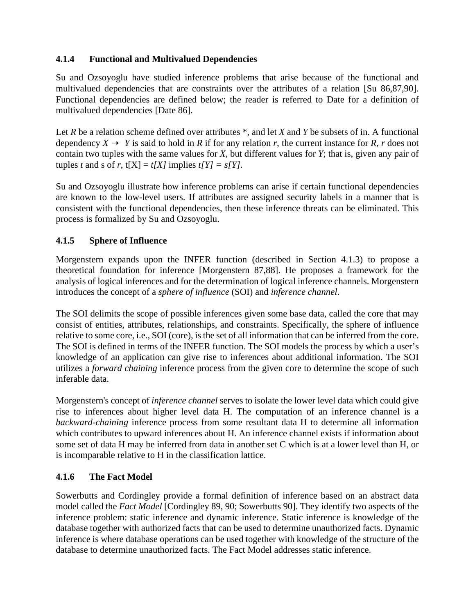## **4.1.4 Functional and Multivalued Dependencies**

Su and Ozsoyoglu have studied inference problems that arise because of the functional and multivalued dependencies that are constraints over the attributes of a relation [Su 86,87,90]. Functional dependencies are defined below; the reader is referred to Date for a definition of multivalued dependencies [Date 86].

Let *R* be a relation scheme defined over attributes \*, and let *X* and *Y* be subsets of in. A functional dependency  $X \to Y$  is said to hold in *R* if for any relation *r*, the current instance for *R*, *r* does not contain two tuples with the same values for *X*, but different values for *Y*; that is, given any pair of tuples *t* and *s* of *r*,  $t[X] = t[X]$  implies  $t[Y] = s[Y]$ .

Su and Ozsoyoglu illustrate how inference problems can arise if certain functional dependencies are known to the low-level users. If attributes are assigned security labels in a manner that is consistent with the functional dependencies, then these inference threats can be eliminated. This process is formalized by Su and Ozsoyoglu.

## **4.1.5 Sphere of Influence**

Morgenstern expands upon the INFER function (described in Section 4.1.3) to propose a theoretical foundation for inference [Morgenstern 87,88]. He proposes a framework for the analysis of logical inferences and for the determination of logical inference channels. Morgenstern introduces the concept of a *sphere of influence* (SOI) and *inference channel*.

The SOI delimits the scope of possible inferences given some base data, called the core that may consist of entities, attributes, relationships, and constraints. Specifically, the sphere of influence relative to some core, i.e., SOI (core), is the set of all information that can be inferred from the core. The SOI is defined in terms of the INFER function. The SOI models the process by which a user's knowledge of an application can give rise to inferences about additional information. The SOI utilizes a *forward chaining* inference process from the given core to determine the scope of such inferable data.

Morgenstern's concept of *inference channel* serves to isolate the lower level data which could give rise to inferences about higher level data H. The computation of an inference channel is a *backward-chaining* inference process from some resultant data H to determine all information which contributes to upward inferences about H. An inference channel exists if information about some set of data H may be inferred from data in another set C which is at a lower level than H, or is incomparable relative to H in the classification lattice.

### **4.1.6 The Fact Model**

Sowerbutts and Cordingley provide a formal definition of inference based on an abstract data model called the *Fact Model* [Cordingley 89, 90; Sowerbutts 90]. They identify two aspects of the inference problem: static inference and dynamic inference. Static inference is knowledge of the database together with authorized facts that can be used to determine unauthorized facts. Dynamic inference is where database operations can be used together with knowledge of the structure of the database to determine unauthorized facts. The Fact Model addresses static inference.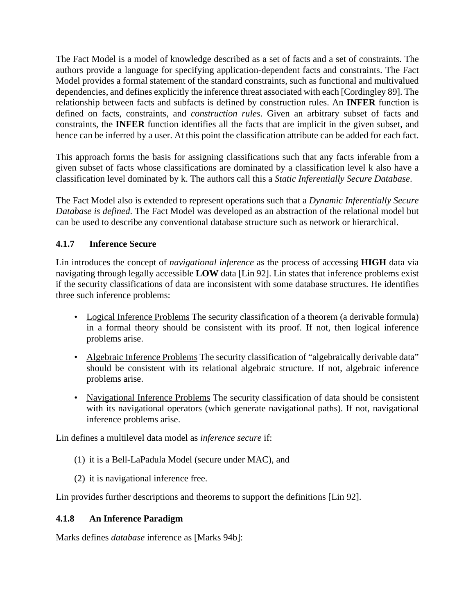The Fact Model is a model of knowledge described as a set of facts and a set of constraints. The authors provide a language for specifying application-dependent facts and constraints. The Fact Model provides a formal statement of the standard constraints, such as functional and multivalued dependencies, and defines explicitly the inference threat associated with each [Cordingley 89]. The relationship between facts and subfacts is defined by construction rules. An **INFER** function is defined on facts, constraints, and *construction rules*. Given an arbitrary subset of facts and constraints, the **INFER** function identifies all the facts that are implicit in the given subset, and hence can be inferred by a user. At this point the classification attribute can be added for each fact.

This approach forms the basis for assigning classifications such that any facts inferable from a given subset of facts whose classifications are dominated by a classification level k also have a classification level dominated by k. The authors call this a *Static Inferentially Secure Database*.

The Fact Model also is extended to represent operations such that a *Dynamic Inferentially Secure Database is defined*. The Fact Model was developed as an abstraction of the relational model but can be used to describe any conventional database structure such as network or hierarchical.

## **4.1.7 Inference Secure**

Lin introduces the concept of *navigational inference* as the process of accessing **HIGH** data via navigating through legally accessible **LOW** data [Lin 92]. Lin states that inference problems exist if the security classifications of data are inconsistent with some database structures. He identifies three such inference problems:

- Logical Inference Problems The security classification of a theorem (a derivable formula) in a formal theory should be consistent with its proof. If not, then logical inference problems arise.
- Algebraic Inference Problems The security classification of "algebraically derivable data" should be consistent with its relational algebraic structure. If not, algebraic inference problems arise.
- Navigational Inference Problems The security classification of data should be consistent with its navigational operators (which generate navigational paths). If not, navigational inference problems arise.

Lin defines a multilevel data model as *inference secure* if:

- (1) it is a Bell-LaPadula Model (secure under MAC), and
- (2) it is navigational inference free.

Lin provides further descriptions and theorems to support the definitions [Lin 92].

### **4.1.8 An Inference Paradigm**

Marks defines *database* inference as [Marks 94b]: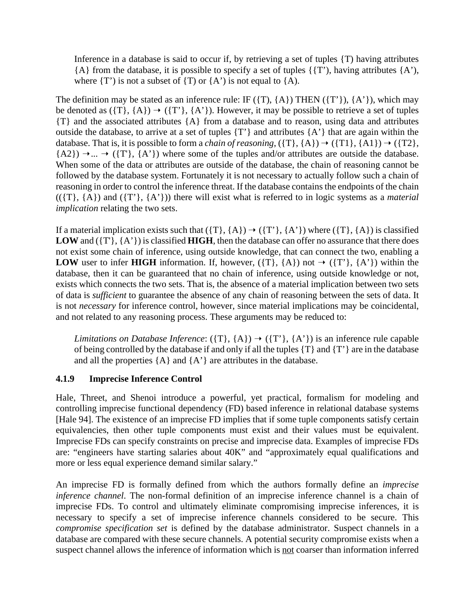Inference in a database is said to occur if, by retrieving a set of tuples {T) having attributes  ${A}$  from the database, it is possible to specify a set of tuples  ${T}$ , having attributes  ${A'}$ , where  $(T')$  is not a subset of  $(T)$  or  $(A')$  is not equal to  $(A)$ .

The definition may be stated as an inference rule: IF  $({T}, {A})$  THEN  $({T}, {A'})$ ,  $({A'})$ , which may be denoted as  $({T}, {A}) \rightarrow ({T}, {A'})$ . However, it may be possible to retrieve a set of tuples {T} and the associated attributes {A} from a database and to reason, using data and attributes outside the database, to arrive at a set of tuples {T'} and attributes {A'} that are again within the database. That is, it is possible to form a *chain of reasoning*,  $({T}, {A}) \rightarrow ({T1}, {A1}) \rightarrow ({T2},$  ${A2} \rightarrow ... \rightarrow (T', {A'})$  where some of the tuples and/or attributes are outside the database. When some of the data or attributes are outside of the database, the chain of reasoning cannot be followed by the database system. Fortunately it is not necessary to actually follow such a chain of reasoning in order to control the inference threat. If the database contains the endpoints of the chain (({T}, {A}) and ({T'}, {A'})) there will exist what is referred to in logic systems as a *material implication* relating the two sets.

If a material implication exists such that  $({T}, {A}) \rightarrow ({T}', {A}')$  where  $({T}, {A})$  is classified **LOW** and ({T'}, {A'}) is classified **HIGH**, then the database can offer no assurance that there does not exist some chain of inference, using outside knowledge, that can connect the two, enabling a **LOW** user to infer **HIGH** information. If, however,  $({T}, {A})$  not  $\rightarrow ({T}', {A'})$  within the database, then it can be guaranteed that no chain of inference, using outside knowledge or not, exists which connects the two sets. That is, the absence of a material implication between two sets of data is *sufficient* to guarantee the absence of any chain of reasoning between the sets of data. It is not *necessary* for inference control, however, since material implications may be coincidental, and not related to any reasoning process. These arguments may be reduced to:

*Limitations on Database Inference*: ({T}, {A})  $\rightarrow$  ({T'}, {A'}) is an inference rule capable of being controlled by the database if and only if all the tuples {T} and {T'} are in the database and all the properties  ${A}$  and  ${A'}$  are attributes in the database.

#### **4.1.9 Imprecise Inference Control**

Hale, Threet, and Shenoi introduce a powerful, yet practical, formalism for modeling and controlling imprecise functional dependency (FD) based inference in relational database systems [Hale 94]. The existence of an imprecise FD implies that if some tuple components satisfy certain equivalencies, then other tuple components must exist and their values must be equivalent. Imprecise FDs can specify constraints on precise and imprecise data. Examples of imprecise FDs are: "engineers have starting salaries about 40K" and "approximately equal qualifications and more or less equal experience demand similar salary."

An imprecise FD is formally defined from which the authors formally define an *imprecise inference channel*. The non-formal definition of an imprecise inference channel is a chain of imprecise FDs. To control and ultimately eliminate compromising imprecise inferences, it is necessary to specify a set of imprecise inference channels considered to be secure. This *compromise specification set* is defined by the database administrator. Suspect channels in a database are compared with these secure channels. A potential security compromise exists when a suspect channel allows the inference of information which is not coarser than information inferred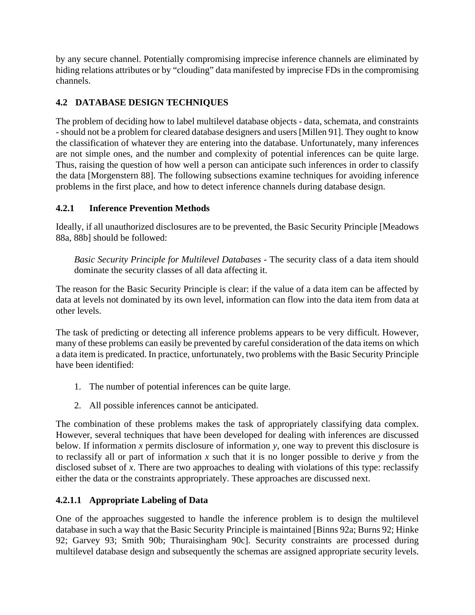by any secure channel. Potentially compromising imprecise inference channels are eliminated by hiding relations attributes or by "clouding" data manifested by imprecise FDs in the compromising channels.

# **4.2 DATABASE DESIGN TECHNIQUES**

The problem of deciding how to label multilevel database objects - data, schemata, and constraints - should not be a problem for cleared database designers and users [Millen 91]. They ought to know the classification of whatever they are entering into the database. Unfortunately, many inferences are not simple ones, and the number and complexity of potential inferences can be quite large. Thus, raising the question of how well a person can anticipate such inferences in order to classify the data [Morgenstern 88]. The following subsections examine techniques for avoiding inference problems in the first place, and how to detect inference channels during database design.

## **4.2.1 Inference Prevention Methods**

Ideally, if all unauthorized disclosures are to be prevented, the Basic Security Principle [Meadows 88a, 88b] should be followed:

*Basic Security Principle for Multilevel Databases* - The security class of a data item should dominate the security classes of all data affecting it.

The reason for the Basic Security Principle is clear: if the value of a data item can be affected by data at levels not dominated by its own level, information can flow into the data item from data at other levels.

The task of predicting or detecting all inference problems appears to be very difficult. However, many of these problems can easily be prevented by careful consideration of the data items on which a data item is predicated. In practice, unfortunately, two problems with the Basic Security Principle have been identified:

- 1. The number of potential inferences can be quite large.
- 2. All possible inferences cannot be anticipated.

The combination of these problems makes the task of appropriately classifying data complex. However, several techniques that have been developed for dealing with inferences are discussed below. If information *x* permits disclosure of information *y*, one way to prevent this disclosure is to reclassify all or part of information *x* such that it is no longer possible to derive *y* from the disclosed subset of *x*. There are two approaches to dealing with violations of this type: reclassify either the data or the constraints appropriately. These approaches are discussed next.

# **4.2.1.1 Appropriate Labeling of Data**

One of the approaches suggested to handle the inference problem is to design the multilevel database in such a way that the Basic Security Principle is maintained [Binns 92a; Burns 92; Hinke 92; Garvey 93; Smith 90b; Thuraisingham 90c]. Security constraints are processed during multilevel database design and subsequently the schemas are assigned appropriate security levels.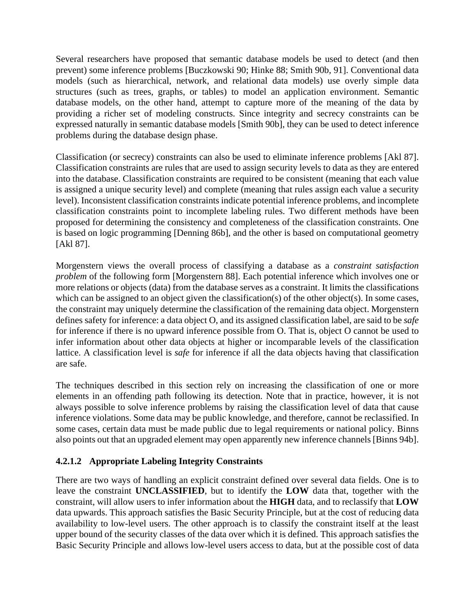Several researchers have proposed that semantic database models be used to detect (and then prevent) some inference problems [Buczkowski 90; Hinke 88; Smith 90b, 91]. Conventional data models (such as hierarchical, network, and relational data models) use overly simple data structures (such as trees, graphs, or tables) to model an application environment. Semantic database models, on the other hand, attempt to capture more of the meaning of the data by providing a richer set of modeling constructs. Since integrity and secrecy constraints can be expressed naturally in semantic database models [Smith 90b], they can be used to detect inference problems during the database design phase.

Classification (or secrecy) constraints can also be used to eliminate inference problems [Akl 87]. Classification constraints are rules that are used to assign security levels to data as they are entered into the database. Classification constraints are required to be consistent (meaning that each value is assigned a unique security level) and complete (meaning that rules assign each value a security level). Inconsistent classification constraints indicate potential inference problems, and incomplete classification constraints point to incomplete labeling rules. Two different methods have been proposed for determining the consistency and completeness of the classification constraints. One is based on logic programming [Denning 86b], and the other is based on computational geometry [Akl 87].

Morgenstern views the overall process of classifying a database as a *constraint satisfaction problem* of the following form [Morgenstern 88]. Each potential inference which involves one or more relations or objects (data) from the database serves as a constraint. It limits the classifications which can be assigned to an object given the classification(s) of the other object(s). In some cases, the constraint may uniquely determine the classification of the remaining data object. Morgenstern defines safety for inference: a data object O, and its assigned classification label, are said to be *safe* for inference if there is no upward inference possible from O. That is, object O cannot be used to infer information about other data objects at higher or incomparable levels of the classification lattice. A classification level is *safe* for inference if all the data objects having that classification are safe.

The techniques described in this section rely on increasing the classification of one or more elements in an offending path following its detection. Note that in practice, however, it is not always possible to solve inference problems by raising the classification level of data that cause inference violations. Some data may be public knowledge, and therefore, cannot be reclassified. In some cases, certain data must be made public due to legal requirements or national policy. Binns also points out that an upgraded element may open apparently new inference channels [Binns 94b].

### **4.2.1.2 Appropriate Labeling Integrity Constraints**

There are two ways of handling an explicit constraint defined over several data fields. One is to leave the constraint **UNCLASSIFIED**, but to identify the **LOW** data that, together with the constraint, will allow users to infer information about the **HIGH** data, and to reclassify that **LOW** data upwards. This approach satisfies the Basic Security Principle, but at the cost of reducing data availability to low-level users. The other approach is to classify the constraint itself at the least upper bound of the security classes of the data over which it is defined. This approach satisfies the Basic Security Principle and allows low-level users access to data, but at the possible cost of data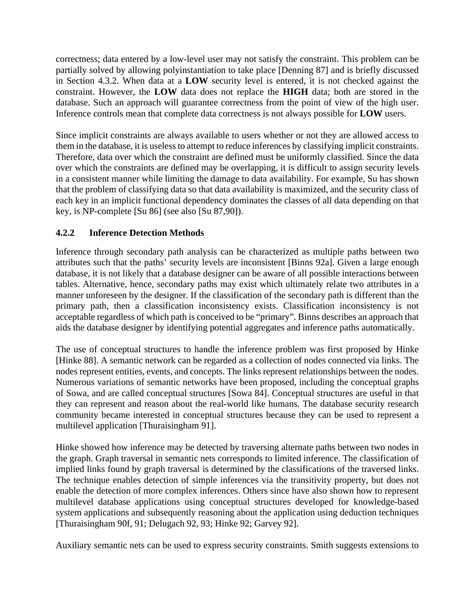correctness; data entered by a low-level user may not satisfy the constraint. This problem can be partially solved by allowing polyinstantiation to take place [Denning 87] and is briefly discussed in Section 4.3.2. When data at a **LOW** security level is entered, it is not checked against the constraint. However, the **LOW** data does not replace the **HIGH** data; both are stored in the database. Such an approach will guarantee correctness from the point of view of the high user. Inference controls mean that complete data correctness is not always possible for **LOW** users.

Since implicit constraints are always available to users whether or not they are allowed access to them in the database, it is useless to attempt to reduce inferences by classifying implicit constraints. Therefore, data over which the constraint are defined must be uniformly classified. Since the data over which the constraints are defined may be overlapping, it is difficult to assign security levels in a consistent manner while limiting the damage to data availability. For example, Su has shown that the problem of classifying data so that data availability is maximized, and the security class of each key in an implicit functional dependency dominates the classes of all data depending on that key, is NP-complete [Su 86] (see also [Su 87,90]).

## **4.2.2 Inference Detection Methods**

Inference through secondary path analysis can be characterized as multiple paths between two attributes such that the paths' security levels are inconsistent [Binns 92a]. Given a large enough database, it is not likely that a database designer can be aware of all possible interactions between tables. Alternative, hence, secondary paths may exist which ultimately relate two attributes in a manner unforeseen by the designer. If the classification of the secondary path is different than the primary path, then a classification inconsistency exists. Classification inconsistency is not acceptable regardless of which path is conceived to be "primary". Binns describes an approach that aids the database designer by identifying potential aggregates and inference paths automatically.

The use of conceptual structures to handle the inference problem was first proposed by Hinke [Hinke 88]. A semantic network can be regarded as a collection of nodes connected via links. The nodes represent entities, events, and concepts. The links represent relationships between the nodes. Numerous variations of semantic networks have been proposed, including the conceptual graphs of Sowa, and are called conceptual structures [Sowa 84]. Conceptual structures are useful in that they can represent and reason about the real-world like humans. The database security research community became interested in conceptual structures because they can be used to represent a multilevel application [Thuraisingham 91].

Hinke showed how inference may be detected by traversing alternate paths between two nodes in the graph. Graph traversal in semantic nets corresponds to limited inference. The classification of implied links found by graph traversal is determined by the classifications of the traversed links. The technique enables detection of simple inferences via the transitivity property, but does not enable the detection of more complex inferences. Others since have also shown how to represent multilevel database applications using conceptual structures developed for knowledge-based system applications and subsequently reasoning about the application using deduction techniques [Thuraisingham 90f, 91; Delugach 92, 93; Hinke 92; Garvey 92].

Auxiliary semantic nets can be used to express security constraints. Smith suggests extensions to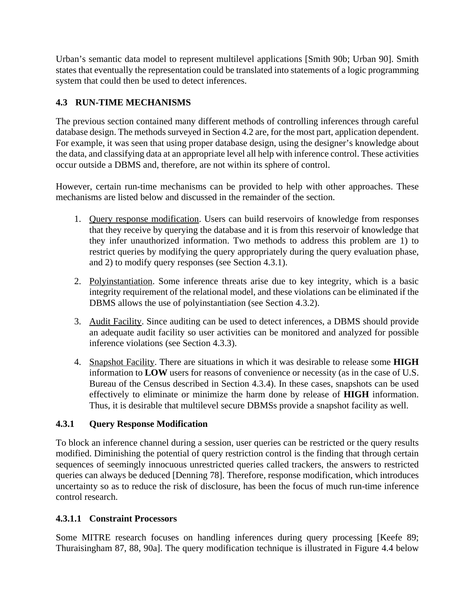Urban's semantic data model to represent multilevel applications [Smith 90b; Urban 90]. Smith states that eventually the representation could be translated into statements of a logic programming system that could then be used to detect inferences.

# **4.3 RUN-TIME MECHANISMS**

The previous section contained many different methods of controlling inferences through careful database design. The methods surveyed in Section 4.2 are, for the most part, application dependent. For example, it was seen that using proper database design, using the designer's knowledge about the data, and classifying data at an appropriate level all help with inference control. These activities occur outside a DBMS and, therefore, are not within its sphere of control.

However, certain run-time mechanisms can be provided to help with other approaches. These mechanisms are listed below and discussed in the remainder of the section.

- 1. Query response modification. Users can build reservoirs of knowledge from responses that they receive by querying the database and it is from this reservoir of knowledge that they infer unauthorized information. Two methods to address this problem are 1) to restrict queries by modifying the query appropriately during the query evaluation phase, and 2) to modify query responses (see Section 4.3.1).
- 2. Polyinstantiation. Some inference threats arise due to key integrity, which is a basic integrity requirement of the relational model, and these violations can be eliminated if the DBMS allows the use of polyinstantiation (see Section 4.3.2).
- 3. Audit Facility. Since auditing can be used to detect inferences, a DBMS should provide an adequate audit facility so user activities can be monitored and analyzed for possible inference violations (see Section 4.3.3).
- 4. Snapshot Facility. There are situations in which it was desirable to release some **HIGH** information to **LOW** users for reasons of convenience or necessity (as in the case of U.S. Bureau of the Census described in Section 4.3.4). In these cases, snapshots can be used effectively to eliminate or minimize the harm done by release of **HIGH** information. Thus, it is desirable that multilevel secure DBMSs provide a snapshot facility as well.

# **4.3.1 Query Response Modification**

To block an inference channel during a session, user queries can be restricted or the query results modified. Diminishing the potential of query restriction control is the finding that through certain sequences of seemingly innocuous unrestricted queries called trackers, the answers to restricted queries can always be deduced [Denning 78]. Therefore, response modification, which introduces uncertainty so as to reduce the risk of disclosure, has been the focus of much run-time inference control research.

# **4.3.1.1 Constraint Processors**

Some MITRE research focuses on handling inferences during query processing [Keefe 89; Thuraisingham 87, 88, 90a]. The query modification technique is illustrated in Figure 4.4 below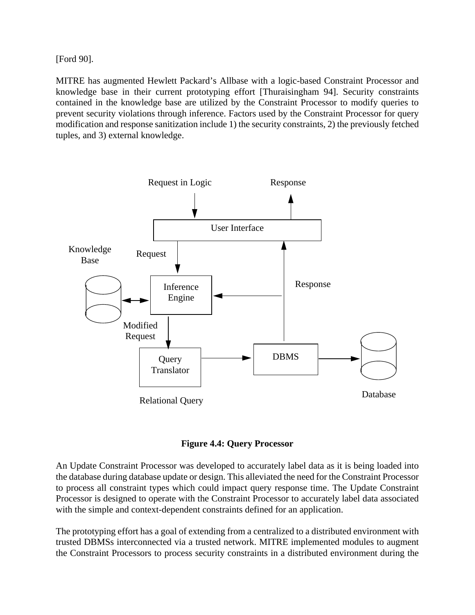[Ford 90].

MITRE has augmented Hewlett Packard's Allbase with a logic-based Constraint Processor and knowledge base in their current prototyping effort [Thuraisingham 94]. Security constraints contained in the knowledge base are utilized by the Constraint Processor to modify queries to prevent security violations through inference. Factors used by the Constraint Processor for query modification and response sanitization include 1) the security constraints, 2) the previously fetched tuples, and 3) external knowledge.



**Figure 4.4: Query Processor**

An Update Constraint Processor was developed to accurately label data as it is being loaded into the database during database update or design. This alleviated the need for the Constraint Processor to process all constraint types which could impact query response time. The Update Constraint Processor is designed to operate with the Constraint Processor to accurately label data associated with the simple and context-dependent constraints defined for an application.

The prototyping effort has a goal of extending from a centralized to a distributed environment with trusted DBMSs interconnected via a trusted network. MITRE implemented modules to augment the Constraint Processors to process security constraints in a distributed environment during the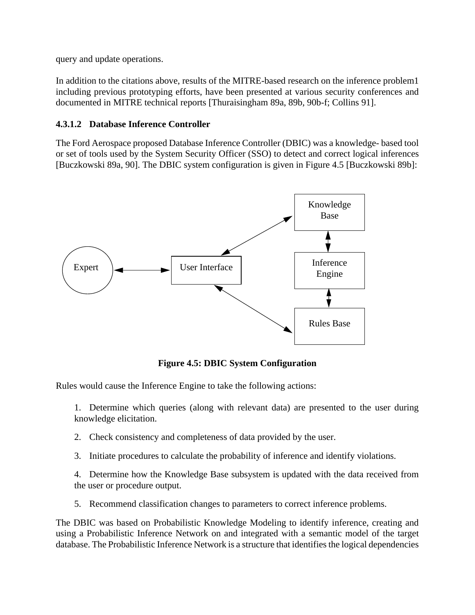query and update operations.

In addition to the citations above, results of the MITRE-based research on the inference problem1 including previous prototyping efforts, have been presented at various security conferences and documented in MITRE technical reports [Thuraisingham 89a, 89b, 90b-f; Collins 91].

### **4.3.1.2 Database Inference Controller**

The Ford Aerospace proposed Database Inference Controller (DBIC) was a knowledge- based tool or set of tools used by the System Security Officer (SSO) to detect and correct logical inferences [Buczkowski 89a, 90]. The DBIC system configuration is given in Figure 4.5 [Buczkowski 89b]:



**Figure 4.5: DBIC System Configuration**

Rules would cause the Inference Engine to take the following actions:

1. Determine which queries (along with relevant data) are presented to the user during knowledge elicitation.

- 2. Check consistency and completeness of data provided by the user.
- 3. Initiate procedures to calculate the probability of inference and identify violations.

4. Determine how the Knowledge Base subsystem is updated with the data received from the user or procedure output.

5. Recommend classification changes to parameters to correct inference problems.

The DBIC was based on Probabilistic Knowledge Modeling to identify inference, creating and using a Probabilistic Inference Network on and integrated with a semantic model of the target database. The Probabilistic Inference Network is a structure that identifies the logical dependencies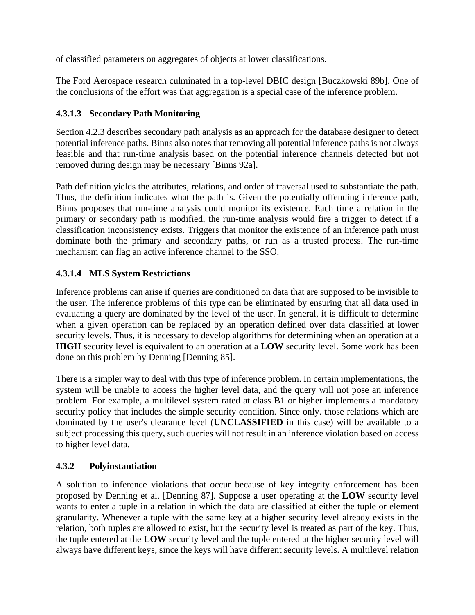of classified parameters on aggregates of objects at lower classifications.

The Ford Aerospace research culminated in a top-level DBIC design [Buczkowski 89b]. One of the conclusions of the effort was that aggregation is a special case of the inference problem.

# **4.3.1.3 Secondary Path Monitoring**

Section 4.2.3 describes secondary path analysis as an approach for the database designer to detect potential inference paths. Binns also notes that removing all potential inference paths is not always feasible and that run-time analysis based on the potential inference channels detected but not removed during design may be necessary [Binns 92a].

Path definition yields the attributes, relations, and order of traversal used to substantiate the path. Thus, the definition indicates what the path is. Given the potentially offending inference path, Binns proposes that run-time analysis could monitor its existence. Each time a relation in the primary or secondary path is modified, the run-time analysis would fire a trigger to detect if a classification inconsistency exists. Triggers that monitor the existence of an inference path must dominate both the primary and secondary paths, or run as a trusted process. The run-time mechanism can flag an active inference channel to the SSO.

# **4.3.1.4 MLS System Restrictions**

Inference problems can arise if queries are conditioned on data that are supposed to be invisible to the user. The inference problems of this type can be eliminated by ensuring that all data used in evaluating a query are dominated by the level of the user. In general, it is difficult to determine when a given operation can be replaced by an operation defined over data classified at lower security levels. Thus, it is necessary to develop algorithms for determining when an operation at a **HIGH** security level is equivalent to an operation at a **LOW** security level. Some work has been done on this problem by Denning [Denning 85].

There is a simpler way to deal with this type of inference problem. In certain implementations, the system will be unable to access the higher level data, and the query will not pose an inference problem. For example, a multilevel system rated at class B1 or higher implements a mandatory security policy that includes the simple security condition. Since only, those relations which are dominated by the user's clearance level (**UNCLASSIFIED** in this case) will be available to a subject processing this query, such queries will not result in an inference violation based on access to higher level data.

# **4.3.2 Polyinstantiation**

A solution to inference violations that occur because of key integrity enforcement has been proposed by Denning et al. [Denning 87]. Suppose a user operating at the **LOW** security level wants to enter a tuple in a relation in which the data are classified at either the tuple or element granularity. Whenever a tuple with the same key at a higher security level already exists in the relation, both tuples are allowed to exist, but the security level is treated as part of the key. Thus, the tuple entered at the **LOW** security level and the tuple entered at the higher security level will always have different keys, since the keys will have different security levels. A multilevel relation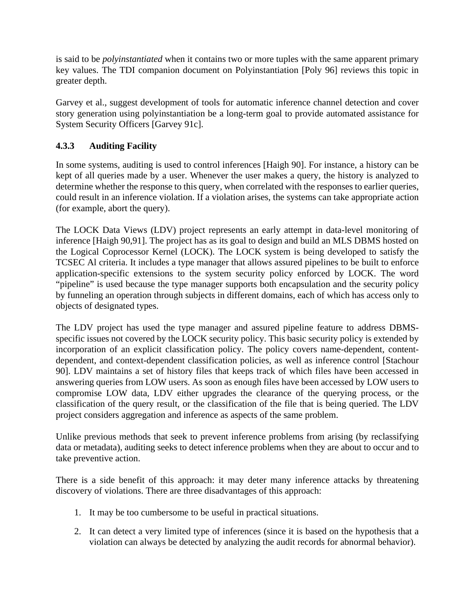is said to be *polyinstantiated* when it contains two or more tuples with the same apparent primary key values. The TDI companion document on Polyinstantiation [Poly 96] reviews this topic in greater depth.

Garvey et al., suggest development of tools for automatic inference channel detection and cover story generation using polyinstantiation be a long-term goal to provide automated assistance for System Security Officers [Garvey 91c].

# **4.3.3 Auditing Facility**

In some systems, auditing is used to control inferences [Haigh 90]. For instance, a history can be kept of all queries made by a user. Whenever the user makes a query, the history is analyzed to determine whether the response to this query, when correlated with the responses to earlier queries, could result in an inference violation. If a violation arises, the systems can take appropriate action (for example, abort the query).

The LOCK Data Views (LDV) project represents an early attempt in data-level monitoring of inference [Haigh 90,91]. The project has as its goal to design and build an MLS DBMS hosted on the Logical Coprocessor Kernel (LOCK). The LOCK system is being developed to satisfy the TCSEC Al criteria. It includes a type manager that allows assured pipelines to be built to enforce application-specific extensions to the system security policy enforced by LOCK. The word "pipeline" is used because the type manager supports both encapsulation and the security policy by funneling an operation through subjects in different domains, each of which has access only to objects of designated types.

The LDV project has used the type manager and assured pipeline feature to address DBMSspecific issues not covered by the LOCK security policy. This basic security policy is extended by incorporation of an explicit classification policy. The policy covers name-dependent, contentdependent, and context-dependent classification policies, as well as inference control [Stachour 90]. LDV maintains a set of history files that keeps track of which files have been accessed in answering queries from LOW users. As soon as enough files have been accessed by LOW users to compromise LOW data, LDV either upgrades the clearance of the querying process, or the classification of the query result, or the classification of the file that is being queried. The LDV project considers aggregation and inference as aspects of the same problem.

Unlike previous methods that seek to prevent inference problems from arising (by reclassifying data or metadata), auditing seeks to detect inference problems when they are about to occur and to take preventive action.

There is a side benefit of this approach: it may deter many inference attacks by threatening discovery of violations. There are three disadvantages of this approach:

- 1. It may be too cumbersome to be useful in practical situations.
- 2. It can detect a very limited type of inferences (since it is based on the hypothesis that a violation can always be detected by analyzing the audit records for abnormal behavior).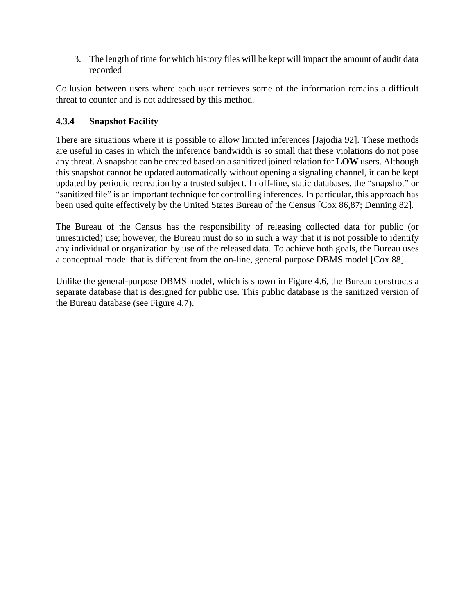3. The length of time for which history files will be kept will impact the amount of audit data recorded

Collusion between users where each user retrieves some of the information remains a difficult threat to counter and is not addressed by this method.

## **4.3.4 Snapshot Facility**

There are situations where it is possible to allow limited inferences [Jajodia 92]. These methods are useful in cases in which the inference bandwidth is so small that these violations do not pose any threat. A snapshot can be created based on a sanitized joined relation for **LOW** users. Although this snapshot cannot be updated automatically without opening a signaling channel, it can be kept updated by periodic recreation by a trusted subject. In off-line, static databases, the "snapshot" or "sanitized file" is an important technique for controlling inferences. In particular, this approach has been used quite effectively by the United States Bureau of the Census [Cox 86,87; Denning 82].

The Bureau of the Census has the responsibility of releasing collected data for public (or unrestricted) use; however, the Bureau must do so in such a way that it is not possible to identify any individual or organization by use of the released data. To achieve both goals, the Bureau uses a conceptual model that is different from the on-line, general purpose DBMS model [Cox 88].

Unlike the general-purpose DBMS model, which is shown in Figure 4.6, the Bureau constructs a separate database that is designed for public use. This public database is the sanitized version of the Bureau database (see Figure 4.7).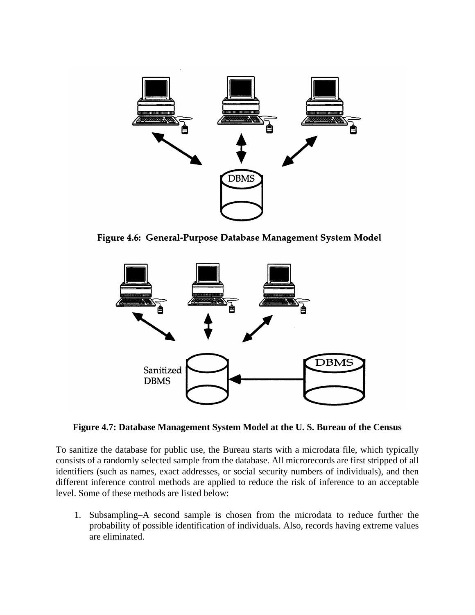

Figure 4.6: General-Purpose Database Management System Model



**Figure 4.7: Database Management System Model at the U. S. Bureau of the Census**

To sanitize the database for public use, the Bureau starts with a microdata file, which typically consists of a randomly selected sample from the database. All microrecords are first stripped of all identifiers (such as names, exact addresses, or social security numbers of individuals), and then different inference control methods are applied to reduce the risk of inference to an acceptable level. Some of these methods are listed below:

1. Subsampling–A second sample is chosen from the microdata to reduce further the probability of possible identification of individuals. Also, records having extreme values are eliminated.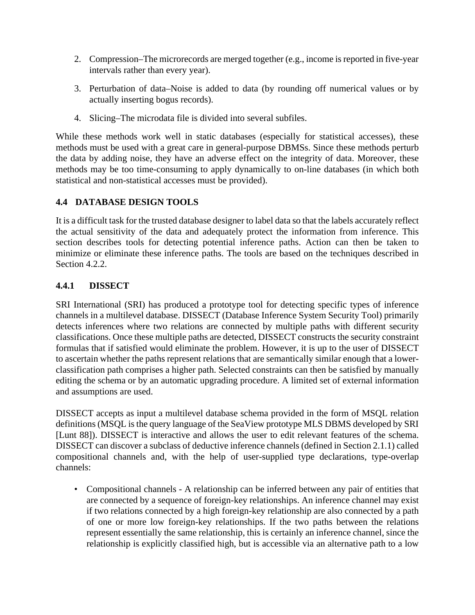- 2. Compression–The microrecords are merged together (e.g., income is reported in five-year intervals rather than every year).
- 3. Perturbation of data–Noise is added to data (by rounding off numerical values or by actually inserting bogus records).
- 4. Slicing–The microdata file is divided into several subfiles.

While these methods work well in static databases (especially for statistical accesses), these methods must be used with a great care in general-purpose DBMSs. Since these methods perturb the data by adding noise, they have an adverse effect on the integrity of data. Moreover, these methods may be too time-consuming to apply dynamically to on-line databases (in which both statistical and non-statistical accesses must be provided).

## **4.4 DATABASE DESIGN TOOLS**

It is a difficult task for the trusted database designer to label data so that the labels accurately reflect the actual sensitivity of the data and adequately protect the information from inference. This section describes tools for detecting potential inference paths. Action can then be taken to minimize or eliminate these inference paths. The tools are based on the techniques described in Section 4.2.2.

## **4.4.1 DISSECT**

SRI International (SRI) has produced a prototype tool for detecting specific types of inference channels in a multilevel database. DISSECT (Database Inference System Security Tool) primarily detects inferences where two relations are connected by multiple paths with different security classifications. Once these multiple paths are detected, DISSECT constructs the security constraint formulas that if satisfied would eliminate the problem. However, it is up to the user of DISSECT to ascertain whether the paths represent relations that are semantically similar enough that a lowerclassification path comprises a higher path. Selected constraints can then be satisfied by manually editing the schema or by an automatic upgrading procedure. A limited set of external information and assumptions are used.

DISSECT accepts as input a multilevel database schema provided in the form of MSQL relation definitions (MSQL is the query language of the SeaView prototype MLS DBMS developed by SRI [Lunt 88]). DISSECT is interactive and allows the user to edit relevant features of the schema. DISSECT can discover a subclass of deductive inference channels (defined in Section 2.1.1) called compositional channels and, with the help of user-supplied type declarations, type-overlap channels:

• Compositional channels - A relationship can be inferred between any pair of entities that are connected by a sequence of foreign-key relationships. An inference channel may exist if two relations connected by a high foreign-key relationship are also connected by a path of one or more low foreign-key relationships. If the two paths between the relations represent essentially the same relationship, this is certainly an inference channel, since the relationship is explicitly classified high, but is accessible via an alternative path to a low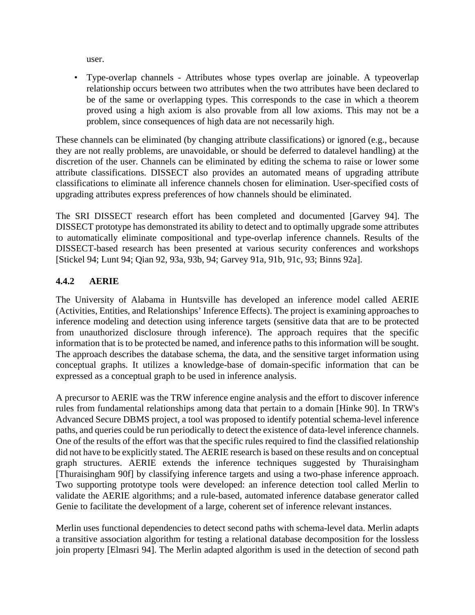user.

• Type-overlap channels - Attributes whose types overlap are joinable. A typeoverlap relationship occurs between two attributes when the two attributes have been declared to be of the same or overlapping types. This corresponds to the case in which a theorem proved using a high axiom is also provable from all low axioms. This may not be a problem, since consequences of high data are not necessarily high.

These channels can be eliminated (by changing attribute classifications) or ignored (e.g., because they are not really problems, are unavoidable, or should be deferred to datalevel handling) at the discretion of the user. Channels can be eliminated by editing the schema to raise or lower some attribute classifications. DISSECT also provides an automated means of upgrading attribute classifications to eliminate all inference channels chosen for elimination. User-specified costs of upgrading attributes express preferences of how channels should be eliminated.

The SRI DISSECT research effort has been completed and documented [Garvey 94]. The DISSECT prototype has demonstrated its ability to detect and to optimally upgrade some attributes to automatically eliminate compositional and type-overlap inference channels. Results of the DISSECT-based research has been presented at various security conferences and workshops [Stickel 94; Lunt 94; Qian 92, 93a, 93b, 94; Garvey 91a, 91b, 91c, 93; Binns 92a].

## **4.4.2 AERIE**

The University of Alabama in Huntsville has developed an inference model called AERIE (Activities, Entities, and Relationships' Inference Effects). The project is examining approaches to inference modeling and detection using inference targets (sensitive data that are to be protected from unauthorized disclosure through inference). The approach requires that the specific information that is to be protected be named, and inference paths to this information will be sought. The approach describes the database schema, the data, and the sensitive target information using conceptual graphs. It utilizes a knowledge-base of domain-specific information that can be expressed as a conceptual graph to be used in inference analysis.

A precursor to AERlE was the TRW inference engine analysis and the effort to discover inference rules from fundamental relationships among data that pertain to a domain [Hinke 90]. In TRW's Advanced Secure DBMS project, a tool was proposed to identify potential schema-level inference paths, and queries could be run periodically to detect the existence of data-level inference channels. One of the results of the effort was that the specific rules required to find the classified relationship did not have to be explicitly stated. The AERIE research is based on these results and on conceptual graph structures. AERIE extends the inference techniques suggested by Thuraisingham [Thuraisingham 90f] by classifying inference targets and using a two-phase inference approach. Two supporting prototype tools were developed: an inference detection tool called Merlin to validate the AERIE algorithms; and a rule-based, automated inference database generator called Genie to facilitate the development of a large, coherent set of inference relevant instances.

Merlin uses functional dependencies to detect second paths with schema-level data. Merlin adapts a transitive association algorithm for testing a relational database decomposition for the lossless join property [Elmasri 94]. The Merlin adapted algorithm is used in the detection of second path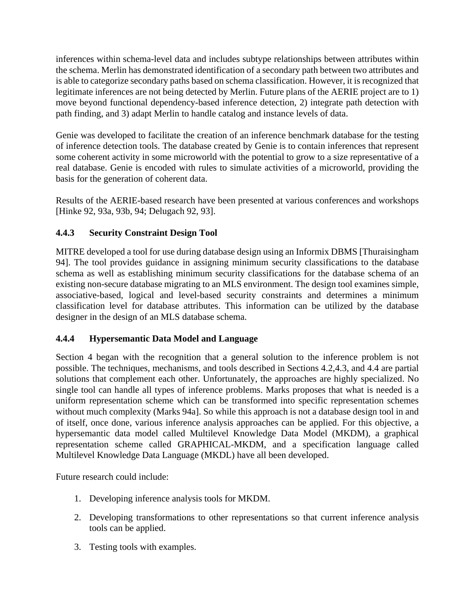inferences within schema-level data and includes subtype relationships between attributes within the schema. Merlin has demonstrated identification of a secondary path between two attributes and is able to categorize secondary paths based on schema classification. However, it is recognized that legitimate inferences are not being detected by Merlin. Future plans of the AERIE project are to 1) move beyond functional dependency-based inference detection, 2) integrate path detection with path finding, and 3) adapt Merlin to handle catalog and instance levels of data.

Genie was developed to facilitate the creation of an inference benchmark database for the testing of inference detection tools. The database created by Genie is to contain inferences that represent some coherent activity in some microworld with the potential to grow to a size representative of a real database. Genie is encoded with rules to simulate activities of a microworld, providing the basis for the generation of coherent data.

Results of the AERIE-based research have been presented at various conferences and workshops [Hinke 92, 93a, 93b, 94; Delugach 92, 93].

# **4.4.3 Security Constraint Design Tool**

MITRE developed a tool for use during database design using an Informix DBMS [Thuraisingham 94]. The tool provides guidance in assigning minimum security classifications to the database schema as well as establishing minimum security classifications for the database schema of an existing non-secure database migrating to an MLS environment. The design tool examines simple, associative-based, logical and level-based security constraints and determines a minimum classification level for database attributes. This information can be utilized by the database designer in the design of an MLS database schema.

# **4.4.4 Hypersemantic Data Model and Language**

Section 4 began with the recognition that a general solution to the inference problem is not possible. The techniques, mechanisms, and tools described in Sections 4.2,4.3, and 4.4 are partial solutions that complement each other. Unfortunately, the approaches are highly specialized. No single tool can handle all types of inference problems. Marks proposes that what is needed is a uniform representation scheme which can be transformed into specific representation schemes without much complexity (Marks 94a]. So while this approach is not a database design tool in and of itself, once done, various inference analysis approaches can be applied. For this objective, a hypersemantic data model called Multilevel Knowledge Data Model (MKDM), a graphical representation scheme called GRAPHICAL-MKDM, and a specification language called Multilevel Knowledge Data Language (MKDL) have all been developed.

Future research could include:

- 1. Developing inference analysis tools for MKDM.
- 2. Developing transformations to other representations so that current inference analysis tools can be applied.
- 3. Testing tools with examples.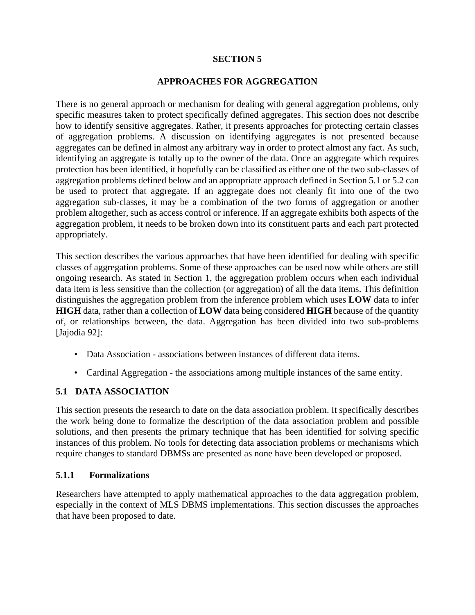#### **SECTION 5**

#### **APPROACHES FOR AGGREGATION**

There is no general approach or mechanism for dealing with general aggregation problems, only specific measures taken to protect specifically defined aggregates. This section does not describe how to identify sensitive aggregates. Rather, it presents approaches for protecting certain classes of aggregation problems. A discussion on identifying aggregates is not presented because aggregates can be defined in almost any arbitrary way in order to protect almost any fact. As such, identifying an aggregate is totally up to the owner of the data. Once an aggregate which requires protection has been identified, it hopefully can be classified as either one of the two sub-classes of aggregation problems defined below and an appropriate approach defined in Section 5.1 or 5.2 can be used to protect that aggregate. If an aggregate does not cleanly fit into one of the two aggregation sub-classes, it may be a combination of the two forms of aggregation or another problem altogether, such as access control or inference. If an aggregate exhibits both aspects of the aggregation problem, it needs to be broken down into its constituent parts and each part protected appropriately.

This section describes the various approaches that have been identified for dealing with specific classes of aggregation problems. Some of these approaches can be used now while others are still ongoing research. As stated in Section 1, the aggregation problem occurs when each individual data item is less sensitive than the collection (or aggregation) of all the data items. This definition distinguishes the aggregation problem from the inference problem which uses **LOW** data to infer **HIGH** data, rather than a collection of **LOW** data being considered **HIGH** because of the quantity of, or relationships between, the data. Aggregation has been divided into two sub-problems [Jajodia 92]:

- Data Association associations between instances of different data items.
- Cardinal Aggregation the associations among multiple instances of the same entity.

### **5.1 DATA ASSOCIATION**

This section presents the research to date on the data association problem. It specifically describes the work being done to formalize the description of the data association problem and possible solutions, and then presents the primary technique that has been identified for solving specific instances of this problem. No tools for detecting data association problems or mechanisms which require changes to standard DBMSs are presented as none have been developed or proposed.

#### **5.1.1 Formalizations**

Researchers have attempted to apply mathematical approaches to the data aggregation problem, especially in the context of MLS DBMS implementations. This section discusses the approaches that have been proposed to date.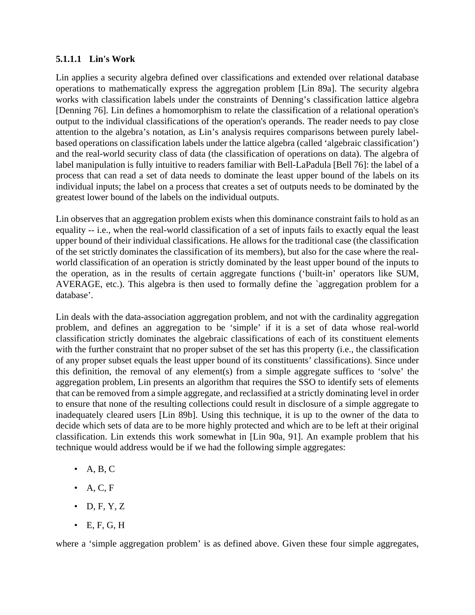#### **5.1.1.1 Lin's Work**

Lin applies a security algebra defined over classifications and extended over relational database operations to mathematically express the aggregation problem [Lin 89a]. The security algebra works with classification labels under the constraints of Denning's classification lattice algebra [Denning 76]. Lin defines a homomorphism to relate the classification of a relational operation's output to the individual classifications of the operation's operands. The reader needs to pay close attention to the algebra's notation, as Lin's analysis requires comparisons between purely labelbased operations on classification labels under the lattice algebra (called 'algebraic classification') and the real-world security class of data (the classification of operations on data). The algebra of label manipulation is fully intuitive to readers familiar with Bell-LaPadula [Bell 76]: the label of a process that can read a set of data needs to dominate the least upper bound of the labels on its individual inputs; the label on a process that creates a set of outputs needs to be dominated by the greatest lower bound of the labels on the individual outputs.

Lin observes that an aggregation problem exists when this dominance constraint fails to hold as an equality -- i.e., when the real-world classification of a set of inputs fails to exactly equal the least upper bound of their individual classifications. He allows for the traditional case (the classification of the set strictly dominates the classification of its members), but also for the case where the realworld classification of an operation is strictly dominated by the least upper bound of the inputs to the operation, as in the results of certain aggregate functions ('built-in' operators like SUM, AVERAGE, etc.). This algebra is then used to formally define the `aggregation problem for a database'.

Lin deals with the data-association aggregation problem, and not with the cardinality aggregation problem, and defines an aggregation to be 'simple' if it is a set of data whose real-world classification strictly dominates the algebraic classifications of each of its constituent elements with the further constraint that no proper subset of the set has this property (i.e., the classification of any proper subset equals the least upper bound of its constituents' classifications). Since under this definition, the removal of any element(s) from a simple aggregate suffices to 'solve' the aggregation problem, Lin presents an algorithm that requires the SSO to identify sets of elements that can be removed from a simple aggregate, and reclassified at a strictly dominating level in order to ensure that none of the resulting collections could result in disclosure of a simple aggregate to inadequately cleared users [Lin 89b]. Using this technique, it is up to the owner of the data to decide which sets of data are to be more highly protected and which are to be left at their original classification. Lin extends this work somewhat in [Lin 90a, 91]. An example problem that his technique would address would be if we had the following simple aggregates:

- $\bullet$  A, B, C
- $\bullet$  A, C, F
- $\bullet$  D, F, Y, Z
- $\bullet$  E, F, G, H

where a 'simple aggregation problem' is as defined above. Given these four simple aggregates,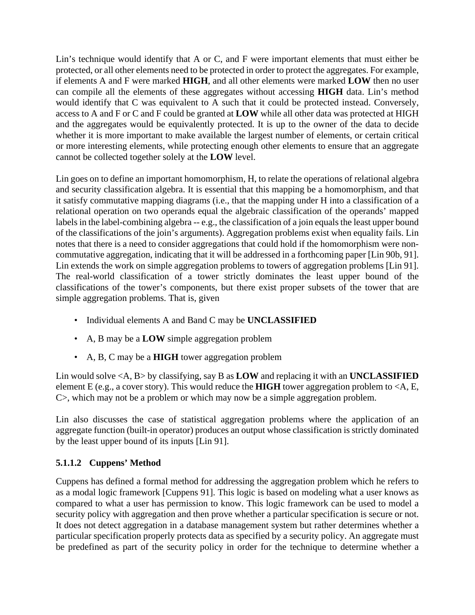Lin's technique would identify that A or C, and F were important elements that must either be protected, or all other elements need to be protected in order to protect the aggregates. For example, if elements A and F were marked **HIGH**, and all other elements were marked **LOW** then no user can compile all the elements of these aggregates without accessing **HIGH** data. Lin's method would identify that C was equivalent to A such that it could be protected instead. Conversely, access to A and F or C and F could be granted at **LOW** while all other data was protected at HIGH and the aggregates would be equivalently protected. It is up to the owner of the data to decide whether it is more important to make available the largest number of elements, or certain critical or more interesting elements, while protecting enough other elements to ensure that an aggregate cannot be collected together solely at the **LOW** level.

Lin goes on to define an important homomorphism, H, to relate the operations of relational algebra and security classification algebra. It is essential that this mapping be a homomorphism, and that it satisfy commutative mapping diagrams (i.e., that the mapping under H into a classification of a relational operation on two operands equal the algebraic classification of the operands' mapped labels in the label-combining algebra -- e.g., the classification of a join equals the least upper bound of the classifications of the join's arguments). Aggregation problems exist when equality fails. Lin notes that there is a need to consider aggregations that could hold if the homomorphism were noncommutative aggregation, indicating that it will be addressed in a forthcoming paper [Lin 90b, 91]. Lin extends the work on simple aggregation problems to towers of aggregation problems [Lin 91]. The real-world classification of a tower strictly dominates the least upper bound of the classifications of the tower's components, but there exist proper subsets of the tower that are simple aggregation problems. That is, given

- Individual elements A and Band C may be **UNCLASSIFIED**
- A, B may be a **LOW** simple aggregation problem
- A, B, C may be a **HIGH** tower aggregation problem

Lin would solve <A, B> by classifying, say B as **LOW** and replacing it with an **UNCLASSIFIED** element E (e.g., a cover story). This would reduce the **HIGH** tower aggregation problem to <A, E, C>, which may not be a problem or which may now be a simple aggregation problem.

Lin also discusses the case of statistical aggregation problems where the application of an aggregate function (built-in operator) produces an output whose classification is strictly dominated by the least upper bound of its inputs [Lin 91].

# **5.1.1.2 Cuppens' Method**

Cuppens has defined a formal method for addressing the aggregation problem which he refers to as a modal logic framework [Cuppens 91]. This logic is based on modeling what a user knows as compared to what a user has permission to know. This logic framework can be used to model a security policy with aggregation and then prove whether a particular specification is secure or not. It does not detect aggregation in a database management system but rather determines whether a particular specification properly protects data as specified by a security policy. An aggregate must be predefined as part of the security policy in order for the technique to determine whether a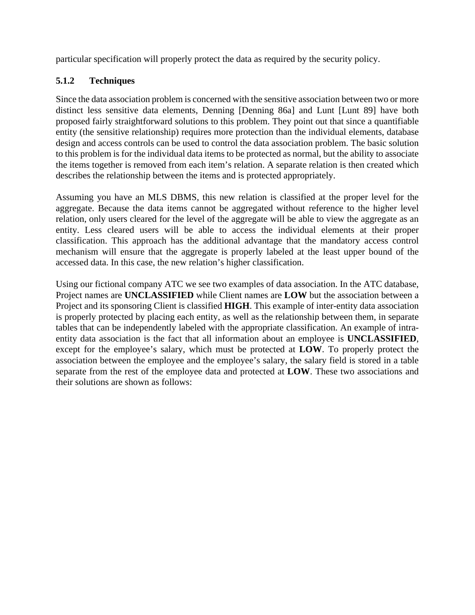particular specification will properly protect the data as required by the security policy.

## **5.1.2 Techniques**

Since the data association problem is concerned with the sensitive association between two or more distinct less sensitive data elements, Denning [Denning 86a] and Lunt [Lunt 89] have both proposed fairly straightforward solutions to this problem. They point out that since a quantifiable entity (the sensitive relationship) requires more protection than the individual elements, database design and access controls can be used to control the data association problem. The basic solution to this problem is for the individual data items to be protected as normal, but the ability to associate the items together is removed from each item's relation. A separate relation is then created which describes the relationship between the items and is protected appropriately.

Assuming you have an MLS DBMS, this new relation is classified at the proper level for the aggregate. Because the data items cannot be aggregated without reference to the higher level relation, only users cleared for the level of the aggregate will be able to view the aggregate as an entity. Less cleared users will be able to access the individual elements at their proper classification. This approach has the additional advantage that the mandatory access control mechanism will ensure that the aggregate is properly labeled at the least upper bound of the accessed data. In this case, the new relation's higher classification.

Using our fictional company ATC we see two examples of data association. In the ATC database, Project names are **UNCLASSIFIED** while Client names are **LOW** but the association between a Project and its sponsoring Client is classified **HIGH**. This example of inter-entity data association is properly protected by placing each entity, as well as the relationship between them, in separate tables that can be independently labeled with the appropriate classification. An example of intraentity data association is the fact that all information about an employee is **UNCLASSIFIED**, except for the employee's salary, which must be protected at **LOW**. To properly protect the association between the employee and the employee's salary, the salary field is stored in a table separate from the rest of the employee data and protected at **LOW**. These two associations and their solutions are shown as follows: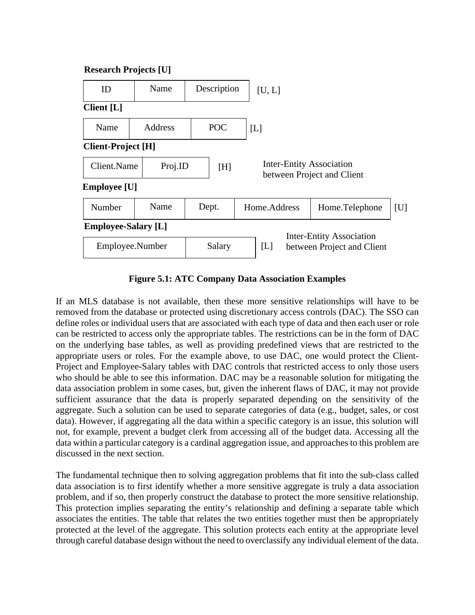

**Figure 5.1: ATC Company Data Association Examples**

If an MLS database is not available, then these more sensitive relationships will have to be removed from the database or protected using discretionary access controls (DAC). The SSO can define roles or individual users that are associated with each type of data and then each user or role can be restricted to access only the appropriate tables. The restrictions can be in the form of DAC on the underlying base tables, as well as providing predefined views that are restricted to the appropriate users or roles. For the example above, to use DAC, one would protect the Client-Project and Employee-Salary tables with DAC controls that restricted access to only those users who should be able to see this information. DAC may be a reasonable solution for mitigating the data association problem in some cases, but, given the inherent flaws of DAC, it may not provide sufficient assurance that the data is properly separated depending on the sensitivity of the aggregate. Such a solution can be used to separate categories of data (e.g., budget, sales, or cost data). However, if aggregating all the data within a specific category is an issue, this solution will not, for example, prevent a budget clerk from accessing all of the budget data. Accessing all the data within a particular category is a cardinal aggregation issue, and approaches to this problem are discussed in the next section.

The fundamental technique then to solving aggregation problems that fit into the sub-class called data association is to first identify whether a more sensitive aggregate is truly a data association problem, and if so, then properly construct the database to protect the more sensitive relationship. This protection implies separating the entity's relationship and defining a separate table which associates the entities. The table that relates the two entities together must then be appropriately protected at the level of the aggregate. This solution protects each entity at the appropriate level through careful database design without the need to overclassify any individual element of the data.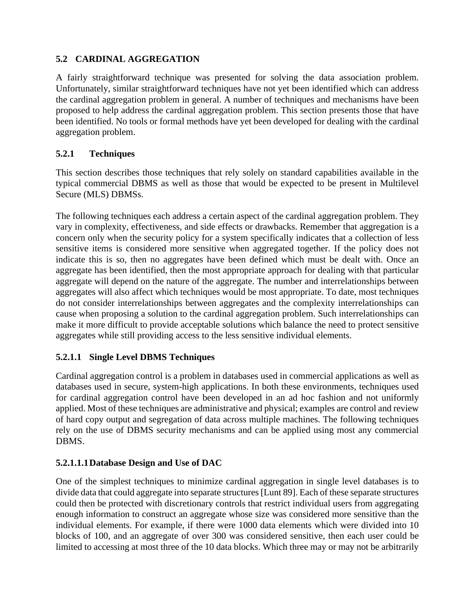## **5.2 CARDINAL AGGREGATION**

A fairly straightforward technique was presented for solving the data association problem. Unfortunately, similar straightforward techniques have not yet been identified which can address the cardinal aggregation problem in general. A number of techniques and mechanisms have been proposed to help address the cardinal aggregation problem. This section presents those that have been identified. No tools or formal methods have yet been developed for dealing with the cardinal aggregation problem.

## **5.2.1 Techniques**

This section describes those techniques that rely solely on standard capabilities available in the typical commercial DBMS as well as those that would be expected to be present in Multilevel Secure (MLS) DBMSs.

The following techniques each address a certain aspect of the cardinal aggregation problem. They vary in complexity, effectiveness, and side effects or drawbacks. Remember that aggregation is a concern only when the security policy for a system specifically indicates that a collection of less sensitive items is considered more sensitive when aggregated together. If the policy does not indicate this is so, then no aggregates have been defined which must be dealt with. Once an aggregate has been identified, then the most appropriate approach for dealing with that particular aggregate will depend on the nature of the aggregate. The number and interrelationships between aggregates will also affect which techniques would be most appropriate. To date, most techniques do not consider interrelationships between aggregates and the complexity interrelationships can cause when proposing a solution to the cardinal aggregation problem. Such interrelationships can make it more difficult to provide acceptable solutions which balance the need to protect sensitive aggregates while still providing access to the less sensitive individual elements.

### **5.2.1.1 Single Level DBMS Techniques**

Cardinal aggregation control is a problem in databases used in commercial applications as well as databases used in secure, system-high applications. In both these environments, techniques used for cardinal aggregation control have been developed in an ad hoc fashion and not uniformly applied. Most of these techniques are administrative and physical; examples are control and review of hard copy output and segregation of data across multiple machines. The following techniques rely on the use of DBMS security mechanisms and can be applied using most any commercial DBMS.

### **5.2.1.1.1Database Design and Use of DAC**

One of the simplest techniques to minimize cardinal aggregation in single level databases is to divide data that could aggregate into separate structures [Lunt 89]. Each of these separate structures could then be protected with discretionary controls that restrict individual users from aggregating enough information to construct an aggregate whose size was considered more sensitive than the individual elements. For example, if there were 1000 data elements which were divided into 10 blocks of 100, and an aggregate of over 300 was considered sensitive, then each user could be limited to accessing at most three of the 10 data blocks. Which three may or may not be arbitrarily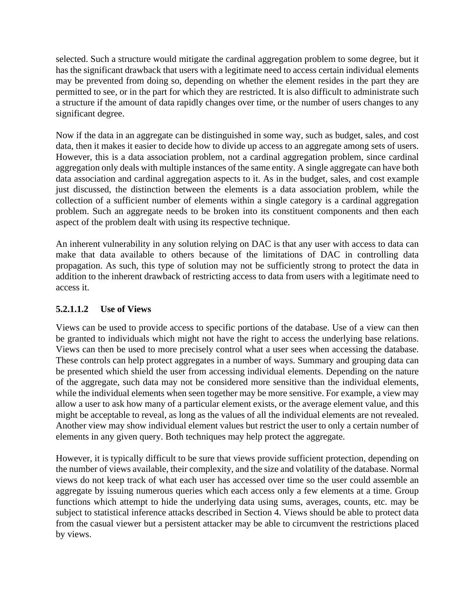selected. Such a structure would mitigate the cardinal aggregation problem to some degree, but it has the significant drawback that users with a legitimate need to access certain individual elements may be prevented from doing so, depending on whether the element resides in the part they are permitted to see, or in the part for which they are restricted. It is also difficult to administrate such a structure if the amount of data rapidly changes over time, or the number of users changes to any significant degree.

Now if the data in an aggregate can be distinguished in some way, such as budget, sales, and cost data, then it makes it easier to decide how to divide up access to an aggregate among sets of users. However, this is a data association problem, not a cardinal aggregation problem, since cardinal aggregation only deals with multiple instances of the same entity. A single aggregate can have both data association and cardinal aggregation aspects to it. As in the budget, sales, and cost example just discussed, the distinction between the elements is a data association problem, while the collection of a sufficient number of elements within a single category is a cardinal aggregation problem. Such an aggregate needs to be broken into its constituent components and then each aspect of the problem dealt with using its respective technique.

An inherent vulnerability in any solution relying on DAC is that any user with access to data can make that data available to others because of the limitations of DAC in controlling data propagation. As such, this type of solution may not be sufficiently strong to protect the data in addition to the inherent drawback of restricting access to data from users with a legitimate need to access it.

## **5.2.1.1.2 Use of Views**

Views can be used to provide access to specific portions of the database. Use of a view can then be granted to individuals which might not have the right to access the underlying base relations. Views can then be used to more precisely control what a user sees when accessing the database. These controls can help protect aggregates in a number of ways. Summary and grouping data can be presented which shield the user from accessing individual elements. Depending on the nature of the aggregate, such data may not be considered more sensitive than the individual elements, while the individual elements when seen together may be more sensitive. For example, a view may allow a user to ask how many of a particular element exists, or the average element value, and this might be acceptable to reveal, as long as the values of all the individual elements are not revealed. Another view may show individual element values but restrict the user to only a certain number of elements in any given query. Both techniques may help protect the aggregate.

However, it is typically difficult to be sure that views provide sufficient protection, depending on the number of views available, their complexity, and the size and volatility of the database. Normal views do not keep track of what each user has accessed over time so the user could assemble an aggregate by issuing numerous queries which each access only a few elements at a time. Group functions which attempt to hide the underlying data using sums, averages, counts, etc. may be subject to statistical inference attacks described in Section 4. Views should be able to protect data from the casual viewer but a persistent attacker may be able to circumvent the restrictions placed by views.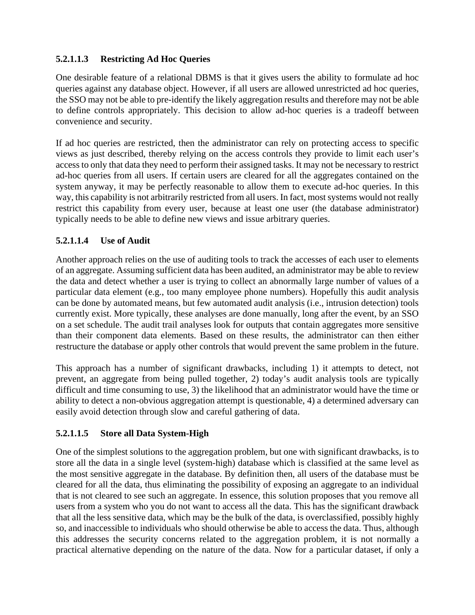## **5.2.1.1.3 Restricting Ad Hoc Queries**

One desirable feature of a relational DBMS is that it gives users the ability to formulate ad hoc queries against any database object. However, if all users are allowed unrestricted ad hoc queries, the SSO may not be able to pre-identify the likely aggregation results and therefore may not be able to define controls appropriately. This decision to allow ad-hoc queries is a tradeoff between convenience and security.

If ad hoc queries are restricted, then the administrator can rely on protecting access to specific views as just described, thereby relying on the access controls they provide to limit each user's access to only that data they need to perform their assigned tasks. It may not be necessary to restrict ad-hoc queries from all users. If certain users are cleared for all the aggregates contained on the system anyway, it may be perfectly reasonable to allow them to execute ad-hoc queries. In this way, this capability is not arbitrarily restricted from all users. In fact, most systems would not really restrict this capability from every user, because at least one user (the database administrator) typically needs to be able to define new views and issue arbitrary queries.

## **5.2.1.1.4 Use of Audit**

Another approach relies on the use of auditing tools to track the accesses of each user to elements of an aggregate. Assuming sufficient data has been audited, an administrator may be able to review the data and detect whether a user is trying to collect an abnormally large number of values of a particular data element (e.g., too many employee phone numbers). Hopefully this audit analysis can be done by automated means, but few automated audit analysis (i.e., intrusion detection) tools currently exist. More typically, these analyses are done manually, long after the event, by an SSO on a set schedule. The audit trail analyses look for outputs that contain aggregates more sensitive than their component data elements. Based on these results, the administrator can then either restructure the database or apply other controls that would prevent the same problem in the future.

This approach has a number of significant drawbacks, including 1) it attempts to detect, not prevent, an aggregate from being pulled together, 2) today's audit analysis tools are typically difficult and time consuming to use, 3) the likelihood that an administrator would have the time or ability to detect a non-obvious aggregation attempt is questionable, 4) a determined adversary can easily avoid detection through slow and careful gathering of data.

# **5.2.1.1.5 Store all Data System-High**

One of the simplest solutions to the aggregation problem, but one with significant drawbacks, is to store all the data in a single level (system-high) database which is classified at the same level as the most sensitive aggregate in the database. By definition then, all users of the database must be cleared for all the data, thus eliminating the possibility of exposing an aggregate to an individual that is not cleared to see such an aggregate. In essence, this solution proposes that you remove all users from a system who you do not want to access all the data. This has the significant drawback that all the less sensitive data, which may be the bulk of the data, is overclassified, possibly highly so, and inaccessible to individuals who should otherwise be able to access the data. Thus, although this addresses the security concerns related to the aggregation problem, it is not normally a practical alternative depending on the nature of the data. Now for a particular dataset, if only a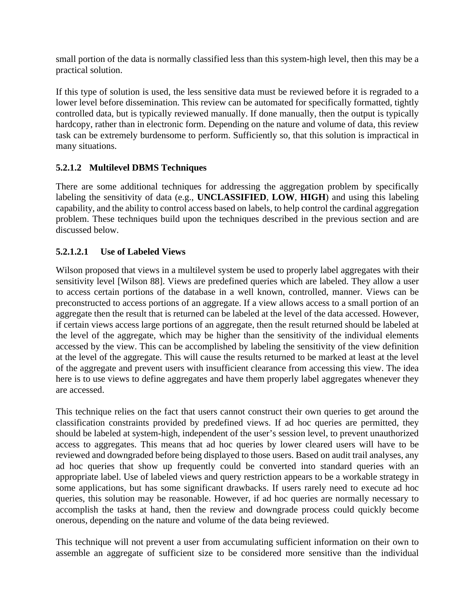small portion of the data is normally classified less than this system-high level, then this may be a practical solution.

If this type of solution is used, the less sensitive data must be reviewed before it is regraded to a lower level before dissemination. This review can be automated for specifically formatted, tightly controlled data, but is typically reviewed manually. If done manually, then the output is typically hardcopy, rather than in electronic form. Depending on the nature and volume of data, this review task can be extremely burdensome to perform. Sufficiently so, that this solution is impractical in many situations.

# **5.2.1.2 Multilevel DBMS Techniques**

There are some additional techniques for addressing the aggregation problem by specifically labeling the sensitivity of data (e.g., **UNCLASSIFIED**, **LOW**, **HIGH**) and using this labeling capability, and the ability to control access based on labels, to help control the cardinal aggregation problem. These techniques build upon the techniques described in the previous section and are discussed below.

## **5.2.1.2.1 Use of Labeled Views**

Wilson proposed that views in a multilevel system be used to properly label aggregates with their sensitivity level [Wilson 88]. Views are predefined queries which are labeled. They allow a user to access certain portions of the database in a well known, controlled, manner. Views can be preconstructed to access portions of an aggregate. If a view allows access to a small portion of an aggregate then the result that is returned can be labeled at the level of the data accessed. However, if certain views access large portions of an aggregate, then the result returned should be labeled at the level of the aggregate, which may be higher than the sensitivity of the individual elements accessed by the view. This can be accomplished by labeling the sensitivity of the view definition at the level of the aggregate. This will cause the results returned to be marked at least at the level of the aggregate and prevent users with insufficient clearance from accessing this view. The idea here is to use views to define aggregates and have them properly label aggregates whenever they are accessed.

This technique relies on the fact that users cannot construct their own queries to get around the classification constraints provided by predefined views. If ad hoc queries are permitted, they should be labeled at system-high, independent of the user's session level, to prevent unauthorized access to aggregates. This means that ad hoc queries by lower cleared users will have to be reviewed and downgraded before being displayed to those users. Based on audit trail analyses, any ad hoc queries that show up frequently could be converted into standard queries with an appropriate label. Use of labeled views and query restriction appears to be a workable strategy in some applications, but has some significant drawbacks. If users rarely need to execute ad hoc queries, this solution may be reasonable. However, if ad hoc queries are normally necessary to accomplish the tasks at hand, then the review and downgrade process could quickly become onerous, depending on the nature and volume of the data being reviewed.

This technique will not prevent a user from accumulating sufficient information on their own to assemble an aggregate of sufficient size to be considered more sensitive than the individual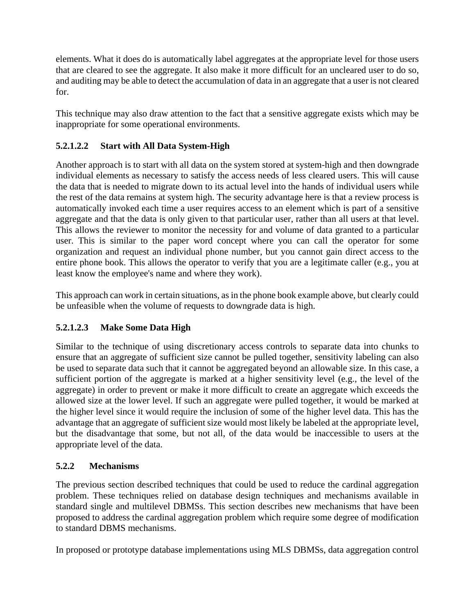elements. What it does do is automatically label aggregates at the appropriate level for those users that are cleared to see the aggregate. It also make it more difficult for an uncleared user to do so, and auditing may be able to detect the accumulation of data in an aggregate that a user is not cleared for.

This technique may also draw attention to the fact that a sensitive aggregate exists which may be inappropriate for some operational environments.

# **5.2.1.2.2 Start with All Data System-High**

Another approach is to start with all data on the system stored at system-high and then downgrade individual elements as necessary to satisfy the access needs of less cleared users. This will cause the data that is needed to migrate down to its actual level into the hands of individual users while the rest of the data remains at system high. The security advantage here is that a review process is automatically invoked each time a user requires access to an element which is part of a sensitive aggregate and that the data is only given to that particular user, rather than all users at that level. This allows the reviewer to monitor the necessity for and volume of data granted to a particular user. This is similar to the paper word concept where you can call the operator for some organization and request an individual phone number, but you cannot gain direct access to the entire phone book. This allows the operator to verify that you are a legitimate caller (e.g., you at least know the employee's name and where they work).

This approach can work in certain situations, as in the phone book example above, but clearly could be unfeasible when the volume of requests to downgrade data is high.

# **5.2.1.2.3 Make Some Data High**

Similar to the technique of using discretionary access controls to separate data into chunks to ensure that an aggregate of sufficient size cannot be pulled together, sensitivity labeling can also be used to separate data such that it cannot be aggregated beyond an allowable size. In this case, a sufficient portion of the aggregate is marked at a higher sensitivity level (e.g., the level of the aggregate) in order to prevent or make it more difficult to create an aggregate which exceeds the allowed size at the lower level. If such an aggregate were pulled together, it would be marked at the higher level since it would require the inclusion of some of the higher level data. This has the advantage that an aggregate of sufficient size would most likely be labeled at the appropriate level, but the disadvantage that some, but not all, of the data would be inaccessible to users at the appropriate level of the data.

# **5.2.2 Mechanisms**

The previous section described techniques that could be used to reduce the cardinal aggregation problem. These techniques relied on database design techniques and mechanisms available in standard single and multilevel DBMSs. This section describes new mechanisms that have been proposed to address the cardinal aggregation problem which require some degree of modification to standard DBMS mechanisms.

In proposed or prototype database implementations using MLS DBMSs, data aggregation control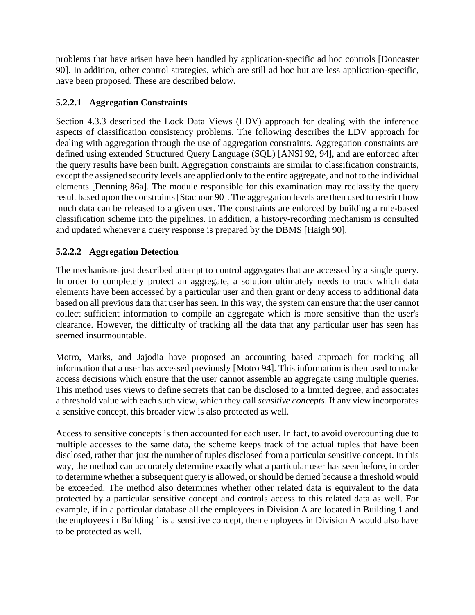problems that have arisen have been handled by application-specific ad hoc controls [Doncaster 90]. In addition, other control strategies, which are still ad hoc but are less application-specific, have been proposed. These are described below.

## **5.2.2.1 Aggregation Constraints**

Section 4.3.3 described the Lock Data Views (LDV) approach for dealing with the inference aspects of classification consistency problems. The following describes the LDV approach for dealing with aggregation through the use of aggregation constraints. Aggregation constraints are defined using extended Structured Query Language (SQL) [ANSI 92, 94], and are enforced after the query results have been built. Aggregation constraints are similar to classification constraints, except the assigned security levels are applied only to the entire aggregate, and not to the individual elements [Denning 86a]. The module responsible for this examination may reclassify the query result based upon the constraints [Stachour 90]. The aggregation levels are then used to restrict how much data can be released to a given user. The constraints are enforced by building a rule-based classification scheme into the pipelines. In addition, a history-recording mechanism is consulted and updated whenever a query response is prepared by the DBMS [Haigh 90].

## **5.2.2.2 Aggregation Detection**

The mechanisms just described attempt to control aggregates that are accessed by a single query. In order to completely protect an aggregate, a solution ultimately needs to track which data elements have been accessed by a particular user and then grant or deny access to additional data based on all previous data that user has seen. In this way, the system can ensure that the user cannot collect sufficient information to compile an aggregate which is more sensitive than the user's clearance. However, the difficulty of tracking all the data that any particular user has seen has seemed insurmountable.

Motro, Marks, and Jajodia have proposed an accounting based approach for tracking all information that a user has accessed previously [Motro 94]. This information is then used to make access decisions which ensure that the user cannot assemble an aggregate using multiple queries. This method uses views to define secrets that can be disclosed to a limited degree, and associates a threshold value with each such view, which they call *sensitive concepts*. If any view incorporates a sensitive concept, this broader view is also protected as well.

Access to sensitive concepts is then accounted for each user. In fact, to avoid overcounting due to multiple accesses to the same data, the scheme keeps track of the actual tuples that have been disclosed, rather than just the number of tuples disclosed from a particular sensitive concept. In this way, the method can accurately determine exactly what a particular user has seen before, in order to determine whether a subsequent query is allowed, or should be denied because a threshold would be exceeded. The method also determines whether other related data is equivalent to the data protected by a particular sensitive concept and controls access to this related data as well. For example, if in a particular database all the employees in Division A are located in Building 1 and the employees in Building 1 is a sensitive concept, then employees in Division A would also have to be protected as well.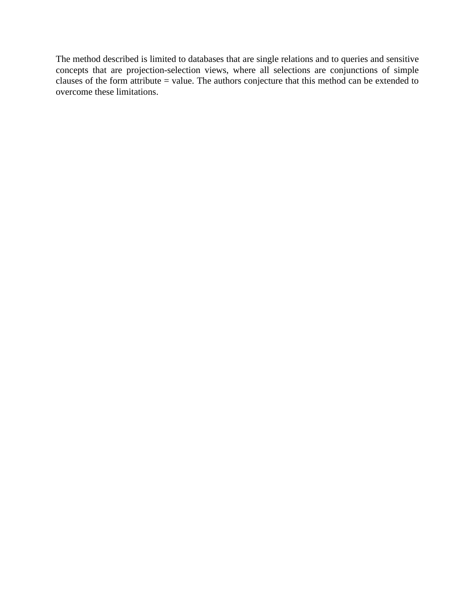The method described is limited to databases that are single relations and to queries and sensitive concepts that are projection-selection views, where all selections are conjunctions of simple clauses of the form attribute = value. The authors conjecture that this method can be extended to overcome these limitations.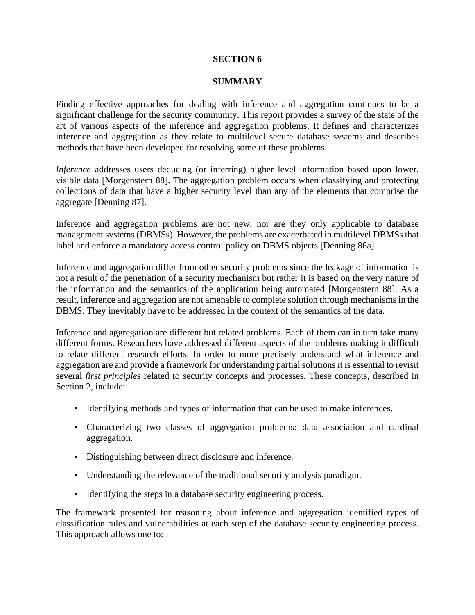#### **SECTION 6**

#### **SUMMARY**

Finding effective approaches for dealing with inference and aggregation continues to be a significant challenge for the security community. This report provides a survey of the state of the art of various aspects of the inference and aggregation problems. It defines and characterizes inference and aggregation as they relate to multilevel secure database systems and describes methods that have been developed for resolving some of these problems.

*Inference* addresses users deducing (or inferring) higher level information based upon lower, visible data [Morgenstern 88]. The aggregation problem occurs when classifying and protecting collections of data that have a higher security level than any of the elements that comprise the aggregate [Denning 87].

Inference and aggregation problems are not new, nor are they only applicable to database management systems (DBMSs). However, the problems are exacerbated in multilevel DBMSs that label and enforce a mandatory access control policy on DBMS objects [Denning 86a].

Inference and aggregation differ from other security problems since the leakage of information is not a result of the penetration of a security mechanism but rather it is based on the very nature of the information and the semantics of the application being automated [Morgenstern 88]. As a result, inference and aggregation are not amenable to complete solution through mechanisms in the DBMS. They inevitably have to be addressed in the context of the semantics of the data.

Inference and aggregation are different but related problems. Each of them can in turn take many different forms. Researchers have addressed different aspects of the problems making it difficult to relate different research efforts. In order to more precisely understand what inference and aggregation are and provide a framework for understanding partial solutions it is essential to revisit several *first principles* related to security concepts and processes. These concepts, described in Section 2, include:

- Identifying methods and types of information that can be used to make inferences.
- Characterizing two classes of aggregation problems: data association and cardinal aggregation.
- Distinguishing between direct disclosure and inference.
- Understanding the relevance of the traditional security analysis paradigm.
- Identifying the steps in a database security engineering process.

The framework presented for reasoning about inference and aggregation identified types of classification rules and vulnerabilities at each step of the database security engineering process. This approach allows one to: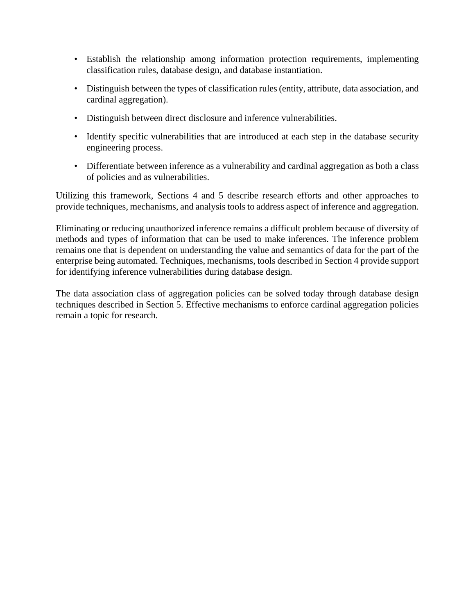- Establish the relationship among information protection requirements, implementing classification rules, database design, and database instantiation.
- Distinguish between the types of classification rules (entity, attribute, data association, and cardinal aggregation).
- Distinguish between direct disclosure and inference vulnerabilities.
- Identify specific vulnerabilities that are introduced at each step in the database security engineering process.
- Differentiate between inference as a vulnerability and cardinal aggregation as both a class of policies and as vulnerabilities.

Utilizing this framework, Sections 4 and 5 describe research efforts and other approaches to provide techniques, mechanisms, and analysis tools to address aspect of inference and aggregation.

Eliminating or reducing unauthorized inference remains a difficult problem because of diversity of methods and types of information that can be used to make inferences. The inference problem remains one that is dependent on understanding the value and semantics of data for the part of the enterprise being automated. Techniques, mechanisms, tools described in Section 4 provide support for identifying inference vulnerabilities during database design.

The data association class of aggregation policies can be solved today through database design techniques described in Section 5. Effective mechanisms to enforce cardinal aggregation policies remain a topic for research.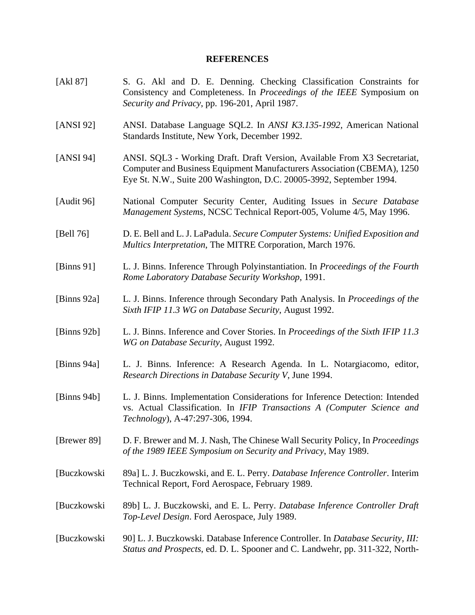### **REFERENCES**

| [Akl 87]       | S. G. Akl and D. E. Denning. Checking Classification Constraints for<br>Consistency and Completeness. In Proceedings of the IEEE Symposium on<br>Security and Privacy, pp. 196-201, April 1987.                              |
|----------------|------------------------------------------------------------------------------------------------------------------------------------------------------------------------------------------------------------------------------|
| [ANSI 92]      | ANSI. Database Language SQL2. In ANSI K3.135-1992, American National<br>Standards Institute, New York, December 1992.                                                                                                        |
| [ $ANSI 94$ ]  | ANSI. SQL3 - Working Draft. Draft Version, Available From X3 Secretariat,<br>Computer and Business Equipment Manufacturers Association (CBEMA), 1250<br>Eye St. N.W., Suite 200 Washington, D.C. 20005-3992, September 1994. |
| [Audit 96]     | National Computer Security Center, Auditing Issues in Secure Database<br>Management Systems, NCSC Technical Report-005, Volume 4/5, May 1996.                                                                                |
| [Bell 76]      | D. E. Bell and L. J. LaPadula. Secure Computer Systems: Unified Exposition and<br>Multics Interpretation, The MITRE Corporation, March 1976.                                                                                 |
| [Binns $91$ ]  | L. J. Binns. Inference Through Polyinstantiation. In Proceedings of the Fourth<br>Rome Laboratory Database Security Workshop, 1991.                                                                                          |
| [Binns $92a$ ] | L. J. Binns. Inference through Secondary Path Analysis. In Proceedings of the<br>Sixth IFIP 11.3 WG on Database Security, August 1992.                                                                                       |
| [Binns $92b$ ] | L. J. Binns. Inference and Cover Stories. In Proceedings of the Sixth IFIP 11.3<br>WG on Database Security, August 1992.                                                                                                     |
| [Binns $94a$ ] | L. J. Binns. Inference: A Research Agenda. In L. Notargiacomo, editor,<br>Research Directions in Database Security V, June 1994.                                                                                             |
| [Binns $94b$ ] | L. J. Binns. Implementation Considerations for Inference Detection: Intended<br>vs. Actual Classification. In IFIP Transactions A (Computer Science and<br>Technology), A-47:297-306, 1994.                                  |
| [Brewer 89]    | D. F. Brewer and M. J. Nash, The Chinese Wall Security Policy, In <i>Proceedings</i><br>of the 1989 IEEE Symposium on Security and Privacy, May 1989.                                                                        |
| [Buczkowski    | 89a] L. J. Buczkowski, and E. L. Perry. Database Inference Controller. Interim<br>Technical Report, Ford Aerospace, February 1989.                                                                                           |
| [Buczkowski    | 89b] L. J. Buczkowski, and E. L. Perry. Database Inference Controller Draft<br>Top-Level Design. Ford Aerospace, July 1989.                                                                                                  |
| [Buczkowski    | 90] L. J. Buczkowski. Database Inference Controller. In Database Security, III:<br>Status and Prospects, ed. D. L. Spooner and C. Landwehr, pp. 311-322, North-                                                              |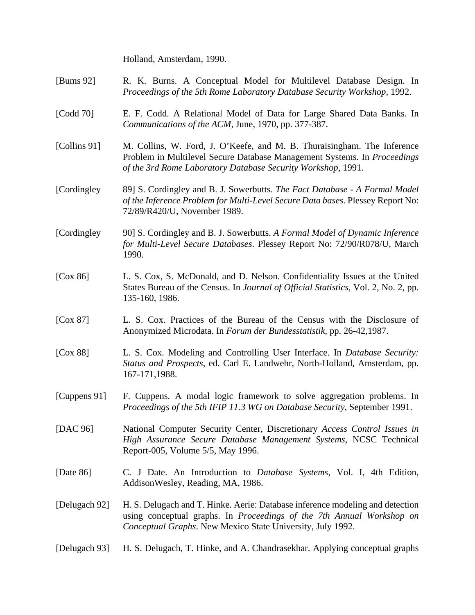Holland, Amsterdam, 1990.

- [Bums 92] R. K. Burns. A Conceptual Model for Multilevel Database Design. In *Proceedings of the 5th Rome Laboratory Database Security Workshop*, 1992.
- [Codd 70] E. F. Codd. A Relational Model of Data for Large Shared Data Banks. In *Communications of the ACM*, June, 1970, pp. 377-387.
- [Collins 91] M. Collins, W. Ford, J. O'Keefe, and M. B. Thuraisingham. The Inference Problem in Multilevel Secure Database Management Systems. In *Proceedings of the 3rd Rome Laboratory Database Security Workshop*, 1991.
- [Cordingley 89] S. Cordingley and B. J. Sowerbutts. *The Fact Database A Formal Model of the Inference Problem for Multi-Level Secure Data bases*. Plessey Report No: 72/89/R420/U, November 1989.
- [Cordingley 90] S. Cordingley and B. J. Sowerbutts. *A Formal Model of Dynamic Inference for Multi-Level Secure Databases*. Plessey Report No: 72/90/R078/U, March 1990.
- [Cox 86] L. S. Cox, S. McDonald, and D. Nelson. Confidentiality Issues at the United States Bureau of the Census. In *Journal of Official Statistics*, Vol. 2, No. 2, pp. 135-160, 1986.
- [Cox 87] L. S. Cox. Practices of the Bureau of the Census with the Disclosure of Anonymized Microdata. In *Forum der Bundesstatistik*, pp. 26-42,1987.
- [Cox 88] L. S. Cox. Modeling and Controlling User Interface. In *Database Security: Status and Prospects*, ed. Carl E. Landwehr, North-Holland, Amsterdam, pp. 167-171,1988.
- [Cuppens 91] F. Cuppens. A modal logic framework to solve aggregation problems. In *Proceedings of the 5th IFIP 11.3 WG on Database Security*, September 1991.
- [DAC 96] National Computer Security Center, Discretionary *Access Control Issues in High Assurance Secure Database Management Systems*, NCSC Technical Report-005, Volume 5/5, May 1996.
- [Date 86] C. J Date. An Introduction to *Database Systems*, Vol. I, 4th Edition, AddisonWesley, Reading, MA, 1986.
- [Delugach 92] H. S. Delugach and T. Hinke. Aerie: Database inference modeling and detection using conceptual graphs. In *Proceedings of the 7th Annual Workshop on Conceptual Graphs*. New Mexico State University, July 1992.
- [Delugach 93] H. S. Delugach, T. Hinke, and A. Chandrasekhar. Applying conceptual graphs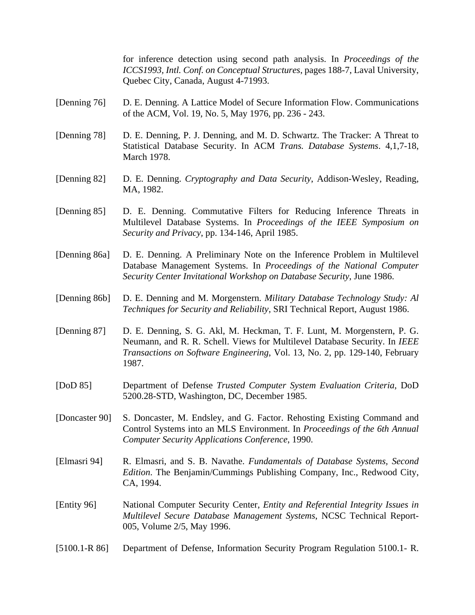for inference detection using second path analysis. In *Proceedings of the ICCS1993, Intl. Conf. on Conceptual Structures*, pages 188-7, Laval University, Quebec City, Canada, August 4-71993.

- [Denning 76] D. E. Denning. A Lattice Model of Secure Information Flow. Communications of the ACM, Vol. 19, No. 5, May 1976, pp. 236 - 243.
- [Denning 78] D. E. Denning, P. J. Denning, and M. D. Schwartz. The Tracker: A Threat to Statistical Database Security. In ACM *Trans. Database Systems*. 4,1,7-18, March 1978.
- [Denning 82] D. E. Denning. *Cryptography and Data Security*, Addison-Wesley, Reading, MA, 1982.
- [Denning 85] D. E. Denning. Commutative Filters for Reducing Inference Threats in Multilevel Database Systems. In *Proceedings of the IEEE Symposium on Security and Privacy*, pp. 134-146, April 1985.
- [Denning 86a] D. E. Denning. A Preliminary Note on the Inference Problem in Multilevel Database Management Systems. In *Proceedings of the National Computer Security Center Invitational Workshop on Database Security*, June 1986.
- [Denning 86b] D. E. Denning and M. Morgenstern. *Military Database Technology Study: Al Techniques for Security and Reliability*, SRI Technical Report, August 1986.
- [Denning 87] D. E. Denning, S. G. Akl, M. Heckman, T. F. Lunt, M. Morgenstern, P. G. Neumann, and R. R. Schell. Views for Multilevel Database Security. In *IEEE Transactions on Software Engineering*, Vol. 13, No. 2, pp. 129-140, February 1987.
- [DoD 85] Department of Defense *Trusted Computer System Evaluation Criteria*, DoD 5200.28-STD, Washington, DC, December 1985.
- [Doncaster 90] S. Doncaster, M. Endsley, and G. Factor. Rehosting Existing Command and Control Systems into an MLS Environment. In *Proceedings of the 6th Annual Computer Security Applications Conference*, 1990.
- [Elmasri 94] R. Elmasri, and S. B. Navathe. *Fundamentals of Database Systems, Second Edition*. The Benjamin/Cummings Publishing Company, Inc., Redwood City, CA, 1994.
- [Entity 96] National Computer Security Center, *Entity and Referential Integrity Issues in Multilevel Secure Database Management Systems*, NCSC Technical Report-005, Volume 2/5, May 1996.
- [5100.1-R 86] Department of Defense, Information Security Program Regulation 5100.1- R.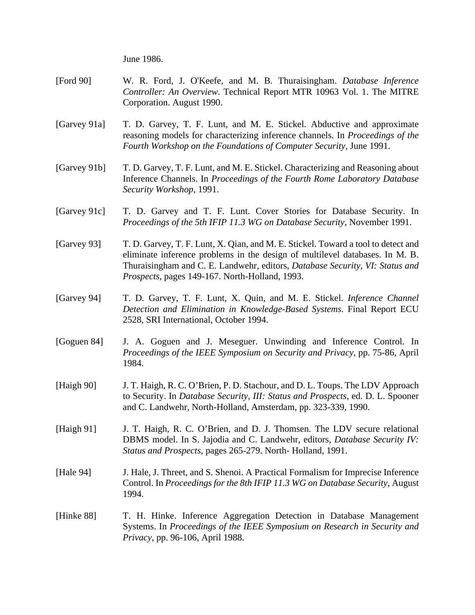June 1986.

- [Ford 90] W. R. Ford, J. O'Keefe, and M. B. Thuraisingham. *Database Inference Controller: An Overview*. Technical Report MTR 10963 Vol. 1. The MITRE Corporation. August 1990.
- [Garvey 91a] T. D. Garvey, T. F. Lunt, and M. E. Stickel. Abductive and approximate reasoning models for characterizing inference channels. In *Proceedings of the Fourth Workshop on the Foundations of Computer Security*, June 1991.
- [Garvey 91b] T. D. Garvey, T. F. Lunt, and M. E. Stickel. Characterizing and Reasoning about Inference Channels. In *Proceedings of the Fourth Rome Laboratory Database Security Workshop*, 1991.
- [Garvey 91c] T. D. Garvey and T. F. Lunt. Cover Stories for Database Security. In *Proceedings of the 5th IFIP 11.3 WG on Database Security*, November 1991.
- [Garvey 93] T. D. Garvey, T. F. Lunt, X. Qian, and M. E. Stickel. Toward a tool to detect and eliminate inference problems in the design of multilevel databases. In M. B. Thuraisingham and C. E. Landwehr, editors, *Database Security, VI: Status and Prospects*, pages 149-167. North-Holland, 1993.
- [Garvey 94] T. D. Garvey, T. F. Lunt, X. Quin, and M. E. Stickel. *Inference Channel Detection and Elimination in Knowledge-Based Systems*. Final Report ECU 2528, SRI International, October 1994.
- [Goguen 84] J. A. Goguen and J. Meseguer. Unwinding and Inference Control. In *Proceedings of the IEEE Symposium on Security and Privacy*, pp. 75-86, April 1984.
- [Haigh 90] J. T. Haigh, R. C. O'Brien, P. D. Stachour, and D. L. Toups. The LDV Approach to Security. In *Database Security, III: Status and Prospects*, ed. D. L. Spooner and C. Landwehr, North-Holland, Amsterdam, pp. 323-339, 1990.
- [Haigh 91] J. T. Haigh, R. C. O'Brien, and D. J. Thomsen. The LDV secure relational DBMS model. In S. Jajodia and C. Landwehr, editors, *Database Security IV: Status and Prospects*, pages 265-279. North- Holland, 1991.
- [Hale 94] J. Hale, J. Threet, and S. Shenoi. A Practical Formalism for Imprecise Inference Control. In *Proceedings for the 8th IFIP 11.3 WG on Database Security*, August 1994.
- [Hinke 88] T. H. Hinke. Inference Aggregation Detection in Database Management Systems. In *Proceedings of the IEEE Symposium on Research in Security and Privacy*, pp. 96-106, April 1988.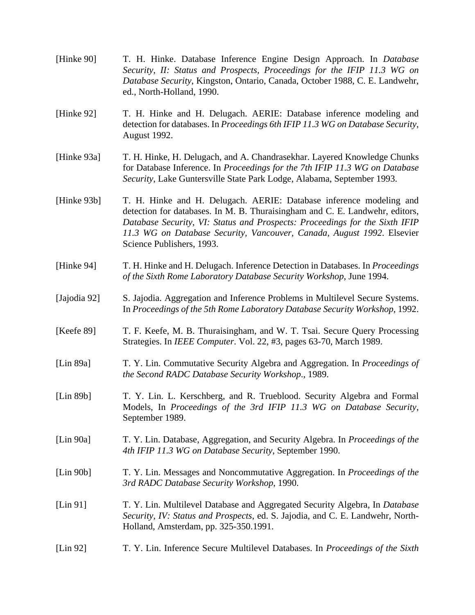- [Hinke 90] T. H. Hinke. Database Inference Engine Design Approach. In *Database Security, II: Status and Prospects, Proceedings for the IFIP 11.3 WG on Database Security*, Kingston, Ontario, Canada, October 1988, C. E. Landwehr, ed., North-Holland, 1990.
- [Hinke 92] T. H. Hinke and H. Delugach. AERIE: Database inference modeling and detection for databases. In *Proceedings 6th IFIP 11.3 WG on Database Security*, August 1992.
- [Hinke 93a] T. H. Hinke, H. Delugach, and A. Chandrasekhar. Layered Knowledge Chunks for Database Inference. In *Proceedings for the 7th IFIP 11.3 WG on Database Security*, Lake Guntersville State Park Lodge, Alabama, September 1993.
- [Hinke 93b] T. H. Hinke and H. Delugach. AERIE: Database inference modeling and detection for databases. In M. B. Thuraisingham and C. E. Landwehr, editors, *Database Security, VI: Status and Prospects: Proceedings for the Sixth IFIP 11.3 WG on Database Security, Vancouver, Canada, August 1992*. Elsevier Science Publishers, 1993.
- [Hinke 94] T. H. Hinke and H. Delugach. Inference Detection in Databases. In *Proceedings of the Sixth Rome Laboratory Database Security Workshop*, June 1994.
- [Jajodia 92] S. Jajodia. Aggregation and Inference Problems in Multilevel Secure Systems. In *Proceedings of the 5th Rome Laboratory Database Security Workshop*, 1992.
- [Keefe 89] T. F. Keefe, M. B. Thuraisingham, and W. T. Tsai. Secure Query Processing Strategies. In *IEEE Computer*. Vol. 22, #3, pages 63-70, March 1989.
- [Lin 89a] T. Y. Lin. Commutative Security Algebra and Aggregation. In *Proceedings of the Second RADC Database Security Workshop*., 1989.
- [Lin 89b] T. Y. Lin. L. Kerschberg, and R. Trueblood. Security Algebra and Formal Models, In *Proceedings of the 3rd IFIP 11.3 WG on Database Security*, September 1989.
- [Lin 90a] T. Y. Lin. Database, Aggregation, and Security Algebra. In *Proceedings of the 4th IFIP 11.3 WG on Database Security*, September 1990.
- [Lin 90b] T. Y. Lin. Messages and Noncommutative Aggregation. In *Proceedings of the 3rd RADC Database Security Workshop*, 1990.
- [Lin 91] T. Y. Lin. Multilevel Database and Aggregated Security Algebra, In *Database Security, IV: Status and Prospects*, ed. S. Jajodia, and C. E. Landwehr, North-Holland, Amsterdam, pp. 325-350.1991.
- [Lin 92] T. Y. Lin. Inference Secure Multilevel Databases. In *Proceedings of the Sixth*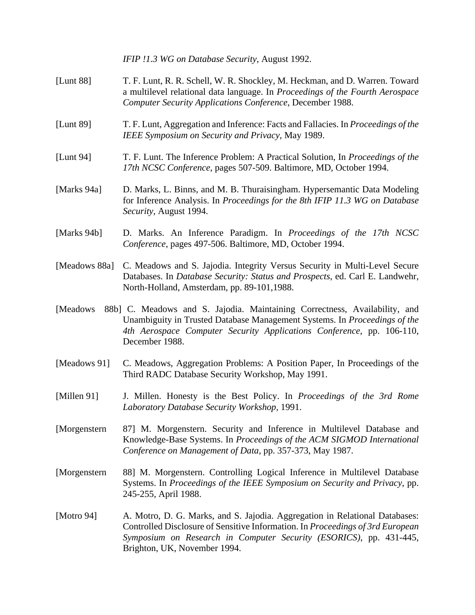|               | IFIP !1.3 WG on Database Security, August 1992.                                                                                                                                                                                                                     |
|---------------|---------------------------------------------------------------------------------------------------------------------------------------------------------------------------------------------------------------------------------------------------------------------|
| [Lunt 88]     | T. F. Lunt, R. R. Schell, W. R. Shockley, M. Heckman, and D. Warren. Toward<br>a multilevel relational data language. In Proceedings of the Fourth Aerospace<br>Computer Security Applications Conference, December 1988.                                           |
| [Lunt 89]     | T. F. Lunt, Aggregation and Inference: Facts and Fallacies. In Proceedings of the<br>IEEE Symposium on Security and Privacy, May 1989.                                                                                                                              |
| [Lunt 94]     | T. F. Lunt. The Inference Problem: A Practical Solution, In Proceedings of the<br>17th NCSC Conference, pages 507-509. Baltimore, MD, October 1994.                                                                                                                 |
| [Marks 94a]   | D. Marks, L. Binns, and M. B. Thuraisingham. Hypersemantic Data Modeling<br>for Inference Analysis. In Proceedings for the 8th IFIP 11.3 WG on Database<br>Security, August 1994.                                                                                   |
| [Marks 94b]   | D. Marks. An Inference Paradigm. In Proceedings of the 17th NCSC<br>Conference, pages 497-506. Baltimore, MD, October 1994.                                                                                                                                         |
| [Meadows 88a] | C. Meadows and S. Jajodia. Integrity Versus Security in Multi-Level Secure<br>Databases. In Database Security: Status and Prospects, ed. Carl E. Landwehr,<br>North-Holland, Amsterdam, pp. 89-101,1988.                                                            |
| [Meadows]     | 88b] C. Meadows and S. Jajodia. Maintaining Correctness, Availability, and<br>Unambiguity in Trusted Database Management Systems. In Proceedings of the<br>4th Aerospace Computer Security Applications Conference, pp. 106-110,<br>December 1988.                  |
| [Meadows 91]  | C. Meadows, Aggregation Problems: A Position Paper, In Proceedings of the<br>Third RADC Database Security Workshop, May 1991.                                                                                                                                       |
| [Millen 91]   | J. Millen. Honesty is the Best Policy. In Proceedings of the 3rd Rome<br>Laboratory Database Security Workshop, 1991.                                                                                                                                               |
| [Morgenstern] | 87] M. Morgenstern. Security and Inference in Multilevel Database and<br>Knowledge-Base Systems. In Proceedings of the ACM SIGMOD International<br>Conference on Management of Data, pp. 357-373, May 1987.                                                         |
| [Morgenstern] | 88] M. Morgenstern. Controlling Logical Inference in Multilevel Database<br>Systems. In Proceedings of the IEEE Symposium on Security and Privacy, pp.<br>245-255, April 1988.                                                                                      |
| [Motro 94]    | A. Motro, D. G. Marks, and S. Jajodia. Aggregation in Relational Databases:<br>Controlled Disclosure of Sensitive Information. In Proceedings of 3rd European<br>Symposium on Research in Computer Security (ESORICS), pp. 431-445,<br>Brighton, UK, November 1994. |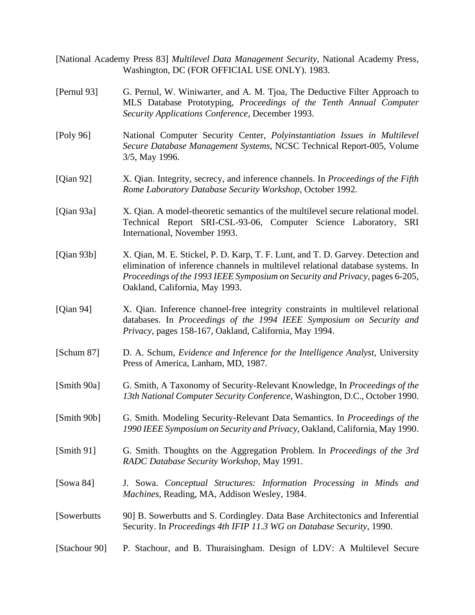[National Academy Press 83] *Multilevel Data Management Security*, National Academy Press, Washington, DC (FOR OFFICIAL USE ONLY). 1983.

- [Pernul 93] G. Pernul, W. Winiwarter, and A. M. Tjoa, The Deductive Filter Approach to MLS Database Prototyping, *Proceedings of the Tenth Annual Computer Security Applications Conference*, December 1993.
- [Poly 96] National Computer Security Center, *Polyinstantiation Issues in Multilevel Secure Database Management Systems*, NCSC Technical Report-005, Volume 3/5, May 1996.
- [Qian 92] X. Qian. Integrity, secrecy, and inference channels. In *Proceedings of the Fifth Rome Laboratory Database Security Workshop*, October 1992.
- [Qian 93a] X. Qian. A model-theoretic semantics of the multilevel secure relational model. Technical Report SRI-CSL-93-06, Computer Science Laboratory, SRI International, November 1993.
- [Qian 93b] X. Qian, M. E. Stickel, P. D. Karp, T. F. Lunt, and T. D. Garvey. Detection and elimination of inference channels in multilevel relational database systems. In *Proceedings of the 1993 IEEE Symposium on Security and Privacy*, pages 6-205, Oakland, California, May 1993.
- [Qian 94] X. Qian. Inference channel-free integrity constraints in multilevel relational databases. In *Proceedings of the 1994 IEEE Symposium on Security and Privacy*, pages 158-167, Oakland, California, May 1994.
- [Schum 87] D. A. Schum, *Evidence and Inference for the Intelligence Analyst*, University Press of America, Lanham, MD, 1987.
- [Smith 90a] G. Smith, A Taxonomy of Security-Relevant Knowledge, In *Proceedings of the 13th National Computer Security Conference*, Washington, D.C., October 1990.
- [Smith 90b] G. Smith. Modeling Security-Relevant Data Semantics. In *Proceedings of the 1990 IEEE Symposium on Security and Privacy*, Oakland, California, May 1990.
- [Smith 91] G. Smith. Thoughts on the Aggregation Problem. In *Proceedings of the 3rd RADC Database Security Workshop*, May 1991.
- [Sowa 84] J. Sowa. *Conceptual Structures: Information Processing in Minds and Machines*, Reading, MA, Addison Wesley, 1984.
- [Sowerbutts 90] B. Sowerbutts and S. Cordingley. Data Base Architectonics and Inferential Security. In *Proceedings 4th IFIP 11.3 WG on Database Security*, 1990.
- [Stachour 90] P. Stachour, and B. Thuraisingham. Design of LDV: A Multilevel Secure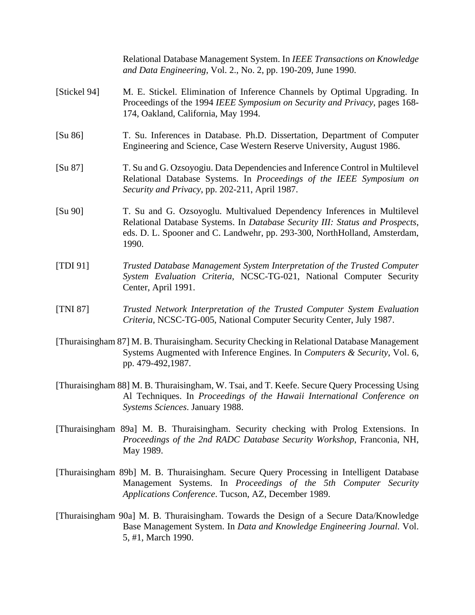| [Stickel 94]<br>174, Oakland, California, May 1994.<br>[Su 86]<br>Engineering and Science, Case Western Reserve University, August 1986.<br>[Su 87]<br>Security and Privacy, pp. 202-211, April 1987.<br>[Su 90]<br>1990.<br>[TDI 91]<br>Center, April 1991.<br>[TNI 87]<br>Criteria, NCSC-TG-005, National Computer Security Center, July 1987.<br>[Thuraisingham 87] M. B. Thuraisingham. Security Checking in Relational Database Management<br>pp. 479-492,1987.<br>[Thuraisingham 88] M. B. Thuraisingham, W. Tsai, and T. Keefe. Secure Query Processing Using<br>Systems Sciences. January 1988.<br>[Thuraisingham 89a] M. B. Thuraisingham. Security checking with Prolog Extensions. In<br>May 1989.<br>[Thuraisingham 89b] M. B. Thuraisingham. Secure Query Processing in Intelligent Database<br>Applications Conference. Tucson, AZ, December 1989.<br>[Thuraisingham 90a] M. B. Thuraisingham. Towards the Design of a Secure Data/Knowledge | Relational Database Management System. In IEEE Transactions on Knowledge<br>and Data Engineering, Vol. 2., No. 2, pp. 190-209, June 1990.                                                                                            |
|------------------------------------------------------------------------------------------------------------------------------------------------------------------------------------------------------------------------------------------------------------------------------------------------------------------------------------------------------------------------------------------------------------------------------------------------------------------------------------------------------------------------------------------------------------------------------------------------------------------------------------------------------------------------------------------------------------------------------------------------------------------------------------------------------------------------------------------------------------------------------------------------------------------------------------------------------------|--------------------------------------------------------------------------------------------------------------------------------------------------------------------------------------------------------------------------------------|
|                                                                                                                                                                                                                                                                                                                                                                                                                                                                                                                                                                                                                                                                                                                                                                                                                                                                                                                                                            | M. E. Stickel. Elimination of Inference Channels by Optimal Upgrading. In<br>Proceedings of the 1994 IEEE Symposium on Security and Privacy, pages 168-                                                                              |
|                                                                                                                                                                                                                                                                                                                                                                                                                                                                                                                                                                                                                                                                                                                                                                                                                                                                                                                                                            | T. Su. Inferences in Database. Ph.D. Dissertation, Department of Computer                                                                                                                                                            |
|                                                                                                                                                                                                                                                                                                                                                                                                                                                                                                                                                                                                                                                                                                                                                                                                                                                                                                                                                            | T. Su and G. Ozsoyogiu. Data Dependencies and Inference Control in Multilevel<br>Relational Database Systems. In Proceedings of the IEEE Symposium on                                                                                |
|                                                                                                                                                                                                                                                                                                                                                                                                                                                                                                                                                                                                                                                                                                                                                                                                                                                                                                                                                            | T. Su and G. Ozsoyoglu. Multivalued Dependency Inferences in Multilevel<br>Relational Database Systems. In Database Security III: Status and Prospects,<br>eds. D. L. Spooner and C. Landwehr, pp. 293-300, NorthHolland, Amsterdam, |
|                                                                                                                                                                                                                                                                                                                                                                                                                                                                                                                                                                                                                                                                                                                                                                                                                                                                                                                                                            | Trusted Database Management System Interpretation of the Trusted Computer<br>System Evaluation Criteria, NCSC-TG-021, National Computer Security                                                                                     |
|                                                                                                                                                                                                                                                                                                                                                                                                                                                                                                                                                                                                                                                                                                                                                                                                                                                                                                                                                            | Trusted Network Interpretation of the Trusted Computer System Evaluation                                                                                                                                                             |
|                                                                                                                                                                                                                                                                                                                                                                                                                                                                                                                                                                                                                                                                                                                                                                                                                                                                                                                                                            | Systems Augmented with Inference Engines. In Computers & Security, Vol. 6,                                                                                                                                                           |
|                                                                                                                                                                                                                                                                                                                                                                                                                                                                                                                                                                                                                                                                                                                                                                                                                                                                                                                                                            | Al Techniques. In Proceedings of the Hawaii International Conference on                                                                                                                                                              |
|                                                                                                                                                                                                                                                                                                                                                                                                                                                                                                                                                                                                                                                                                                                                                                                                                                                                                                                                                            | Proceedings of the 2nd RADC Database Security Workshop, Franconia, NH,                                                                                                                                                               |
|                                                                                                                                                                                                                                                                                                                                                                                                                                                                                                                                                                                                                                                                                                                                                                                                                                                                                                                                                            | Management Systems. In Proceedings of the 5th Computer Security                                                                                                                                                                      |
| 5, #1, March 1990.                                                                                                                                                                                                                                                                                                                                                                                                                                                                                                                                                                                                                                                                                                                                                                                                                                                                                                                                         | Base Management System. In Data and Knowledge Engineering Journal. Vol.                                                                                                                                                              |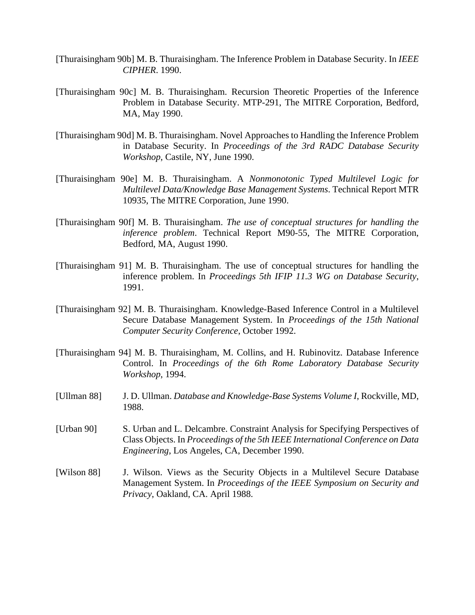- [Thuraisingham 90b] M. B. Thuraisingham. The Inference Problem in Database Security. In *IEEE CIPHER*. 1990.
- [Thuraisingham 90c] M. B. Thuraisingham. Recursion Theoretic Properties of the Inference Problem in Database Security. MTP-291, The MITRE Corporation, Bedford, MA, May 1990.
- [Thuraisingham 90d] M. B. Thuraisingham. Novel Approaches to Handling the Inference Problem in Database Security. In *Proceedings of the 3rd RADC Database Security Workshop*, Castile, NY, June 1990.
- [Thuraisingham 90e] M. B. Thuraisingham. A *Nonmonotonic Typed Multilevel Logic for Multilevel Data/Knowledge Base Management Systems*. Technical Report MTR 10935, The MITRE Corporation, June 1990.
- [Thuraisingham 90f] M. B. Thuraisingham. *The use of conceptual structures for handling the inference problem*. Technical Report M90-55, The MITRE Corporation, Bedford, MA, August 1990.
- [Thuraisingham 91] M. B. Thuraisingham. The use of conceptual structures for handling the inference problem. In *Proceedings 5th IFIP 11.3 WG on Database Security*, 1991.
- [Thuraisingham 92] M. B. Thuraisingham. Knowledge-Based Inference Control in a Multilevel Secure Database Management System. In *Proceedings of the 15th National Computer Security Conference*, October 1992.
- [Thuraisingham 94] M. B. Thuraisingham, M. Collins, and H. Rubinovitz. Database Inference Control. In *Proceedings of the 6th Rome Laboratory Database Security Workshop*, 1994.
- [Ullman 88] J. D. Ullman. *Database and Knowledge-Base Systems Volume I*, Rockville, MD, 1988.
- [Urban 90] S. Urban and L. Delcambre. Constraint Analysis for Specifying Perspectives of Class Objects. In *Proceedings of the 5th IEEE International Conference on Data Engineering*, Los Angeles, CA, December 1990.
- [Wilson 88] J. Wilson. Views as the Security Objects in a Multilevel Secure Database Management System. In *Proceedings of the IEEE Symposium on Security and Privacy*, Oakland, CA. April 1988.